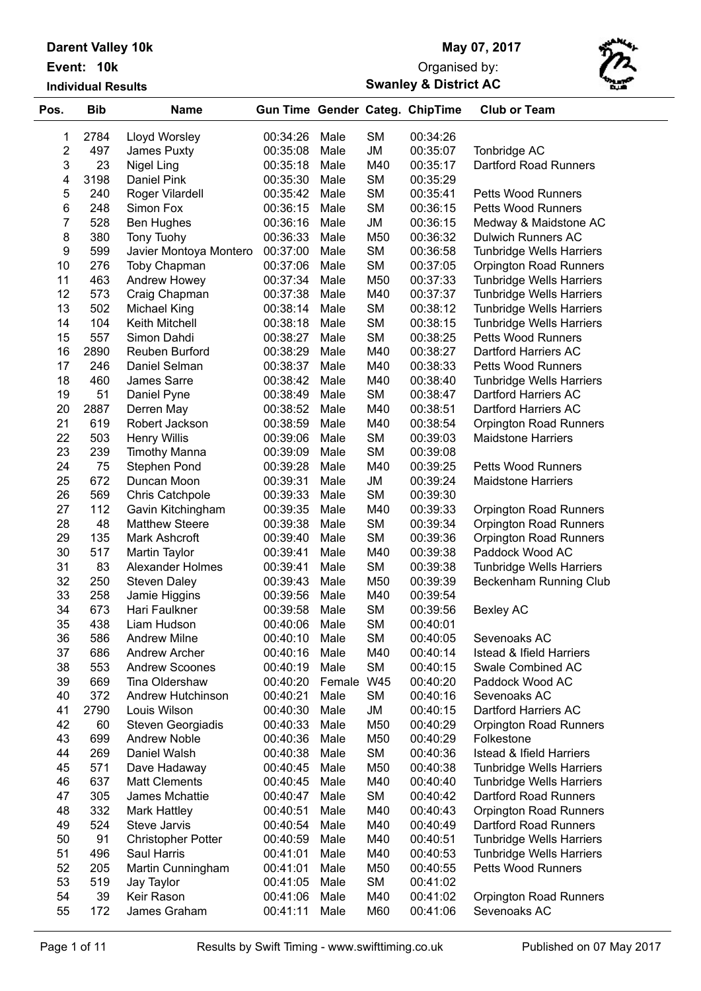| <b>Darent Valley 10k</b> |  |
|--------------------------|--|
| Event: 10k               |  |

**Individual Results**

## **May 07, 2017**

## **Swanley & District AC** Organised by:



| Pos.             | <b>Bib</b> | <b>Name</b>               |               |        |           | <b>Gun Time Gender Categ. ChipTime</b> | <b>Club or Team</b>                 |
|------------------|------------|---------------------------|---------------|--------|-----------|----------------------------------------|-------------------------------------|
| 1                | 2784       | Lloyd Worsley             | 00:34:26      | Male   | <b>SM</b> | 00:34:26                               |                                     |
| $\overline{2}$   | 497        | James Puxty               | 00:35:08      | Male   | JM        | 00:35:07                               | Tonbridge AC                        |
| 3                | 23         | Nigel Ling                | 00:35:18      | Male   | M40       | 00:35:17                               | Dartford Road Runners               |
| 4                | 3198       | Daniel Pink               | 00:35:30      | Male   | <b>SM</b> | 00:35:29                               |                                     |
| 5                | 240        | Roger Vilardell           | 00:35:42      | Male   | <b>SM</b> | 00:35:41                               | <b>Petts Wood Runners</b>           |
| 6                | 248        | Simon Fox                 | 00:36:15      | Male   | <b>SM</b> | 00:36:15                               | <b>Petts Wood Runners</b>           |
| 7                | 528        | <b>Ben Hughes</b>         | 00:36:16      | Male   | <b>JM</b> | 00:36:15                               | Medway & Maidstone AC               |
| 8                | 380        | Tony Tuohy                | 00:36:33      | Male   | M50       | 00:36:32                               | <b>Dulwich Runners AC</b>           |
| $\boldsymbol{9}$ | 599        | Javier Montoya Montero    | 00:37:00      | Male   | <b>SM</b> | 00:36:58                               | <b>Tunbridge Wells Harriers</b>     |
| 10               | 276        | Toby Chapman              | 00:37:06      | Male   | <b>SM</b> | 00:37:05                               | <b>Orpington Road Runners</b>       |
| 11               | 463        | Andrew Howey              | 00:37:34      | Male   | M50       | 00:37:33                               | <b>Tunbridge Wells Harriers</b>     |
| 12               | 573        | Craig Chapman             | 00:37:38      | Male   | M40       | 00:37:37                               | <b>Tunbridge Wells Harriers</b>     |
| 13               | 502        | <b>Michael King</b>       | 00:38:14      | Male   | <b>SM</b> | 00:38:12                               | <b>Tunbridge Wells Harriers</b>     |
| 14               | 104        | Keith Mitchell            | 00:38:18      | Male   | <b>SM</b> | 00:38:15                               | <b>Tunbridge Wells Harriers</b>     |
| 15               | 557        | Simon Dahdi               | 00:38:27      | Male   | <b>SM</b> | 00:38:25                               | <b>Petts Wood Runners</b>           |
| 16               | 2890       | Reuben Burford            | 00:38:29      | Male   | M40       | 00:38:27                               | Dartford Harriers AC                |
| 17               | 246        | Daniel Selman             | 00:38:37      | Male   | M40       | 00:38:33                               | <b>Petts Wood Runners</b>           |
| 18               | 460        | James Sarre               | 00:38:42      | Male   | M40       | 00:38:40                               | <b>Tunbridge Wells Harriers</b>     |
| 19               | 51         | Daniel Pyne               | 00:38:49      | Male   | SM        | 00:38:47                               | Dartford Harriers AC                |
| 20               | 2887       | Derren May                | 00:38:52      | Male   | M40       | 00:38:51                               | Dartford Harriers AC                |
| 21               | 619        | Robert Jackson            | 00:38:59      | Male   | M40       | 00:38:54                               | <b>Orpington Road Runners</b>       |
| 22               | 503        | <b>Henry Willis</b>       | 00:39:06      | Male   | <b>SM</b> | 00:39:03                               | <b>Maidstone Harriers</b>           |
| 23               | 239        | <b>Timothy Manna</b>      | 00:39:09      | Male   | <b>SM</b> | 00:39:08                               |                                     |
| 24               | 75         | Stephen Pond              | 00:39:28      | Male   | M40       | 00:39:25                               | <b>Petts Wood Runners</b>           |
| 25               | 672        | Duncan Moon               | 00:39:31      | Male   | JM        | 00:39:24                               | <b>Maidstone Harriers</b>           |
| 26               | 569        | Chris Catchpole           | 00:39:33      | Male   | <b>SM</b> | 00:39:30                               |                                     |
| 27               | 112        | Gavin Kitchingham         | 00:39:35      | Male   | M40       | 00:39:33                               | <b>Orpington Road Runners</b>       |
| 28               | 48         | <b>Matthew Steere</b>     | 00:39:38      | Male   | <b>SM</b> | 00:39:34                               | <b>Orpington Road Runners</b>       |
| 29               | 135        | Mark Ashcroft             | 00:39:40      | Male   | <b>SM</b> | 00:39:36                               | <b>Orpington Road Runners</b>       |
| 30               | 517        | Martin Taylor             | 00:39:41      | Male   | M40       | 00:39:38                               | Paddock Wood AC                     |
| 31               | 83         | Alexander Holmes          | 00:39:41      | Male   | <b>SM</b> | 00:39:38                               | <b>Tunbridge Wells Harriers</b>     |
| 32               | 250        | <b>Steven Daley</b>       | 00:39:43      | Male   | M50       | 00:39:39                               | Beckenham Running Club              |
| 33               | 258        | Jamie Higgins             | 00:39:56      | Male   | M40       | 00:39:54                               |                                     |
| 34               | 673        | Hari Faulkner             | 00:39:58      | Male   | <b>SM</b> | 00:39:56                               | <b>Bexley AC</b>                    |
| 35               | 438        | Liam Hudson               | 00:40:06 Male |        | <b>SM</b> | 00:40:01                               |                                     |
| 36               | 586        | <b>Andrew Milne</b>       | 00:40:10      | Male   | <b>SM</b> | 00:40:05                               | Sevenoaks AC                        |
| 37               | 686        | Andrew Archer             | 00:40:16      | Male   | M40       | 00:40:14                               | <b>Istead &amp; Ifield Harriers</b> |
| 38               | 553        | <b>Andrew Scoones</b>     | 00:40:19      | Male   | <b>SM</b> | 00:40:15                               | Swale Combined AC                   |
| 39               | 669        | Tina Oldershaw            | 00:40:20      | Female | W45       | 00:40:20                               | Paddock Wood AC                     |
| 40               | 372        | Andrew Hutchinson         | 00:40:21      | Male   | <b>SM</b> | 00:40:16                               | Sevenoaks AC                        |
| 41               | 2790       | Louis Wilson              | 00:40:30      | Male   | JM        | 00:40:15                               | Dartford Harriers AC                |
| 42               | 60         | Steven Georgiadis         | 00:40:33      | Male   | M50       | 00:40:29                               | <b>Orpington Road Runners</b>       |
| 43               | 699        | <b>Andrew Noble</b>       | 00:40:36      | Male   | M50       | 00:40:29                               | Folkestone                          |
| 44               | 269        | Daniel Walsh              | 00:40:38      | Male   | SM        | 00:40:36                               | <b>Istead &amp; Ifield Harriers</b> |
| 45               | 571        | Dave Hadaway              | 00:40:45      | Male   | M50       | 00:40:38                               | <b>Tunbridge Wells Harriers</b>     |
| 46               | 637        | <b>Matt Clements</b>      | 00:40:45      | Male   | M40       | 00:40:40                               | <b>Tunbridge Wells Harriers</b>     |
| 47               | 305        | James Mchattie            | 00:40:47      | Male   | SM        | 00:40:42                               | Dartford Road Runners               |
| 48               | 332        | Mark Hattley              | 00:40:51      | Male   | M40       | 00:40:43                               | Orpington Road Runners              |
| 49               | 524        | Steve Jarvis              | 00:40:54      | Male   | M40       | 00:40:49                               | Dartford Road Runners               |
| 50               | 91         | <b>Christopher Potter</b> | 00:40:59      | Male   | M40       | 00:40:51                               | <b>Tunbridge Wells Harriers</b>     |
| 51               | 496        | Saul Harris               | 00:41:01      | Male   | M40       | 00:40:53                               | <b>Tunbridge Wells Harriers</b>     |
| 52               | 205        | Martin Cunningham         | 00:41:01      | Male   | M50       | 00:40:55                               | Petts Wood Runners                  |
| 53               | 519        | Jay Taylor                | 00:41:05      | Male   | SM        | 00:41:02                               |                                     |
| 54               | 39         | Keir Rason                | 00:41:06      | Male   | M40       | 00:41:02                               | <b>Orpington Road Runners</b>       |
| 55               | 172        | James Graham              | 00:41:11      | Male   | M60       | 00:41:06                               | Sevenoaks AC                        |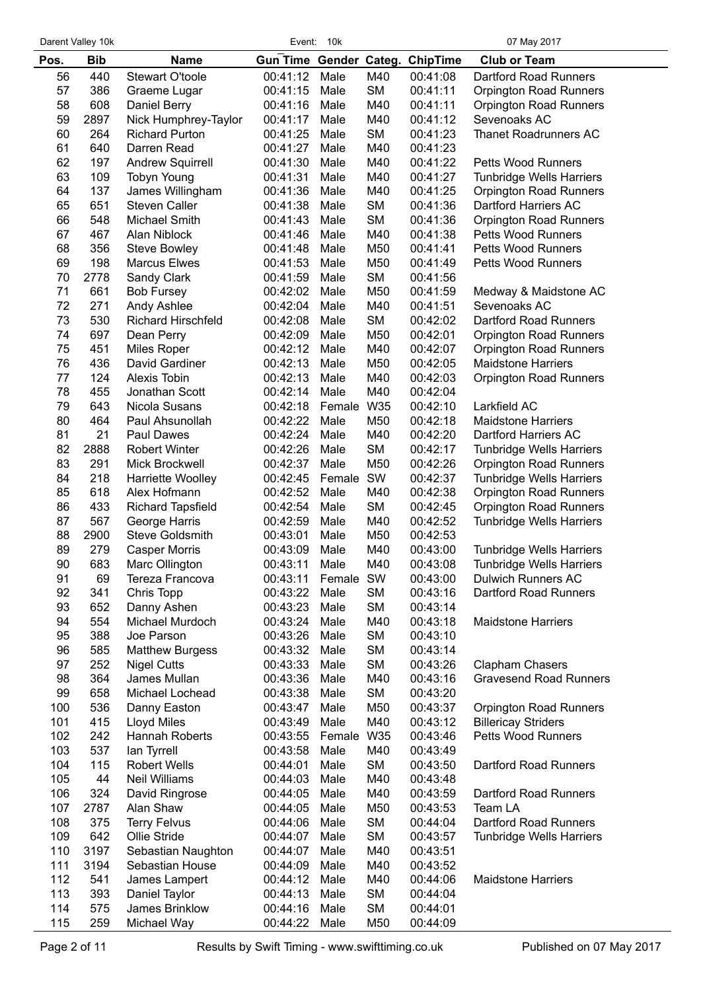| Darent Valley 10k |  |  |
|-------------------|--|--|
|-------------------|--|--|

|          | Darent Valley 10k |                                              |                        | Event: 10k   |                        |                      | 07 May 2017                                                      |
|----------|-------------------|----------------------------------------------|------------------------|--------------|------------------------|----------------------|------------------------------------------------------------------|
| Pos.     | <b>Bib</b>        | <b>Name</b>                                  | Gun Time Gender Categ. |              |                        | <b>ChipTime</b>      | <b>Club or Team</b>                                              |
| 56       | 440               | <b>Stewart O'toole</b>                       | 00:41:12               | Male         | M40                    | 00:41:08             | Dartford Road Runners                                            |
| 57       | 386               | Graeme Lugar                                 | 00:41:15               | Male         | <b>SM</b>              | 00:41:11             | <b>Orpington Road Runners</b>                                    |
| 58       | 608               | Daniel Berry                                 | 00:41:16               | Male         | M40                    | 00:41:11             | <b>Orpington Road Runners</b>                                    |
| 59       | 2897              | Nick Humphrey-Taylor                         | 00:41:17               | Male         | M40                    | 00:41:12             | Sevenoaks AC                                                     |
| 60       | 264               | <b>Richard Purton</b>                        | 00:41:25               | Male         | <b>SM</b>              | 00:41:23             | <b>Thanet Roadrunners AC</b>                                     |
| 61       | 640               | Darren Read                                  | 00:41:27               | Male         | M40                    | 00:41:23             |                                                                  |
| 62       | 197               | <b>Andrew Squirrell</b>                      | 00:41:30               | Male         | M40                    | 00:41:22             | <b>Petts Wood Runners</b>                                        |
| 63       | 109               | <b>Tobyn Young</b>                           | 00:41:31               | Male         | M40                    | 00:41:27             | <b>Tunbridge Wells Harriers</b>                                  |
| 64       | 137               | James Willingham                             | 00:41:36               | Male         | M40                    | 00:41:25             | <b>Orpington Road Runners</b>                                    |
| 65<br>66 | 651<br>548        | <b>Steven Caller</b><br><b>Michael Smith</b> | 00:41:38<br>00:41:43   | Male<br>Male | <b>SM</b><br><b>SM</b> | 00:41:36<br>00:41:36 | Dartford Harriers AC<br><b>Orpington Road Runners</b>            |
| 67       | 467               | Alan Niblock                                 | 00:41:46               | Male         | M40                    | 00:41:38             | <b>Petts Wood Runners</b>                                        |
| 68       | 356               | <b>Steve Bowley</b>                          | 00:41:48               | Male         | M50                    | 00:41:41             | <b>Petts Wood Runners</b>                                        |
| 69       | 198               | <b>Marcus Elwes</b>                          | 00:41:53               | Male         | M50                    | 00:41:49             | <b>Petts Wood Runners</b>                                        |
| 70       | 2778              | Sandy Clark                                  | 00:41:59               | Male         | <b>SM</b>              | 00:41:56             |                                                                  |
| 71       | 661               | <b>Bob Fursey</b>                            | 00:42:02               | Male         | M50                    | 00:41:59             | Medway & Maidstone AC                                            |
| 72       | 271               | Andy Ashlee                                  | 00:42:04               | Male         | M40                    | 00:41:51             | Sevenoaks AC                                                     |
| 73       | 530               | <b>Richard Hirschfeld</b>                    | 00:42:08               | Male         | <b>SM</b>              | 00:42:02             | Dartford Road Runners                                            |
| 74       | 697               | Dean Perry                                   | 00:42:09               | Male         | M50                    | 00:42:01             | <b>Orpington Road Runners</b>                                    |
| 75       | 451               | <b>Miles Roper</b>                           | 00:42:12               | Male         | M40                    | 00:42:07             | <b>Orpington Road Runners</b>                                    |
| 76       | 436               | David Gardiner                               | 00:42:13               | Male         | M50                    | 00:42:05             | <b>Maidstone Harriers</b>                                        |
| 77       | 124               | Alexis Tobin                                 | 00:42:13               | Male         | M40                    | 00:42:03             | <b>Orpington Road Runners</b>                                    |
| 78       | 455               | Jonathan Scott                               | 00:42:14               | Male         | M40                    | 00:42:04             |                                                                  |
| 79       | 643               | Nicola Susans                                | 00:42:18               | Female W35   |                        | 00:42:10             | Larkfield AC                                                     |
| 80       | 464               | Paul Ahsunollah                              | 00:42:22               | Male         | M50                    | 00:42:18             | <b>Maidstone Harriers</b>                                        |
| 81       | 21                | <b>Paul Dawes</b>                            | 00:42:24               | Male         | M40                    | 00:42:20             | Dartford Harriers AC                                             |
| 82<br>83 | 2888<br>291       | <b>Robert Winter</b>                         | 00:42:26<br>00:42:37   | Male<br>Male | <b>SM</b><br>M50       | 00:42:17<br>00:42:26 | <b>Tunbridge Wells Harriers</b>                                  |
| 84       | 218               | Mick Brockwell<br>Harriette Woolley          | 00:42:45               | Female       | SW                     | 00:42:37             | <b>Orpington Road Runners</b><br><b>Tunbridge Wells Harriers</b> |
| 85       | 618               | Alex Hofmann                                 | 00:42:52               | Male         | M40                    | 00:42:38             | <b>Orpington Road Runners</b>                                    |
| 86       | 433               | <b>Richard Tapsfield</b>                     | 00:42:54               | Male         | <b>SM</b>              | 00:42:45             | <b>Orpington Road Runners</b>                                    |
| 87       | 567               | George Harris                                | 00:42:59               | Male         | M40                    | 00:42:52             | Tunbridge Wells Harriers                                         |
| 88       | 2900              | <b>Steve Goldsmith</b>                       | 00:43:01               | Male         | M50                    | 00:42:53             |                                                                  |
| 89       | 279               | <b>Casper Morris</b>                         | 00:43:09               | Male         | M40                    | 00:43:00             | <b>Tunbridge Wells Harriers</b>                                  |
| 90       | 683               | Marc Ollington                               | 00:43:11               | Male         | M40                    | 00:43:08             | Tunbridge Wells Harriers                                         |
| 91       | 69                | Tereza Francova                              | 00:43:11               | Female       | SW                     | 00:43:00             | <b>Dulwich Runners AC</b>                                        |
| 92       | 341               | Chris Topp                                   | 00:43:22               | Male         | <b>SM</b>              | 00:43:16             | Dartford Road Runners                                            |
| 93       | 652               | Danny Ashen                                  | 00:43:23               | Male         | <b>SM</b>              | 00:43:14             |                                                                  |
| 94       | 554               | Michael Murdoch                              | 00:43:24               | Male         | M40                    | 00:43:18             | <b>Maidstone Harriers</b>                                        |
| 95       | 388               | Joe Parson                                   | 00:43:26               | Male         | <b>SM</b>              | 00:43:10             |                                                                  |
| 96       | 585               | <b>Matthew Burgess</b>                       | 00:43:32               | Male         | <b>SM</b>              | 00:43:14             |                                                                  |
| 97       | 252<br>364        | <b>Nigel Cutts</b>                           | 00:43:33               | Male<br>Male | <b>SM</b><br>M40       | 00:43:26             | Clapham Chasers<br><b>Gravesend Road Runners</b>                 |
| 98<br>99 | 658               | James Mullan<br>Michael Lochead              | 00:43:36<br>00:43:38   | Male         | SM                     | 00:43:16<br>00:43:20 |                                                                  |
| 100      | 536               | Danny Easton                                 | 00:43:47               | Male         | M50                    | 00:43:37             | <b>Orpington Road Runners</b>                                    |
| 101      | 415               | Lloyd Miles                                  | 00:43:49               | Male         | M40                    | 00:43:12             | <b>Billericay Striders</b>                                       |
| 102      | 242               | Hannah Roberts                               | 00:43:55               | Female       | W35                    | 00:43:46             | <b>Petts Wood Runners</b>                                        |
| 103      | 537               | lan Tyrrell                                  | 00:43:58               | Male         | M40                    | 00:43:49             |                                                                  |
| 104      | 115               | <b>Robert Wells</b>                          | 00:44:01               | Male         | <b>SM</b>              | 00:43:50             | Dartford Road Runners                                            |
| 105      | 44                | Neil Williams                                | 00:44:03               | Male         | M40                    | 00:43:48             |                                                                  |
| 106      | 324               | David Ringrose                               | 00:44:05               | Male         | M40                    | 00:43:59             | Dartford Road Runners                                            |
| 107      | 2787              | Alan Shaw                                    | 00:44:05               | Male         | M50                    | 00:43:53             | Team LA                                                          |
| 108      | 375               | <b>Terry Felvus</b>                          | 00:44:06               | Male         | <b>SM</b>              | 00:44:04             | Dartford Road Runners                                            |
| 109      | 642               | Ollie Stride                                 | 00:44:07               | Male         | <b>SM</b>              | 00:43:57             | <b>Tunbridge Wells Harriers</b>                                  |
| 110      | 3197              | Sebastian Naughton                           | 00:44:07               | Male         | M40                    | 00:43:51             |                                                                  |
| 111      | 3194              | Sebastian House                              | 00:44:09               | Male         | M40                    | 00:43:52             |                                                                  |
| 112      | 541               | James Lampert                                | 00:44:12               | Male         | M40                    | 00:44:06             | <b>Maidstone Harriers</b>                                        |
| 113      | 393               | Daniel Taylor                                | 00:44:13               | Male         | <b>SM</b>              | 00:44:04             |                                                                  |
| 114      | 575               | James Brinklow                               | 00:44:16               | Male         | <b>SM</b>              | 00:44:01             |                                                                  |
| 115      | 259               | Michael Way                                  | 00:44:22               | Male         | M50                    | 00:44:09             |                                                                  |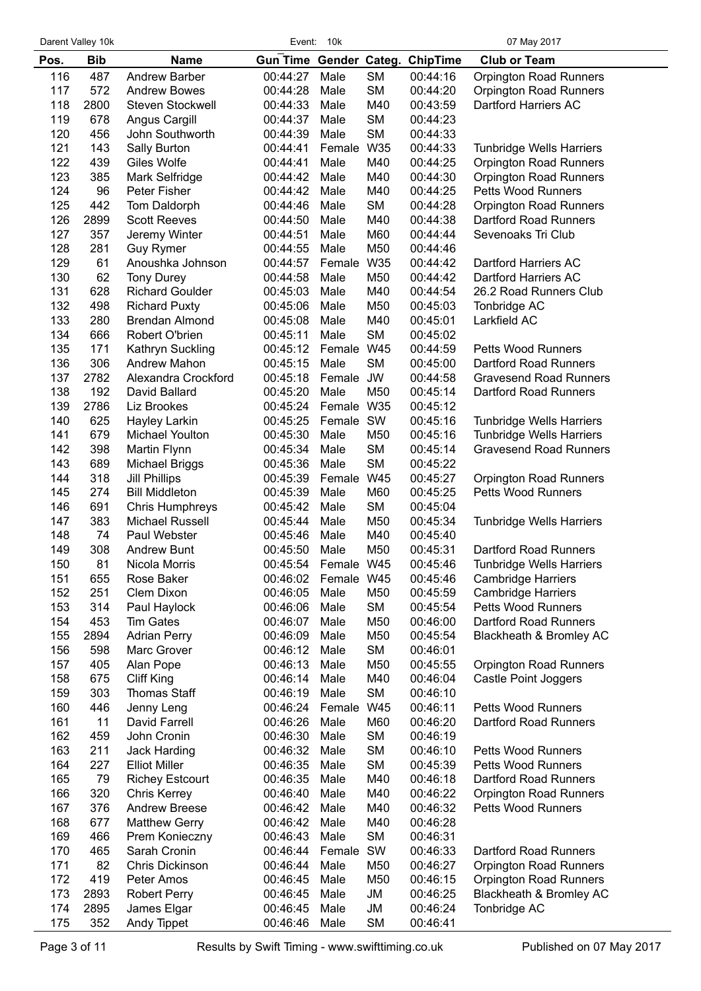| Darent Valley 10k |  |
|-------------------|--|
|                   |  |

|            | Darent Valley 10k |                                        |                        | Event: 10k     |                 |                      | 07 May 2017                                 |
|------------|-------------------|----------------------------------------|------------------------|----------------|-----------------|----------------------|---------------------------------------------|
| Pos.       | <b>Bib</b>        | <b>Name</b>                            | Gun Time Gender Categ. |                |                 | <b>ChipTime</b>      | <b>Club or Team</b>                         |
| 116        | 487               | <b>Andrew Barber</b>                   | 00:44:27               | Male           | <b>SM</b>       | 00:44:16             | <b>Orpington Road Runners</b>               |
| 117        | 572               | <b>Andrew Bowes</b>                    | 00:44:28               | Male           | <b>SM</b>       | 00:44:20             | <b>Orpington Road Runners</b>               |
| 118        | 2800              | Steven Stockwell                       | 00:44:33               | Male           | M40             | 00:43:59             | Dartford Harriers AC                        |
| 119        | 678               | Angus Cargill                          | 00:44:37               | Male           | <b>SM</b>       | 00:44:23             |                                             |
| 120        | 456               | John Southworth                        | 00:44:39               | Male           | <b>SM</b>       | 00:44:33             |                                             |
| 121        | 143               | Sally Burton                           | 00:44:41               | Female         | W35             | 00:44:33             | <b>Tunbridge Wells Harriers</b>             |
| 122        | 439               | Giles Wolfe                            | 00:44:41               | Male           | M40             | 00:44:25             | <b>Orpington Road Runners</b>               |
| 123        | 385               | Mark Selfridge                         | 00:44:42               | Male           | M40             | 00:44:30             | <b>Orpington Road Runners</b>               |
| 124        | 96                | Peter Fisher                           | 00:44:42               | Male           | M40             | 00:44:25             | <b>Petts Wood Runners</b>                   |
| 125        | 442               | Tom Daldorph                           | 00:44:46               | Male           | <b>SM</b>       | 00:44:28             | <b>Orpington Road Runners</b>               |
| 126<br>127 | 2899<br>357       | <b>Scott Reeves</b>                    | 00:44:50<br>00:44:51   | Male<br>Male   | M40<br>M60      | 00:44:38<br>00:44:44 | Dartford Road Runners<br>Sevenoaks Tri Club |
| 128        | 281               | Jeremy Winter<br><b>Guy Rymer</b>      | 00:44:55               | Male           | M50             | 00:44:46             |                                             |
| 129        | 61                | Anoushka Johnson                       | 00:44:57               | Female         | W35             | 00:44:42             | Dartford Harriers AC                        |
| 130        | 62                | <b>Tony Durey</b>                      | 00:44:58               | Male           | M50             | 00:44:42             | Dartford Harriers AC                        |
| 131        | 628               | <b>Richard Goulder</b>                 | 00:45:03               | Male           | M40             | 00:44:54             | 26.2 Road Runners Club                      |
| 132        | 498               | <b>Richard Puxty</b>                   | 00:45:06               | Male           | M50             | 00:45:03             | Tonbridge AC                                |
| 133        | 280               | <b>Brendan Almond</b>                  | 00:45:08               | Male           | M40             | 00:45:01             | Larkfield AC                                |
| 134        | 666               | Robert O'brien                         | 00:45:11               | Male           | <b>SM</b>       | 00:45:02             |                                             |
| 135        | 171               | Kathryn Suckling                       | 00:45:12               | Female         | W45             | 00:44:59             | <b>Petts Wood Runners</b>                   |
| 136        | 306               | Andrew Mahon                           | 00:45:15               | Male           | <b>SM</b>       | 00:45:00             | Dartford Road Runners                       |
| 137        | 2782              | Alexandra Crockford                    | 00:45:18               | Female JW      |                 | 00:44:58             | <b>Gravesend Road Runners</b>               |
| 138        | 192               | David Ballard                          | 00:45:20               | Male           | M50             | 00:45:14             | Dartford Road Runners                       |
| 139        | 2786              | Liz Brookes                            | 00:45:24               | Female W35     |                 | 00:45:12             |                                             |
| 140        | 625               | Hayley Larkin                          | 00:45:25               | Female SW      |                 | 00:45:16             | <b>Tunbridge Wells Harriers</b>             |
| 141        | 679               | Michael Youlton                        | 00:45:30               | Male           | M50             | 00:45:16             | <b>Tunbridge Wells Harriers</b>             |
| 142        | 398               | Martin Flynn                           | 00:45:34               | Male           | <b>SM</b>       | 00:45:14             | <b>Gravesend Road Runners</b>               |
| 143        | 689               | <b>Michael Briggs</b>                  | 00:45:36               | Male           | <b>SM</b>       | 00:45:22             |                                             |
| 144        | 318               | <b>Jill Phillips</b>                   | 00:45:39               | Female         | W45             | 00:45:27             | <b>Orpington Road Runners</b>               |
| 145        | 274               | <b>Bill Middleton</b>                  | 00:45:39               | Male           | M60             | 00:45:25             | <b>Petts Wood Runners</b>                   |
| 146        | 691               | <b>Chris Humphreys</b>                 | 00:45:42               | Male           | <b>SM</b>       | 00:45:04             |                                             |
| 147        | 383               | <b>Michael Russell</b><br>Paul Webster | 00:45:44               | Male           | M50             | 00:45:34             | <b>Tunbridge Wells Harriers</b>             |
| 148<br>149 | 74<br>308         |                                        | 00:45:46               | Male<br>Male   | M40<br>M50      | 00:45:40<br>00:45:31 | Dartford Road Runners                       |
| 150        | 81                | <b>Andrew Bunt</b><br>Nicola Morris    | 00:45:50<br>00:45:54   | Female W45     |                 | 00:45:46             | Tunbridge Wells Harriers                    |
| 151        | 655               | Rose Baker                             | 00:46:02               | Female W45     |                 | 00:45:46             | <b>Cambridge Harriers</b>                   |
| 152        | 251               | Clem Dixon                             | 00:46:05               | Male           | M50             | 00:45:59             | <b>Cambridge Harriers</b>                   |
| 153        | 314               | Paul Haylock                           | 00:46:06               | Male           | <b>SM</b>       | 00:45:54             | <b>Petts Wood Runners</b>                   |
| 154        | 453               | <b>Tim Gates</b>                       | 00:46:07               | Male           | M50             | 00:46:00             | Dartford Road Runners                       |
| 155        | 2894              | <b>Adrian Perry</b>                    | 00:46:09               | Male           | M50             | 00:45:54             | Blackheath & Bromley AC                     |
| 156        | 598               | Marc Grover                            | 00:46:12               | Male           | <b>SM</b>       | 00:46:01             |                                             |
| 157        | 405               | Alan Pope                              | 00:46:13               | Male           | M50             | 00:45:55             | <b>Orpington Road Runners</b>               |
| 158        | 675               | Cliff King                             | 00:46:14               | Male           | M40             | 00:46:04             | Castle Point Joggers                        |
| 159        | 303               | <b>Thomas Staff</b>                    | 00:46:19               | Male           | <b>SM</b>       | 00:46:10             |                                             |
| 160        | 446               | Jenny Leng                             | 00:46:24               | Female         | W45             | 00:46:11             | <b>Petts Wood Runners</b>                   |
| 161        | 11                | David Farrell                          | 00:46:26               | Male           | M60             | 00:46:20             | Dartford Road Runners                       |
| 162        | 459               | John Cronin                            | 00:46:30               | Male           | <b>SM</b>       | 00:46:19             |                                             |
| 163        | 211               | Jack Harding                           | 00:46:32               | Male           | <b>SM</b>       | 00:46:10             | <b>Petts Wood Runners</b>                   |
| 164        | 227               | <b>Elliot Miller</b>                   | 00:46:35               | Male           | <b>SM</b>       | 00:45:39             | <b>Petts Wood Runners</b>                   |
| 165        | 79                | <b>Richey Estcourt</b>                 | 00:46:35               | Male           | M40             | 00:46:18             | Dartford Road Runners                       |
| 166        | 320               | <b>Chris Kerrey</b>                    | 00:46:40               | Male           | M40             | 00:46:22             | <b>Orpington Road Runners</b>               |
| 167        | 376               | <b>Andrew Breese</b>                   | 00:46:42               | Male           | M40             | 00:46:32             | Petts Wood Runners                          |
| 168        | 677               | <b>Matthew Gerry</b>                   | 00:46:42               | Male           | M40             | 00:46:28             |                                             |
| 169<br>170 | 466<br>465        | Prem Konieczny<br>Sarah Cronin         | 00:46:43<br>00:46:44   | Male<br>Female | <b>SM</b><br>SW | 00:46:31<br>00:46:33 | Dartford Road Runners                       |
| 171        | 82                | Chris Dickinson                        | 00:46:44               | Male           | M50             | 00:46:27             | <b>Orpington Road Runners</b>               |
| 172        | 419               | Peter Amos                             | 00:46:45               | Male           | M50             | 00:46:15             | <b>Orpington Road Runners</b>               |
| 173        | 2893              | <b>Robert Perry</b>                    | 00:46:45               | Male           | JM              | 00:46:25             | Blackheath & Bromley AC                     |
| 174        | 2895              | James Elgar                            | 00:46:45               | Male           | JM              | 00:46:24             | Tonbridge AC                                |
| 175        | 352               | Andy Tippet                            | 00:46:46               | Male           | <b>SM</b>       | 00:46:41             |                                             |
|            |                   |                                        |                        |                |                 |                      |                                             |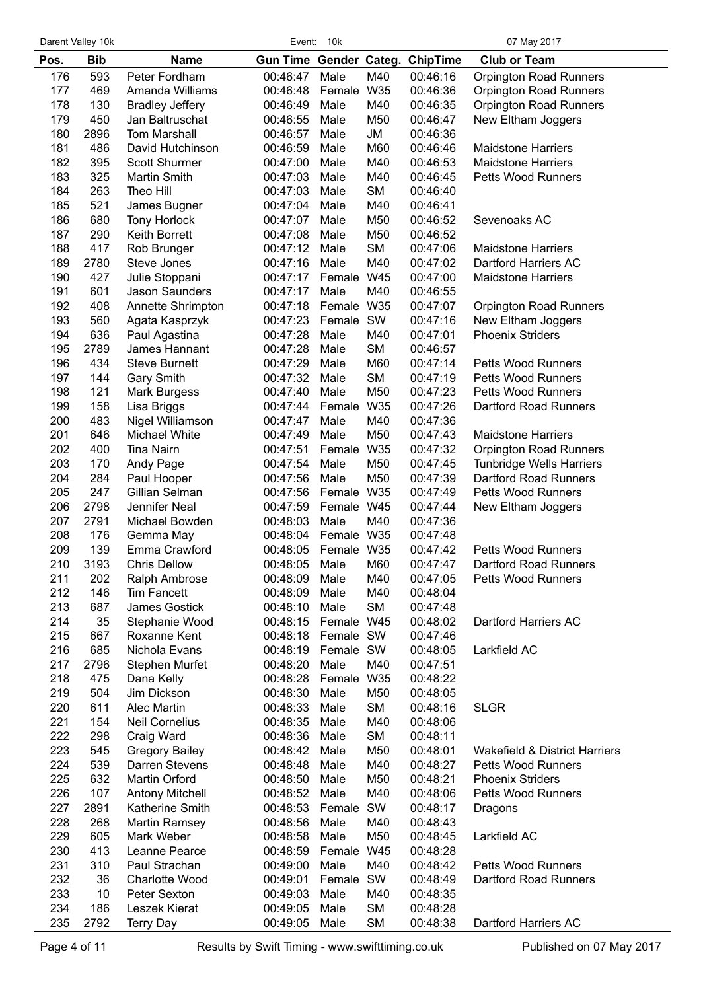$\overline{\phantom{0}}$ 

|            | Darent Valley 10k |                                    | Event:               | 10k                |            |                                 | 07 May 2017                              |
|------------|-------------------|------------------------------------|----------------------|--------------------|------------|---------------------------------|------------------------------------------|
| Pos.       | <b>Bib</b>        | <b>Name</b>                        |                      |                    |            | Gun Time Gender Categ. ChipTime | <b>Club or Team</b>                      |
| 176        | 593               | Peter Fordham                      | 00:46:47             | Male               | M40        | 00:46:16                        | <b>Orpington Road Runners</b>            |
| 177        | 469               | Amanda Williams                    | 00:46:48             | Female             | W35        | 00:46:36                        | <b>Orpington Road Runners</b>            |
| 178        | 130               | <b>Bradley Jeffery</b>             | 00:46:49             | Male               | M40        | 00:46:35                        | <b>Orpington Road Runners</b>            |
| 179        | 450               | Jan Baltruschat                    | 00:46:55             | Male               | M50        | 00:46:47                        | New Eltham Joggers                       |
| 180        | 2896              | <b>Tom Marshall</b>                | 00:46:57             | Male               | JM         | 00:46:36                        |                                          |
| 181        | 486               | David Hutchinson                   | 00:46:59             | Male               | M60        | 00:46:46                        | <b>Maidstone Harriers</b>                |
| 182        | 395               | Scott Shurmer                      | 00:47:00             | Male               | M40        | 00:46:53                        | <b>Maidstone Harriers</b>                |
| 183        | 325               | <b>Martin Smith</b>                | 00:47:03             | Male               | M40        | 00:46:45                        | <b>Petts Wood Runners</b>                |
| 184        | 263               | Theo Hill                          | 00:47:03             | Male               | <b>SM</b>  | 00:46:40                        |                                          |
| 185        | 521               | James Bugner                       | 00:47:04             | Male               | M40        | 00:46:41                        | Sevenoaks AC                             |
| 186<br>187 | 680<br>290        | Tony Horlock<br>Keith Borrett      | 00:47:07<br>00:47:08 | Male<br>Male       | M50<br>M50 | 00:46:52<br>00:46:52            |                                          |
| 188        | 417               | Rob Brunger                        | 00:47:12             | Male               | <b>SM</b>  | 00:47:06                        | <b>Maidstone Harriers</b>                |
| 189        | 2780              | Steve Jones                        | 00:47:16             | Male               | M40        | 00:47:02                        | Dartford Harriers AC                     |
| 190        | 427               | Julie Stoppani                     | 00:47:17             | Female             | W45        | 00:47:00                        | <b>Maidstone Harriers</b>                |
| 191        | 601               | Jason Saunders                     | 00:47:17             | Male               | M40        | 00:46:55                        |                                          |
| 192        | 408               | Annette Shrimpton                  | 00:47:18             | Female W35         |            | 00:47:07                        | <b>Orpington Road Runners</b>            |
| 193        | 560               | Agata Kasprzyk                     | 00:47:23             | Female             | SW         | 00:47:16                        | New Eltham Joggers                       |
| 194        | 636               | Paul Agastina                      | 00:47:28             | Male               | M40        | 00:47:01                        | <b>Phoenix Striders</b>                  |
| 195        | 2789              | James Hannant                      | 00:47:28             | Male               | <b>SM</b>  | 00:46:57                        |                                          |
| 196        | 434               | <b>Steve Burnett</b>               | 00:47:29             | Male               | M60        | 00:47:14                        | <b>Petts Wood Runners</b>                |
| 197        | 144               | <b>Gary Smith</b>                  | 00:47:32             | Male               | <b>SM</b>  | 00:47:19                        | <b>Petts Wood Runners</b>                |
| 198        | 121               | <b>Mark Burgess</b>                | 00:47:40             | Male               | M50        | 00:47:23                        | <b>Petts Wood Runners</b>                |
| 199        | 158               | Lisa Briggs                        | 00:47:44             | Female             | W35        | 00:47:26                        | Dartford Road Runners                    |
| 200        | 483               | Nigel Williamson                   | 00:47:47             | Male               | M40        | 00:47:36                        |                                          |
| 201        | 646               | Michael White                      | 00:47:49             | Male               | M50        | 00:47:43                        | <b>Maidstone Harriers</b>                |
| 202        | 400               | <b>Tina Nairn</b>                  | 00:47:51             | Female             | W35        | 00:47:32                        | <b>Orpington Road Runners</b>            |
| 203        | 170               | Andy Page                          | 00:47:54             | Male               | M50        | 00:47:45                        | <b>Tunbridge Wells Harriers</b>          |
| 204        | 284               | Paul Hooper                        | 00:47:56             | Male               | M50        | 00:47:39                        | Dartford Road Runners                    |
| 205        | 247               | Gillian Selman                     | 00:47:56             | Female             | W35        | 00:47:49                        | <b>Petts Wood Runners</b>                |
| 206        | 2798              | Jennifer Neal                      | 00:47:59             | Female W45         |            | 00:47:44                        | New Eltham Joggers                       |
| 207<br>208 | 2791<br>176       | Michael Bowden<br>Gemma May        | 00:48:03<br>00:48:04 | Male<br>Female W35 | M40        | 00:47:36<br>00:47:48            |                                          |
| 209        | 139               | Emma Crawford                      | 00:48:05             | Female W35         |            | 00:47:42                        | <b>Petts Wood Runners</b>                |
| 210        | 3193              | <b>Chris Dellow</b>                | 00:48:05             | Male               | M60        | 00:47:47                        | Dartford Road Runners                    |
| 211        | 202               | Ralph Ambrose                      | 00:48:09             | Male               | M40        | 00:47:05                        | <b>Petts Wood Runners</b>                |
| 212        | 146               | <b>Tim Fancett</b>                 | 00:48:09             | Male               | M40        | 00:48:04                        |                                          |
| 213        | 687               | James Gostick                      | 00:48:10             | Male               | <b>SM</b>  | 00:47:48                        |                                          |
| 214        | 35                | Stephanie Wood                     | 00:48:15             | Female W45         |            | 00:48:02                        | Dartford Harriers AC                     |
| 215        | 667               | Roxanne Kent                       | 00:48:18             | Female SW          |            | 00:47:46                        |                                          |
| 216        | 685               | Nichola Evans                      | 00:48:19             | Female SW          |            | 00:48:05                        | Larkfield AC                             |
| 217        | 2796              | Stephen Murfet                     | 00:48:20             | Male               | M40        | 00:47:51                        |                                          |
| 218        | 475               | Dana Kelly                         | 00:48:28             | Female             | <b>W35</b> | 00:48:22                        |                                          |
| 219        | 504               | Jim Dickson                        | 00:48:30             | Male               | M50        | 00:48:05                        |                                          |
| 220        | 611               | <b>Alec Martin</b>                 | 00:48:33             | Male               | <b>SM</b>  | 00:48:16                        | <b>SLGR</b>                              |
| 221        | 154               | <b>Neil Cornelius</b>              | 00:48:35             | Male               | M40        | 00:48:06                        |                                          |
| 222        | 298               | Craig Ward                         | 00:48:36             | Male               | <b>SM</b>  | 00:48:11                        |                                          |
| 223        | 545               | <b>Gregory Bailey</b>              | 00:48:42             | Male               | M50        | 00:48:01                        | <b>Wakefield &amp; District Harriers</b> |
| 224        | 539               | Darren Stevens                     | 00:48:48             | Male               | M40        | 00:48:27                        | <b>Petts Wood Runners</b>                |
| 225        | 632               | Martin Orford                      | 00:48:50             | Male               | M50        | 00:48:21                        | <b>Phoenix Striders</b>                  |
| 226        | 107               | <b>Antony Mitchell</b>             | 00:48:52             | Male               | M40        | 00:48:06                        | Petts Wood Runners                       |
| 227<br>228 | 2891<br>268       | Katherine Smith                    | 00:48:53<br>00:48:56 | Female             | SW<br>M40  | 00:48:17                        | Dragons                                  |
| 229        | 605               | <b>Martin Ramsey</b><br>Mark Weber | 00:48:58             | Male<br>Male       | M50        | 00:48:43<br>00:48:45            | Larkfield AC                             |
| 230        | 413               | Leanne Pearce                      | 00:48:59             | Female W45         |            | 00:48:28                        |                                          |
| 231        | 310               | Paul Strachan                      | 00:49:00             | Male               | M40        | 00:48:42                        | <b>Petts Wood Runners</b>                |
| 232        | 36                | Charlotte Wood                     | 00:49:01             | Female SW          |            | 00:48:49                        | Dartford Road Runners                    |
| 233        | 10                | Peter Sexton                       | 00:49:03             | Male               | M40        | 00:48:35                        |                                          |
| 234        | 186               | Leszek Kierat                      | 00:49:05             | Male               | <b>SM</b>  | 00:48:28                        |                                          |
| 235        | 2792              | <b>Terry Day</b>                   | 00:49:05             | Male               | <b>SM</b>  | 00:48:38                        | Dartford Harriers AC                     |
|            |                   |                                    |                      |                    |            |                                 |                                          |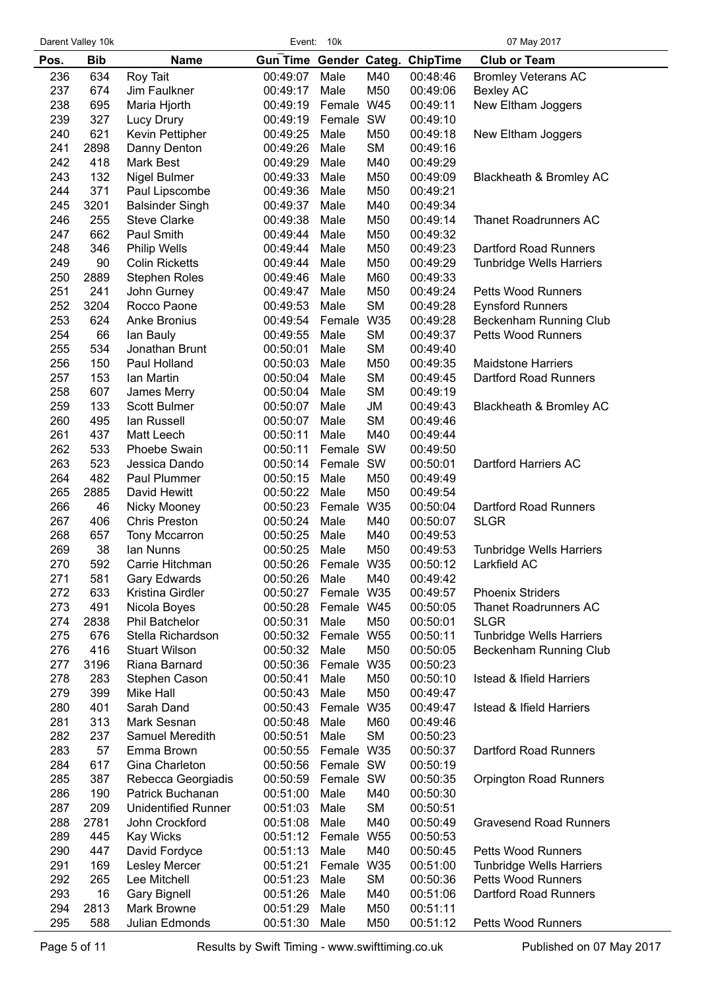| Gun Time Gender Categ. ChipTime<br><b>Bib</b><br><b>Club or Team</b><br>Pos.<br><b>Name</b><br>236<br>634<br>M40<br>Roy Tait<br>00:49:07<br>Male<br>00:48:46<br><b>Bromley Veterans AC</b><br>237<br>674<br>Jim Faulkner<br>M50<br>00:49:17<br>Male<br>00:49:06<br><b>Bexley AC</b><br>238<br>Female W45<br>695<br>Maria Hjorth<br>00:49:19<br>00:49:11<br>New Eltham Joggers<br>239<br>327<br>Female SW<br>Lucy Drury<br>00:49:19<br>00:49:10<br>240<br>621<br>Kevin Pettipher<br>00:49:25<br>Male<br>M50<br>00:49:18<br>New Eltham Joggers<br>241<br><b>SM</b><br>2898<br>Danny Denton<br>00:49:26<br>Male<br>00:49:16<br>242<br>418<br>M40<br><b>Mark Best</b><br>00:49:29<br>Male<br>00:49:29<br>243<br>132<br>M50<br>Blackheath & Bromley AC<br>Nigel Bulmer<br>00:49:33<br>Male<br>00:49:09<br>244<br>371<br>M50<br>Paul Lipscombe<br>00:49:36<br>Male<br>00:49:21<br>245<br>3201<br>M40<br><b>Balsinder Singh</b><br>00:49:37<br>Male<br>00:49:34<br>246<br>M50<br>255<br><b>Steve Clarke</b><br>00:49:38<br>Male<br>00:49:14<br>Thanet Roadrunners AC<br>247<br>662<br>M50<br>Paul Smith<br>00:49:44<br>Male<br>00:49:32<br>248<br>Dartford Road Runners<br>346<br>00:49:44<br>Male<br>M50<br>00:49:23<br><b>Philip Wells</b><br>249<br>90<br>M50<br><b>Colin Ricketts</b><br>00:49:44<br>Male<br>00:49:29<br><b>Tunbridge Wells Harriers</b><br>250<br>M60<br>2889<br>00:49:46<br>Male<br>00:49:33<br><b>Stephen Roles</b><br>251<br>241<br>M50<br>John Gurney<br>00:49:47<br>Male<br>00:49:24<br><b>Petts Wood Runners</b><br>252<br>3204<br><b>SM</b><br>Rocco Paone<br>00:49:53<br>Male<br>00:49:28<br><b>Eynsford Runners</b><br>253<br>624<br>W35<br><b>Anke Bronius</b><br>00:49:54<br>Female<br>00:49:28<br>Beckenham Running Club<br>254<br>66<br><b>SM</b><br>00:49:55<br>Male<br>00:49:37<br>Petts Wood Runners<br>lan Bauly<br>255<br>534<br><b>SM</b><br>Jonathan Brunt<br>00:50:01<br>Male<br>00:49:40<br>256<br>150<br><b>Maidstone Harriers</b><br>Paul Holland<br>00:50:03<br>Male<br>M50<br>00:49:35<br>257<br>153<br><b>SM</b><br>Dartford Road Runners<br>Ian Martin<br>00:50:04<br>Male<br>00:49:45<br>258<br>607<br><b>SM</b><br>James Merry<br>00:50:04<br>Male<br>00:49:19<br>259<br>133<br>JM<br>Blackheath & Bromley AC<br>Scott Bulmer<br>00:50:07<br>Male<br>00:49:43<br><b>SM</b><br>260<br>495<br>lan Russell<br>00:50:07<br>Male<br>00:49:46<br>261<br>437<br>M40<br>Matt Leech<br>00:50:11<br>Male<br>00:49:44<br>262<br>533<br>Female SW<br>Phoebe Swain<br>00:50:11<br>00:49:50<br>263<br>523<br>Female SW<br>Jessica Dando<br>00:50:14<br>00:50:01<br>Dartford Harriers AC<br>264<br>482<br>Paul Plummer<br>00:50:15<br>Male<br>M50<br>00:49:49<br>265<br>2885<br>M50<br>David Hewitt<br>00:50:22<br>Male<br>00:49:54<br>266<br>Female W35<br>46<br>Nicky Mooney<br>00:50:23<br>00:50:04<br><b>Dartford Road Runners</b><br>267<br>406<br>M40<br><b>Chris Preston</b><br>00:50:24<br>Male<br>00:50:07<br><b>SLGR</b><br>268<br>M40<br>657<br>Tony Mccarron<br>00:50:25<br>Male<br>00:49:53<br>269<br>38<br>lan Nunns<br>00:50:25<br>Male<br>M50<br>00:49:53<br><b>Tunbridge Wells Harriers</b><br>270<br>592<br>Carrie Hitchman<br>00:50:26<br>Female W35<br>Larkfield AC<br>00:50:12<br>271<br>581<br>Gary Edwards<br>00:50:26<br>Male<br>M40<br>00:49:42<br>272<br>633<br>Female W35<br>Kristina Girdler<br>00:50:27<br>00:49:57<br><b>Phoenix Striders</b><br>273<br>491<br>Nicola Boyes<br>00:50:28<br>Female W45<br>00:50:05<br>Thanet Roadrunners AC<br>274<br>2838<br>Phil Batchelor<br>00:50:31<br>Male<br>M50<br>00:50:01<br><b>SLGR</b><br>275<br>Stella Richardson<br>Female W55<br>676<br>00:50:32<br>00:50:11<br><b>Tunbridge Wells Harriers</b><br>276<br>416<br><b>Stuart Wilson</b><br>00:50:32<br>Male<br>M50<br>00:50:05<br>Beckenham Running Club<br>277<br>Female W35<br>3196<br>Riana Barnard<br>00:50:36<br>00:50:23<br>278<br>Istead & Ifield Harriers<br>283<br>00:50:41<br>Male<br>M50<br>00:50:10<br>Stephen Cason<br>279<br>M50<br>399<br>Mike Hall<br>00:50:43<br>Male<br>00:49:47<br>280<br><b>Istead &amp; Ifield Harriers</b><br>401<br>Sarah Dand<br>00:50:43<br>Female<br>W35<br>00:49:47<br>281<br>313<br>Mark Sesnan<br>00:50:48<br>Male<br>M60<br>00:49:46<br>282<br><b>SM</b><br>237<br>Samuel Meredith<br>00:50:51<br>Male<br>00:50:23<br>283<br>57<br>Female W35<br><b>Dartford Road Runners</b><br>Emma Brown<br>00:50:55<br>00:50:37<br>284<br>617<br>Gina Charleton<br>00:50:56<br>Female SW<br>00:50:19<br>285<br>387<br>Rebecca Georgiadis<br>00:50:59<br>Female SW<br>00:50:35<br><b>Orpington Road Runners</b><br>286<br>190<br>Patrick Buchanan<br>00:51:00<br>Male<br>M40<br>00:50:30<br>287<br>209<br><b>SM</b><br><b>Unidentified Runner</b><br>00:51:03<br>Male<br>00:50:51<br>288<br>2781<br>John Crockford<br>00:51:08<br>Male<br>M40<br>00:50:49<br><b>Gravesend Road Runners</b><br>289<br>445<br><b>Kay Wicks</b><br>00:51:12<br>Female<br>W55<br>00:50:53<br>290<br>447<br>David Fordyce<br>00:51:13<br>Male<br>M40<br>00:50:45<br>Petts Wood Runners<br>291<br>169<br>00:51:00<br>Lesley Mercer<br>00:51:21<br>Female W35<br><b>Tunbridge Wells Harriers</b><br>292<br>265<br>SM<br><b>Petts Wood Runners</b><br>Lee Mitchell<br>00:51:23<br>Male<br>00:50:36<br>293<br>16<br><b>Gary Bignell</b><br>00:51:26<br>Male<br>M40<br>00:51:06<br>Dartford Road Runners<br>294<br>2813<br>Mark Browne<br>00:51:29<br>Male<br>M50<br>00:51:11<br>295<br>588<br>Julian Edmonds<br>00:51:30<br>Male<br>M50<br>00:51:12<br>Petts Wood Runners | Darent Valley 10k | 10k<br>07 May 2017<br>Event: |  |  |  |  |  |
|------------------------------------------------------------------------------------------------------------------------------------------------------------------------------------------------------------------------------------------------------------------------------------------------------------------------------------------------------------------------------------------------------------------------------------------------------------------------------------------------------------------------------------------------------------------------------------------------------------------------------------------------------------------------------------------------------------------------------------------------------------------------------------------------------------------------------------------------------------------------------------------------------------------------------------------------------------------------------------------------------------------------------------------------------------------------------------------------------------------------------------------------------------------------------------------------------------------------------------------------------------------------------------------------------------------------------------------------------------------------------------------------------------------------------------------------------------------------------------------------------------------------------------------------------------------------------------------------------------------------------------------------------------------------------------------------------------------------------------------------------------------------------------------------------------------------------------------------------------------------------------------------------------------------------------------------------------------------------------------------------------------------------------------------------------------------------------------------------------------------------------------------------------------------------------------------------------------------------------------------------------------------------------------------------------------------------------------------------------------------------------------------------------------------------------------------------------------------------------------------------------------------------------------------------------------------------------------------------------------------------------------------------------------------------------------------------------------------------------------------------------------------------------------------------------------------------------------------------------------------------------------------------------------------------------------------------------------------------------------------------------------------------------------------------------------------------------------------------------------------------------------------------------------------------------------------------------------------------------------------------------------------------------------------------------------------------------------------------------------------------------------------------------------------------------------------------------------------------------------------------------------------------------------------------------------------------------------------------------------------------------------------------------------------------------------------------------------------------------------------------------------------------------------------------------------------------------------------------------------------------------------------------------------------------------------------------------------------------------------------------------------------------------------------------------------------------------------------------------------------------------------------------------------------------------------------------------------------------------------------------------------------------------------------------------------------------------------------------------------------------------------------------------------------------------------------------------------------------------------------------------------------------------------------------------------------------------------------------------------------------------------------------------------------------------------------------------------------------------------------------------------------------------------------------------------------------------------------------------------------------------------------------------------------------------------------------------------------------------------------------------------------------------------------------------------------------------------------------------------------------------------------------------------------------------------------------------------------------------------------------------------------------------------------------------------------------------------------------------------------------------------------------------------------------------------------------------------------------------------------------------------------------------------|-------------------|------------------------------|--|--|--|--|--|
|                                                                                                                                                                                                                                                                                                                                                                                                                                                                                                                                                                                                                                                                                                                                                                                                                                                                                                                                                                                                                                                                                                                                                                                                                                                                                                                                                                                                                                                                                                                                                                                                                                                                                                                                                                                                                                                                                                                                                                                                                                                                                                                                                                                                                                                                                                                                                                                                                                                                                                                                                                                                                                                                                                                                                                                                                                                                                                                                                                                                                                                                                                                                                                                                                                                                                                                                                                                                                                                                                                                                                                                                                                                                                                                                                                                                                                                                                                                                                                                                                                                                                                                                                                                                                                                                                                                                                                                                                                                                                                                                                                                                                                                                                                                                                                                                                                                                                                                                                                                                                                                                                                                                                                                                                                                                                                                                                                                                                                                                                                                                          |                   |                              |  |  |  |  |  |
|                                                                                                                                                                                                                                                                                                                                                                                                                                                                                                                                                                                                                                                                                                                                                                                                                                                                                                                                                                                                                                                                                                                                                                                                                                                                                                                                                                                                                                                                                                                                                                                                                                                                                                                                                                                                                                                                                                                                                                                                                                                                                                                                                                                                                                                                                                                                                                                                                                                                                                                                                                                                                                                                                                                                                                                                                                                                                                                                                                                                                                                                                                                                                                                                                                                                                                                                                                                                                                                                                                                                                                                                                                                                                                                                                                                                                                                                                                                                                                                                                                                                                                                                                                                                                                                                                                                                                                                                                                                                                                                                                                                                                                                                                                                                                                                                                                                                                                                                                                                                                                                                                                                                                                                                                                                                                                                                                                                                                                                                                                                                          |                   |                              |  |  |  |  |  |
|                                                                                                                                                                                                                                                                                                                                                                                                                                                                                                                                                                                                                                                                                                                                                                                                                                                                                                                                                                                                                                                                                                                                                                                                                                                                                                                                                                                                                                                                                                                                                                                                                                                                                                                                                                                                                                                                                                                                                                                                                                                                                                                                                                                                                                                                                                                                                                                                                                                                                                                                                                                                                                                                                                                                                                                                                                                                                                                                                                                                                                                                                                                                                                                                                                                                                                                                                                                                                                                                                                                                                                                                                                                                                                                                                                                                                                                                                                                                                                                                                                                                                                                                                                                                                                                                                                                                                                                                                                                                                                                                                                                                                                                                                                                                                                                                                                                                                                                                                                                                                                                                                                                                                                                                                                                                                                                                                                                                                                                                                                                                          |                   |                              |  |  |  |  |  |
|                                                                                                                                                                                                                                                                                                                                                                                                                                                                                                                                                                                                                                                                                                                                                                                                                                                                                                                                                                                                                                                                                                                                                                                                                                                                                                                                                                                                                                                                                                                                                                                                                                                                                                                                                                                                                                                                                                                                                                                                                                                                                                                                                                                                                                                                                                                                                                                                                                                                                                                                                                                                                                                                                                                                                                                                                                                                                                                                                                                                                                                                                                                                                                                                                                                                                                                                                                                                                                                                                                                                                                                                                                                                                                                                                                                                                                                                                                                                                                                                                                                                                                                                                                                                                                                                                                                                                                                                                                                                                                                                                                                                                                                                                                                                                                                                                                                                                                                                                                                                                                                                                                                                                                                                                                                                                                                                                                                                                                                                                                                                          |                   |                              |  |  |  |  |  |
|                                                                                                                                                                                                                                                                                                                                                                                                                                                                                                                                                                                                                                                                                                                                                                                                                                                                                                                                                                                                                                                                                                                                                                                                                                                                                                                                                                                                                                                                                                                                                                                                                                                                                                                                                                                                                                                                                                                                                                                                                                                                                                                                                                                                                                                                                                                                                                                                                                                                                                                                                                                                                                                                                                                                                                                                                                                                                                                                                                                                                                                                                                                                                                                                                                                                                                                                                                                                                                                                                                                                                                                                                                                                                                                                                                                                                                                                                                                                                                                                                                                                                                                                                                                                                                                                                                                                                                                                                                                                                                                                                                                                                                                                                                                                                                                                                                                                                                                                                                                                                                                                                                                                                                                                                                                                                                                                                                                                                                                                                                                                          |                   |                              |  |  |  |  |  |
|                                                                                                                                                                                                                                                                                                                                                                                                                                                                                                                                                                                                                                                                                                                                                                                                                                                                                                                                                                                                                                                                                                                                                                                                                                                                                                                                                                                                                                                                                                                                                                                                                                                                                                                                                                                                                                                                                                                                                                                                                                                                                                                                                                                                                                                                                                                                                                                                                                                                                                                                                                                                                                                                                                                                                                                                                                                                                                                                                                                                                                                                                                                                                                                                                                                                                                                                                                                                                                                                                                                                                                                                                                                                                                                                                                                                                                                                                                                                                                                                                                                                                                                                                                                                                                                                                                                                                                                                                                                                                                                                                                                                                                                                                                                                                                                                                                                                                                                                                                                                                                                                                                                                                                                                                                                                                                                                                                                                                                                                                                                                          |                   |                              |  |  |  |  |  |
|                                                                                                                                                                                                                                                                                                                                                                                                                                                                                                                                                                                                                                                                                                                                                                                                                                                                                                                                                                                                                                                                                                                                                                                                                                                                                                                                                                                                                                                                                                                                                                                                                                                                                                                                                                                                                                                                                                                                                                                                                                                                                                                                                                                                                                                                                                                                                                                                                                                                                                                                                                                                                                                                                                                                                                                                                                                                                                                                                                                                                                                                                                                                                                                                                                                                                                                                                                                                                                                                                                                                                                                                                                                                                                                                                                                                                                                                                                                                                                                                                                                                                                                                                                                                                                                                                                                                                                                                                                                                                                                                                                                                                                                                                                                                                                                                                                                                                                                                                                                                                                                                                                                                                                                                                                                                                                                                                                                                                                                                                                                                          |                   |                              |  |  |  |  |  |
|                                                                                                                                                                                                                                                                                                                                                                                                                                                                                                                                                                                                                                                                                                                                                                                                                                                                                                                                                                                                                                                                                                                                                                                                                                                                                                                                                                                                                                                                                                                                                                                                                                                                                                                                                                                                                                                                                                                                                                                                                                                                                                                                                                                                                                                                                                                                                                                                                                                                                                                                                                                                                                                                                                                                                                                                                                                                                                                                                                                                                                                                                                                                                                                                                                                                                                                                                                                                                                                                                                                                                                                                                                                                                                                                                                                                                                                                                                                                                                                                                                                                                                                                                                                                                                                                                                                                                                                                                                                                                                                                                                                                                                                                                                                                                                                                                                                                                                                                                                                                                                                                                                                                                                                                                                                                                                                                                                                                                                                                                                                                          |                   |                              |  |  |  |  |  |
|                                                                                                                                                                                                                                                                                                                                                                                                                                                                                                                                                                                                                                                                                                                                                                                                                                                                                                                                                                                                                                                                                                                                                                                                                                                                                                                                                                                                                                                                                                                                                                                                                                                                                                                                                                                                                                                                                                                                                                                                                                                                                                                                                                                                                                                                                                                                                                                                                                                                                                                                                                                                                                                                                                                                                                                                                                                                                                                                                                                                                                                                                                                                                                                                                                                                                                                                                                                                                                                                                                                                                                                                                                                                                                                                                                                                                                                                                                                                                                                                                                                                                                                                                                                                                                                                                                                                                                                                                                                                                                                                                                                                                                                                                                                                                                                                                                                                                                                                                                                                                                                                                                                                                                                                                                                                                                                                                                                                                                                                                                                                          |                   |                              |  |  |  |  |  |
|                                                                                                                                                                                                                                                                                                                                                                                                                                                                                                                                                                                                                                                                                                                                                                                                                                                                                                                                                                                                                                                                                                                                                                                                                                                                                                                                                                                                                                                                                                                                                                                                                                                                                                                                                                                                                                                                                                                                                                                                                                                                                                                                                                                                                                                                                                                                                                                                                                                                                                                                                                                                                                                                                                                                                                                                                                                                                                                                                                                                                                                                                                                                                                                                                                                                                                                                                                                                                                                                                                                                                                                                                                                                                                                                                                                                                                                                                                                                                                                                                                                                                                                                                                                                                                                                                                                                                                                                                                                                                                                                                                                                                                                                                                                                                                                                                                                                                                                                                                                                                                                                                                                                                                                                                                                                                                                                                                                                                                                                                                                                          |                   |                              |  |  |  |  |  |
|                                                                                                                                                                                                                                                                                                                                                                                                                                                                                                                                                                                                                                                                                                                                                                                                                                                                                                                                                                                                                                                                                                                                                                                                                                                                                                                                                                                                                                                                                                                                                                                                                                                                                                                                                                                                                                                                                                                                                                                                                                                                                                                                                                                                                                                                                                                                                                                                                                                                                                                                                                                                                                                                                                                                                                                                                                                                                                                                                                                                                                                                                                                                                                                                                                                                                                                                                                                                                                                                                                                                                                                                                                                                                                                                                                                                                                                                                                                                                                                                                                                                                                                                                                                                                                                                                                                                                                                                                                                                                                                                                                                                                                                                                                                                                                                                                                                                                                                                                                                                                                                                                                                                                                                                                                                                                                                                                                                                                                                                                                                                          |                   |                              |  |  |  |  |  |
|                                                                                                                                                                                                                                                                                                                                                                                                                                                                                                                                                                                                                                                                                                                                                                                                                                                                                                                                                                                                                                                                                                                                                                                                                                                                                                                                                                                                                                                                                                                                                                                                                                                                                                                                                                                                                                                                                                                                                                                                                                                                                                                                                                                                                                                                                                                                                                                                                                                                                                                                                                                                                                                                                                                                                                                                                                                                                                                                                                                                                                                                                                                                                                                                                                                                                                                                                                                                                                                                                                                                                                                                                                                                                                                                                                                                                                                                                                                                                                                                                                                                                                                                                                                                                                                                                                                                                                                                                                                                                                                                                                                                                                                                                                                                                                                                                                                                                                                                                                                                                                                                                                                                                                                                                                                                                                                                                                                                                                                                                                                                          |                   |                              |  |  |  |  |  |
|                                                                                                                                                                                                                                                                                                                                                                                                                                                                                                                                                                                                                                                                                                                                                                                                                                                                                                                                                                                                                                                                                                                                                                                                                                                                                                                                                                                                                                                                                                                                                                                                                                                                                                                                                                                                                                                                                                                                                                                                                                                                                                                                                                                                                                                                                                                                                                                                                                                                                                                                                                                                                                                                                                                                                                                                                                                                                                                                                                                                                                                                                                                                                                                                                                                                                                                                                                                                                                                                                                                                                                                                                                                                                                                                                                                                                                                                                                                                                                                                                                                                                                                                                                                                                                                                                                                                                                                                                                                                                                                                                                                                                                                                                                                                                                                                                                                                                                                                                                                                                                                                                                                                                                                                                                                                                                                                                                                                                                                                                                                                          |                   |                              |  |  |  |  |  |
|                                                                                                                                                                                                                                                                                                                                                                                                                                                                                                                                                                                                                                                                                                                                                                                                                                                                                                                                                                                                                                                                                                                                                                                                                                                                                                                                                                                                                                                                                                                                                                                                                                                                                                                                                                                                                                                                                                                                                                                                                                                                                                                                                                                                                                                                                                                                                                                                                                                                                                                                                                                                                                                                                                                                                                                                                                                                                                                                                                                                                                                                                                                                                                                                                                                                                                                                                                                                                                                                                                                                                                                                                                                                                                                                                                                                                                                                                                                                                                                                                                                                                                                                                                                                                                                                                                                                                                                                                                                                                                                                                                                                                                                                                                                                                                                                                                                                                                                                                                                                                                                                                                                                                                                                                                                                                                                                                                                                                                                                                                                                          |                   |                              |  |  |  |  |  |
|                                                                                                                                                                                                                                                                                                                                                                                                                                                                                                                                                                                                                                                                                                                                                                                                                                                                                                                                                                                                                                                                                                                                                                                                                                                                                                                                                                                                                                                                                                                                                                                                                                                                                                                                                                                                                                                                                                                                                                                                                                                                                                                                                                                                                                                                                                                                                                                                                                                                                                                                                                                                                                                                                                                                                                                                                                                                                                                                                                                                                                                                                                                                                                                                                                                                                                                                                                                                                                                                                                                                                                                                                                                                                                                                                                                                                                                                                                                                                                                                                                                                                                                                                                                                                                                                                                                                                                                                                                                                                                                                                                                                                                                                                                                                                                                                                                                                                                                                                                                                                                                                                                                                                                                                                                                                                                                                                                                                                                                                                                                                          |                   |                              |  |  |  |  |  |
|                                                                                                                                                                                                                                                                                                                                                                                                                                                                                                                                                                                                                                                                                                                                                                                                                                                                                                                                                                                                                                                                                                                                                                                                                                                                                                                                                                                                                                                                                                                                                                                                                                                                                                                                                                                                                                                                                                                                                                                                                                                                                                                                                                                                                                                                                                                                                                                                                                                                                                                                                                                                                                                                                                                                                                                                                                                                                                                                                                                                                                                                                                                                                                                                                                                                                                                                                                                                                                                                                                                                                                                                                                                                                                                                                                                                                                                                                                                                                                                                                                                                                                                                                                                                                                                                                                                                                                                                                                                                                                                                                                                                                                                                                                                                                                                                                                                                                                                                                                                                                                                                                                                                                                                                                                                                                                                                                                                                                                                                                                                                          |                   |                              |  |  |  |  |  |
|                                                                                                                                                                                                                                                                                                                                                                                                                                                                                                                                                                                                                                                                                                                                                                                                                                                                                                                                                                                                                                                                                                                                                                                                                                                                                                                                                                                                                                                                                                                                                                                                                                                                                                                                                                                                                                                                                                                                                                                                                                                                                                                                                                                                                                                                                                                                                                                                                                                                                                                                                                                                                                                                                                                                                                                                                                                                                                                                                                                                                                                                                                                                                                                                                                                                                                                                                                                                                                                                                                                                                                                                                                                                                                                                                                                                                                                                                                                                                                                                                                                                                                                                                                                                                                                                                                                                                                                                                                                                                                                                                                                                                                                                                                                                                                                                                                                                                                                                                                                                                                                                                                                                                                                                                                                                                                                                                                                                                                                                                                                                          |                   |                              |  |  |  |  |  |
|                                                                                                                                                                                                                                                                                                                                                                                                                                                                                                                                                                                                                                                                                                                                                                                                                                                                                                                                                                                                                                                                                                                                                                                                                                                                                                                                                                                                                                                                                                                                                                                                                                                                                                                                                                                                                                                                                                                                                                                                                                                                                                                                                                                                                                                                                                                                                                                                                                                                                                                                                                                                                                                                                                                                                                                                                                                                                                                                                                                                                                                                                                                                                                                                                                                                                                                                                                                                                                                                                                                                                                                                                                                                                                                                                                                                                                                                                                                                                                                                                                                                                                                                                                                                                                                                                                                                                                                                                                                                                                                                                                                                                                                                                                                                                                                                                                                                                                                                                                                                                                                                                                                                                                                                                                                                                                                                                                                                                                                                                                                                          |                   |                              |  |  |  |  |  |
|                                                                                                                                                                                                                                                                                                                                                                                                                                                                                                                                                                                                                                                                                                                                                                                                                                                                                                                                                                                                                                                                                                                                                                                                                                                                                                                                                                                                                                                                                                                                                                                                                                                                                                                                                                                                                                                                                                                                                                                                                                                                                                                                                                                                                                                                                                                                                                                                                                                                                                                                                                                                                                                                                                                                                                                                                                                                                                                                                                                                                                                                                                                                                                                                                                                                                                                                                                                                                                                                                                                                                                                                                                                                                                                                                                                                                                                                                                                                                                                                                                                                                                                                                                                                                                                                                                                                                                                                                                                                                                                                                                                                                                                                                                                                                                                                                                                                                                                                                                                                                                                                                                                                                                                                                                                                                                                                                                                                                                                                                                                                          |                   |                              |  |  |  |  |  |
|                                                                                                                                                                                                                                                                                                                                                                                                                                                                                                                                                                                                                                                                                                                                                                                                                                                                                                                                                                                                                                                                                                                                                                                                                                                                                                                                                                                                                                                                                                                                                                                                                                                                                                                                                                                                                                                                                                                                                                                                                                                                                                                                                                                                                                                                                                                                                                                                                                                                                                                                                                                                                                                                                                                                                                                                                                                                                                                                                                                                                                                                                                                                                                                                                                                                                                                                                                                                                                                                                                                                                                                                                                                                                                                                                                                                                                                                                                                                                                                                                                                                                                                                                                                                                                                                                                                                                                                                                                                                                                                                                                                                                                                                                                                                                                                                                                                                                                                                                                                                                                                                                                                                                                                                                                                                                                                                                                                                                                                                                                                                          |                   |                              |  |  |  |  |  |
|                                                                                                                                                                                                                                                                                                                                                                                                                                                                                                                                                                                                                                                                                                                                                                                                                                                                                                                                                                                                                                                                                                                                                                                                                                                                                                                                                                                                                                                                                                                                                                                                                                                                                                                                                                                                                                                                                                                                                                                                                                                                                                                                                                                                                                                                                                                                                                                                                                                                                                                                                                                                                                                                                                                                                                                                                                                                                                                                                                                                                                                                                                                                                                                                                                                                                                                                                                                                                                                                                                                                                                                                                                                                                                                                                                                                                                                                                                                                                                                                                                                                                                                                                                                                                                                                                                                                                                                                                                                                                                                                                                                                                                                                                                                                                                                                                                                                                                                                                                                                                                                                                                                                                                                                                                                                                                                                                                                                                                                                                                                                          |                   |                              |  |  |  |  |  |
|                                                                                                                                                                                                                                                                                                                                                                                                                                                                                                                                                                                                                                                                                                                                                                                                                                                                                                                                                                                                                                                                                                                                                                                                                                                                                                                                                                                                                                                                                                                                                                                                                                                                                                                                                                                                                                                                                                                                                                                                                                                                                                                                                                                                                                                                                                                                                                                                                                                                                                                                                                                                                                                                                                                                                                                                                                                                                                                                                                                                                                                                                                                                                                                                                                                                                                                                                                                                                                                                                                                                                                                                                                                                                                                                                                                                                                                                                                                                                                                                                                                                                                                                                                                                                                                                                                                                                                                                                                                                                                                                                                                                                                                                                                                                                                                                                                                                                                                                                                                                                                                                                                                                                                                                                                                                                                                                                                                                                                                                                                                                          |                   |                              |  |  |  |  |  |
|                                                                                                                                                                                                                                                                                                                                                                                                                                                                                                                                                                                                                                                                                                                                                                                                                                                                                                                                                                                                                                                                                                                                                                                                                                                                                                                                                                                                                                                                                                                                                                                                                                                                                                                                                                                                                                                                                                                                                                                                                                                                                                                                                                                                                                                                                                                                                                                                                                                                                                                                                                                                                                                                                                                                                                                                                                                                                                                                                                                                                                                                                                                                                                                                                                                                                                                                                                                                                                                                                                                                                                                                                                                                                                                                                                                                                                                                                                                                                                                                                                                                                                                                                                                                                                                                                                                                                                                                                                                                                                                                                                                                                                                                                                                                                                                                                                                                                                                                                                                                                                                                                                                                                                                                                                                                                                                                                                                                                                                                                                                                          |                   |                              |  |  |  |  |  |
|                                                                                                                                                                                                                                                                                                                                                                                                                                                                                                                                                                                                                                                                                                                                                                                                                                                                                                                                                                                                                                                                                                                                                                                                                                                                                                                                                                                                                                                                                                                                                                                                                                                                                                                                                                                                                                                                                                                                                                                                                                                                                                                                                                                                                                                                                                                                                                                                                                                                                                                                                                                                                                                                                                                                                                                                                                                                                                                                                                                                                                                                                                                                                                                                                                                                                                                                                                                                                                                                                                                                                                                                                                                                                                                                                                                                                                                                                                                                                                                                                                                                                                                                                                                                                                                                                                                                                                                                                                                                                                                                                                                                                                                                                                                                                                                                                                                                                                                                                                                                                                                                                                                                                                                                                                                                                                                                                                                                                                                                                                                                          |                   |                              |  |  |  |  |  |
|                                                                                                                                                                                                                                                                                                                                                                                                                                                                                                                                                                                                                                                                                                                                                                                                                                                                                                                                                                                                                                                                                                                                                                                                                                                                                                                                                                                                                                                                                                                                                                                                                                                                                                                                                                                                                                                                                                                                                                                                                                                                                                                                                                                                                                                                                                                                                                                                                                                                                                                                                                                                                                                                                                                                                                                                                                                                                                                                                                                                                                                                                                                                                                                                                                                                                                                                                                                                                                                                                                                                                                                                                                                                                                                                                                                                                                                                                                                                                                                                                                                                                                                                                                                                                                                                                                                                                                                                                                                                                                                                                                                                                                                                                                                                                                                                                                                                                                                                                                                                                                                                                                                                                                                                                                                                                                                                                                                                                                                                                                                                          |                   |                              |  |  |  |  |  |
|                                                                                                                                                                                                                                                                                                                                                                                                                                                                                                                                                                                                                                                                                                                                                                                                                                                                                                                                                                                                                                                                                                                                                                                                                                                                                                                                                                                                                                                                                                                                                                                                                                                                                                                                                                                                                                                                                                                                                                                                                                                                                                                                                                                                                                                                                                                                                                                                                                                                                                                                                                                                                                                                                                                                                                                                                                                                                                                                                                                                                                                                                                                                                                                                                                                                                                                                                                                                                                                                                                                                                                                                                                                                                                                                                                                                                                                                                                                                                                                                                                                                                                                                                                                                                                                                                                                                                                                                                                                                                                                                                                                                                                                                                                                                                                                                                                                                                                                                                                                                                                                                                                                                                                                                                                                                                                                                                                                                                                                                                                                                          |                   |                              |  |  |  |  |  |
|                                                                                                                                                                                                                                                                                                                                                                                                                                                                                                                                                                                                                                                                                                                                                                                                                                                                                                                                                                                                                                                                                                                                                                                                                                                                                                                                                                                                                                                                                                                                                                                                                                                                                                                                                                                                                                                                                                                                                                                                                                                                                                                                                                                                                                                                                                                                                                                                                                                                                                                                                                                                                                                                                                                                                                                                                                                                                                                                                                                                                                                                                                                                                                                                                                                                                                                                                                                                                                                                                                                                                                                                                                                                                                                                                                                                                                                                                                                                                                                                                                                                                                                                                                                                                                                                                                                                                                                                                                                                                                                                                                                                                                                                                                                                                                                                                                                                                                                                                                                                                                                                                                                                                                                                                                                                                                                                                                                                                                                                                                                                          |                   |                              |  |  |  |  |  |
|                                                                                                                                                                                                                                                                                                                                                                                                                                                                                                                                                                                                                                                                                                                                                                                                                                                                                                                                                                                                                                                                                                                                                                                                                                                                                                                                                                                                                                                                                                                                                                                                                                                                                                                                                                                                                                                                                                                                                                                                                                                                                                                                                                                                                                                                                                                                                                                                                                                                                                                                                                                                                                                                                                                                                                                                                                                                                                                                                                                                                                                                                                                                                                                                                                                                                                                                                                                                                                                                                                                                                                                                                                                                                                                                                                                                                                                                                                                                                                                                                                                                                                                                                                                                                                                                                                                                                                                                                                                                                                                                                                                                                                                                                                                                                                                                                                                                                                                                                                                                                                                                                                                                                                                                                                                                                                                                                                                                                                                                                                                                          |                   |                              |  |  |  |  |  |
|                                                                                                                                                                                                                                                                                                                                                                                                                                                                                                                                                                                                                                                                                                                                                                                                                                                                                                                                                                                                                                                                                                                                                                                                                                                                                                                                                                                                                                                                                                                                                                                                                                                                                                                                                                                                                                                                                                                                                                                                                                                                                                                                                                                                                                                                                                                                                                                                                                                                                                                                                                                                                                                                                                                                                                                                                                                                                                                                                                                                                                                                                                                                                                                                                                                                                                                                                                                                                                                                                                                                                                                                                                                                                                                                                                                                                                                                                                                                                                                                                                                                                                                                                                                                                                                                                                                                                                                                                                                                                                                                                                                                                                                                                                                                                                                                                                                                                                                                                                                                                                                                                                                                                                                                                                                                                                                                                                                                                                                                                                                                          |                   |                              |  |  |  |  |  |
|                                                                                                                                                                                                                                                                                                                                                                                                                                                                                                                                                                                                                                                                                                                                                                                                                                                                                                                                                                                                                                                                                                                                                                                                                                                                                                                                                                                                                                                                                                                                                                                                                                                                                                                                                                                                                                                                                                                                                                                                                                                                                                                                                                                                                                                                                                                                                                                                                                                                                                                                                                                                                                                                                                                                                                                                                                                                                                                                                                                                                                                                                                                                                                                                                                                                                                                                                                                                                                                                                                                                                                                                                                                                                                                                                                                                                                                                                                                                                                                                                                                                                                                                                                                                                                                                                                                                                                                                                                                                                                                                                                                                                                                                                                                                                                                                                                                                                                                                                                                                                                                                                                                                                                                                                                                                                                                                                                                                                                                                                                                                          |                   |                              |  |  |  |  |  |
|                                                                                                                                                                                                                                                                                                                                                                                                                                                                                                                                                                                                                                                                                                                                                                                                                                                                                                                                                                                                                                                                                                                                                                                                                                                                                                                                                                                                                                                                                                                                                                                                                                                                                                                                                                                                                                                                                                                                                                                                                                                                                                                                                                                                                                                                                                                                                                                                                                                                                                                                                                                                                                                                                                                                                                                                                                                                                                                                                                                                                                                                                                                                                                                                                                                                                                                                                                                                                                                                                                                                                                                                                                                                                                                                                                                                                                                                                                                                                                                                                                                                                                                                                                                                                                                                                                                                                                                                                                                                                                                                                                                                                                                                                                                                                                                                                                                                                                                                                                                                                                                                                                                                                                                                                                                                                                                                                                                                                                                                                                                                          |                   |                              |  |  |  |  |  |
|                                                                                                                                                                                                                                                                                                                                                                                                                                                                                                                                                                                                                                                                                                                                                                                                                                                                                                                                                                                                                                                                                                                                                                                                                                                                                                                                                                                                                                                                                                                                                                                                                                                                                                                                                                                                                                                                                                                                                                                                                                                                                                                                                                                                                                                                                                                                                                                                                                                                                                                                                                                                                                                                                                                                                                                                                                                                                                                                                                                                                                                                                                                                                                                                                                                                                                                                                                                                                                                                                                                                                                                                                                                                                                                                                                                                                                                                                                                                                                                                                                                                                                                                                                                                                                                                                                                                                                                                                                                                                                                                                                                                                                                                                                                                                                                                                                                                                                                                                                                                                                                                                                                                                                                                                                                                                                                                                                                                                                                                                                                                          |                   |                              |  |  |  |  |  |
|                                                                                                                                                                                                                                                                                                                                                                                                                                                                                                                                                                                                                                                                                                                                                                                                                                                                                                                                                                                                                                                                                                                                                                                                                                                                                                                                                                                                                                                                                                                                                                                                                                                                                                                                                                                                                                                                                                                                                                                                                                                                                                                                                                                                                                                                                                                                                                                                                                                                                                                                                                                                                                                                                                                                                                                                                                                                                                                                                                                                                                                                                                                                                                                                                                                                                                                                                                                                                                                                                                                                                                                                                                                                                                                                                                                                                                                                                                                                                                                                                                                                                                                                                                                                                                                                                                                                                                                                                                                                                                                                                                                                                                                                                                                                                                                                                                                                                                                                                                                                                                                                                                                                                                                                                                                                                                                                                                                                                                                                                                                                          |                   |                              |  |  |  |  |  |
|                                                                                                                                                                                                                                                                                                                                                                                                                                                                                                                                                                                                                                                                                                                                                                                                                                                                                                                                                                                                                                                                                                                                                                                                                                                                                                                                                                                                                                                                                                                                                                                                                                                                                                                                                                                                                                                                                                                                                                                                                                                                                                                                                                                                                                                                                                                                                                                                                                                                                                                                                                                                                                                                                                                                                                                                                                                                                                                                                                                                                                                                                                                                                                                                                                                                                                                                                                                                                                                                                                                                                                                                                                                                                                                                                                                                                                                                                                                                                                                                                                                                                                                                                                                                                                                                                                                                                                                                                                                                                                                                                                                                                                                                                                                                                                                                                                                                                                                                                                                                                                                                                                                                                                                                                                                                                                                                                                                                                                                                                                                                          |                   |                              |  |  |  |  |  |
|                                                                                                                                                                                                                                                                                                                                                                                                                                                                                                                                                                                                                                                                                                                                                                                                                                                                                                                                                                                                                                                                                                                                                                                                                                                                                                                                                                                                                                                                                                                                                                                                                                                                                                                                                                                                                                                                                                                                                                                                                                                                                                                                                                                                                                                                                                                                                                                                                                                                                                                                                                                                                                                                                                                                                                                                                                                                                                                                                                                                                                                                                                                                                                                                                                                                                                                                                                                                                                                                                                                                                                                                                                                                                                                                                                                                                                                                                                                                                                                                                                                                                                                                                                                                                                                                                                                                                                                                                                                                                                                                                                                                                                                                                                                                                                                                                                                                                                                                                                                                                                                                                                                                                                                                                                                                                                                                                                                                                                                                                                                                          |                   |                              |  |  |  |  |  |
|                                                                                                                                                                                                                                                                                                                                                                                                                                                                                                                                                                                                                                                                                                                                                                                                                                                                                                                                                                                                                                                                                                                                                                                                                                                                                                                                                                                                                                                                                                                                                                                                                                                                                                                                                                                                                                                                                                                                                                                                                                                                                                                                                                                                                                                                                                                                                                                                                                                                                                                                                                                                                                                                                                                                                                                                                                                                                                                                                                                                                                                                                                                                                                                                                                                                                                                                                                                                                                                                                                                                                                                                                                                                                                                                                                                                                                                                                                                                                                                                                                                                                                                                                                                                                                                                                                                                                                                                                                                                                                                                                                                                                                                                                                                                                                                                                                                                                                                                                                                                                                                                                                                                                                                                                                                                                                                                                                                                                                                                                                                                          |                   |                              |  |  |  |  |  |
|                                                                                                                                                                                                                                                                                                                                                                                                                                                                                                                                                                                                                                                                                                                                                                                                                                                                                                                                                                                                                                                                                                                                                                                                                                                                                                                                                                                                                                                                                                                                                                                                                                                                                                                                                                                                                                                                                                                                                                                                                                                                                                                                                                                                                                                                                                                                                                                                                                                                                                                                                                                                                                                                                                                                                                                                                                                                                                                                                                                                                                                                                                                                                                                                                                                                                                                                                                                                                                                                                                                                                                                                                                                                                                                                                                                                                                                                                                                                                                                                                                                                                                                                                                                                                                                                                                                                                                                                                                                                                                                                                                                                                                                                                                                                                                                                                                                                                                                                                                                                                                                                                                                                                                                                                                                                                                                                                                                                                                                                                                                                          |                   |                              |  |  |  |  |  |
|                                                                                                                                                                                                                                                                                                                                                                                                                                                                                                                                                                                                                                                                                                                                                                                                                                                                                                                                                                                                                                                                                                                                                                                                                                                                                                                                                                                                                                                                                                                                                                                                                                                                                                                                                                                                                                                                                                                                                                                                                                                                                                                                                                                                                                                                                                                                                                                                                                                                                                                                                                                                                                                                                                                                                                                                                                                                                                                                                                                                                                                                                                                                                                                                                                                                                                                                                                                                                                                                                                                                                                                                                                                                                                                                                                                                                                                                                                                                                                                                                                                                                                                                                                                                                                                                                                                                                                                                                                                                                                                                                                                                                                                                                                                                                                                                                                                                                                                                                                                                                                                                                                                                                                                                                                                                                                                                                                                                                                                                                                                                          |                   |                              |  |  |  |  |  |
|                                                                                                                                                                                                                                                                                                                                                                                                                                                                                                                                                                                                                                                                                                                                                                                                                                                                                                                                                                                                                                                                                                                                                                                                                                                                                                                                                                                                                                                                                                                                                                                                                                                                                                                                                                                                                                                                                                                                                                                                                                                                                                                                                                                                                                                                                                                                                                                                                                                                                                                                                                                                                                                                                                                                                                                                                                                                                                                                                                                                                                                                                                                                                                                                                                                                                                                                                                                                                                                                                                                                                                                                                                                                                                                                                                                                                                                                                                                                                                                                                                                                                                                                                                                                                                                                                                                                                                                                                                                                                                                                                                                                                                                                                                                                                                                                                                                                                                                                                                                                                                                                                                                                                                                                                                                                                                                                                                                                                                                                                                                                          |                   |                              |  |  |  |  |  |
|                                                                                                                                                                                                                                                                                                                                                                                                                                                                                                                                                                                                                                                                                                                                                                                                                                                                                                                                                                                                                                                                                                                                                                                                                                                                                                                                                                                                                                                                                                                                                                                                                                                                                                                                                                                                                                                                                                                                                                                                                                                                                                                                                                                                                                                                                                                                                                                                                                                                                                                                                                                                                                                                                                                                                                                                                                                                                                                                                                                                                                                                                                                                                                                                                                                                                                                                                                                                                                                                                                                                                                                                                                                                                                                                                                                                                                                                                                                                                                                                                                                                                                                                                                                                                                                                                                                                                                                                                                                                                                                                                                                                                                                                                                                                                                                                                                                                                                                                                                                                                                                                                                                                                                                                                                                                                                                                                                                                                                                                                                                                          |                   |                              |  |  |  |  |  |
|                                                                                                                                                                                                                                                                                                                                                                                                                                                                                                                                                                                                                                                                                                                                                                                                                                                                                                                                                                                                                                                                                                                                                                                                                                                                                                                                                                                                                                                                                                                                                                                                                                                                                                                                                                                                                                                                                                                                                                                                                                                                                                                                                                                                                                                                                                                                                                                                                                                                                                                                                                                                                                                                                                                                                                                                                                                                                                                                                                                                                                                                                                                                                                                                                                                                                                                                                                                                                                                                                                                                                                                                                                                                                                                                                                                                                                                                                                                                                                                                                                                                                                                                                                                                                                                                                                                                                                                                                                                                                                                                                                                                                                                                                                                                                                                                                                                                                                                                                                                                                                                                                                                                                                                                                                                                                                                                                                                                                                                                                                                                          |                   |                              |  |  |  |  |  |
|                                                                                                                                                                                                                                                                                                                                                                                                                                                                                                                                                                                                                                                                                                                                                                                                                                                                                                                                                                                                                                                                                                                                                                                                                                                                                                                                                                                                                                                                                                                                                                                                                                                                                                                                                                                                                                                                                                                                                                                                                                                                                                                                                                                                                                                                                                                                                                                                                                                                                                                                                                                                                                                                                                                                                                                                                                                                                                                                                                                                                                                                                                                                                                                                                                                                                                                                                                                                                                                                                                                                                                                                                                                                                                                                                                                                                                                                                                                                                                                                                                                                                                                                                                                                                                                                                                                                                                                                                                                                                                                                                                                                                                                                                                                                                                                                                                                                                                                                                                                                                                                                                                                                                                                                                                                                                                                                                                                                                                                                                                                                          |                   |                              |  |  |  |  |  |
|                                                                                                                                                                                                                                                                                                                                                                                                                                                                                                                                                                                                                                                                                                                                                                                                                                                                                                                                                                                                                                                                                                                                                                                                                                                                                                                                                                                                                                                                                                                                                                                                                                                                                                                                                                                                                                                                                                                                                                                                                                                                                                                                                                                                                                                                                                                                                                                                                                                                                                                                                                                                                                                                                                                                                                                                                                                                                                                                                                                                                                                                                                                                                                                                                                                                                                                                                                                                                                                                                                                                                                                                                                                                                                                                                                                                                                                                                                                                                                                                                                                                                                                                                                                                                                                                                                                                                                                                                                                                                                                                                                                                                                                                                                                                                                                                                                                                                                                                                                                                                                                                                                                                                                                                                                                                                                                                                                                                                                                                                                                                          |                   |                              |  |  |  |  |  |
|                                                                                                                                                                                                                                                                                                                                                                                                                                                                                                                                                                                                                                                                                                                                                                                                                                                                                                                                                                                                                                                                                                                                                                                                                                                                                                                                                                                                                                                                                                                                                                                                                                                                                                                                                                                                                                                                                                                                                                                                                                                                                                                                                                                                                                                                                                                                                                                                                                                                                                                                                                                                                                                                                                                                                                                                                                                                                                                                                                                                                                                                                                                                                                                                                                                                                                                                                                                                                                                                                                                                                                                                                                                                                                                                                                                                                                                                                                                                                                                                                                                                                                                                                                                                                                                                                                                                                                                                                                                                                                                                                                                                                                                                                                                                                                                                                                                                                                                                                                                                                                                                                                                                                                                                                                                                                                                                                                                                                                                                                                                                          |                   |                              |  |  |  |  |  |
|                                                                                                                                                                                                                                                                                                                                                                                                                                                                                                                                                                                                                                                                                                                                                                                                                                                                                                                                                                                                                                                                                                                                                                                                                                                                                                                                                                                                                                                                                                                                                                                                                                                                                                                                                                                                                                                                                                                                                                                                                                                                                                                                                                                                                                                                                                                                                                                                                                                                                                                                                                                                                                                                                                                                                                                                                                                                                                                                                                                                                                                                                                                                                                                                                                                                                                                                                                                                                                                                                                                                                                                                                                                                                                                                                                                                                                                                                                                                                                                                                                                                                                                                                                                                                                                                                                                                                                                                                                                                                                                                                                                                                                                                                                                                                                                                                                                                                                                                                                                                                                                                                                                                                                                                                                                                                                                                                                                                                                                                                                                                          |                   |                              |  |  |  |  |  |
|                                                                                                                                                                                                                                                                                                                                                                                                                                                                                                                                                                                                                                                                                                                                                                                                                                                                                                                                                                                                                                                                                                                                                                                                                                                                                                                                                                                                                                                                                                                                                                                                                                                                                                                                                                                                                                                                                                                                                                                                                                                                                                                                                                                                                                                                                                                                                                                                                                                                                                                                                                                                                                                                                                                                                                                                                                                                                                                                                                                                                                                                                                                                                                                                                                                                                                                                                                                                                                                                                                                                                                                                                                                                                                                                                                                                                                                                                                                                                                                                                                                                                                                                                                                                                                                                                                                                                                                                                                                                                                                                                                                                                                                                                                                                                                                                                                                                                                                                                                                                                                                                                                                                                                                                                                                                                                                                                                                                                                                                                                                                          |                   |                              |  |  |  |  |  |
|                                                                                                                                                                                                                                                                                                                                                                                                                                                                                                                                                                                                                                                                                                                                                                                                                                                                                                                                                                                                                                                                                                                                                                                                                                                                                                                                                                                                                                                                                                                                                                                                                                                                                                                                                                                                                                                                                                                                                                                                                                                                                                                                                                                                                                                                                                                                                                                                                                                                                                                                                                                                                                                                                                                                                                                                                                                                                                                                                                                                                                                                                                                                                                                                                                                                                                                                                                                                                                                                                                                                                                                                                                                                                                                                                                                                                                                                                                                                                                                                                                                                                                                                                                                                                                                                                                                                                                                                                                                                                                                                                                                                                                                                                                                                                                                                                                                                                                                                                                                                                                                                                                                                                                                                                                                                                                                                                                                                                                                                                                                                          |                   |                              |  |  |  |  |  |
|                                                                                                                                                                                                                                                                                                                                                                                                                                                                                                                                                                                                                                                                                                                                                                                                                                                                                                                                                                                                                                                                                                                                                                                                                                                                                                                                                                                                                                                                                                                                                                                                                                                                                                                                                                                                                                                                                                                                                                                                                                                                                                                                                                                                                                                                                                                                                                                                                                                                                                                                                                                                                                                                                                                                                                                                                                                                                                                                                                                                                                                                                                                                                                                                                                                                                                                                                                                                                                                                                                                                                                                                                                                                                                                                                                                                                                                                                                                                                                                                                                                                                                                                                                                                                                                                                                                                                                                                                                                                                                                                                                                                                                                                                                                                                                                                                                                                                                                                                                                                                                                                                                                                                                                                                                                                                                                                                                                                                                                                                                                                          |                   |                              |  |  |  |  |  |
|                                                                                                                                                                                                                                                                                                                                                                                                                                                                                                                                                                                                                                                                                                                                                                                                                                                                                                                                                                                                                                                                                                                                                                                                                                                                                                                                                                                                                                                                                                                                                                                                                                                                                                                                                                                                                                                                                                                                                                                                                                                                                                                                                                                                                                                                                                                                                                                                                                                                                                                                                                                                                                                                                                                                                                                                                                                                                                                                                                                                                                                                                                                                                                                                                                                                                                                                                                                                                                                                                                                                                                                                                                                                                                                                                                                                                                                                                                                                                                                                                                                                                                                                                                                                                                                                                                                                                                                                                                                                                                                                                                                                                                                                                                                                                                                                                                                                                                                                                                                                                                                                                                                                                                                                                                                                                                                                                                                                                                                                                                                                          |                   |                              |  |  |  |  |  |
|                                                                                                                                                                                                                                                                                                                                                                                                                                                                                                                                                                                                                                                                                                                                                                                                                                                                                                                                                                                                                                                                                                                                                                                                                                                                                                                                                                                                                                                                                                                                                                                                                                                                                                                                                                                                                                                                                                                                                                                                                                                                                                                                                                                                                                                                                                                                                                                                                                                                                                                                                                                                                                                                                                                                                                                                                                                                                                                                                                                                                                                                                                                                                                                                                                                                                                                                                                                                                                                                                                                                                                                                                                                                                                                                                                                                                                                                                                                                                                                                                                                                                                                                                                                                                                                                                                                                                                                                                                                                                                                                                                                                                                                                                                                                                                                                                                                                                                                                                                                                                                                                                                                                                                                                                                                                                                                                                                                                                                                                                                                                          |                   |                              |  |  |  |  |  |
|                                                                                                                                                                                                                                                                                                                                                                                                                                                                                                                                                                                                                                                                                                                                                                                                                                                                                                                                                                                                                                                                                                                                                                                                                                                                                                                                                                                                                                                                                                                                                                                                                                                                                                                                                                                                                                                                                                                                                                                                                                                                                                                                                                                                                                                                                                                                                                                                                                                                                                                                                                                                                                                                                                                                                                                                                                                                                                                                                                                                                                                                                                                                                                                                                                                                                                                                                                                                                                                                                                                                                                                                                                                                                                                                                                                                                                                                                                                                                                                                                                                                                                                                                                                                                                                                                                                                                                                                                                                                                                                                                                                                                                                                                                                                                                                                                                                                                                                                                                                                                                                                                                                                                                                                                                                                                                                                                                                                                                                                                                                                          |                   |                              |  |  |  |  |  |
|                                                                                                                                                                                                                                                                                                                                                                                                                                                                                                                                                                                                                                                                                                                                                                                                                                                                                                                                                                                                                                                                                                                                                                                                                                                                                                                                                                                                                                                                                                                                                                                                                                                                                                                                                                                                                                                                                                                                                                                                                                                                                                                                                                                                                                                                                                                                                                                                                                                                                                                                                                                                                                                                                                                                                                                                                                                                                                                                                                                                                                                                                                                                                                                                                                                                                                                                                                                                                                                                                                                                                                                                                                                                                                                                                                                                                                                                                                                                                                                                                                                                                                                                                                                                                                                                                                                                                                                                                                                                                                                                                                                                                                                                                                                                                                                                                                                                                                                                                                                                                                                                                                                                                                                                                                                                                                                                                                                                                                                                                                                                          |                   |                              |  |  |  |  |  |
|                                                                                                                                                                                                                                                                                                                                                                                                                                                                                                                                                                                                                                                                                                                                                                                                                                                                                                                                                                                                                                                                                                                                                                                                                                                                                                                                                                                                                                                                                                                                                                                                                                                                                                                                                                                                                                                                                                                                                                                                                                                                                                                                                                                                                                                                                                                                                                                                                                                                                                                                                                                                                                                                                                                                                                                                                                                                                                                                                                                                                                                                                                                                                                                                                                                                                                                                                                                                                                                                                                                                                                                                                                                                                                                                                                                                                                                                                                                                                                                                                                                                                                                                                                                                                                                                                                                                                                                                                                                                                                                                                                                                                                                                                                                                                                                                                                                                                                                                                                                                                                                                                                                                                                                                                                                                                                                                                                                                                                                                                                                                          |                   |                              |  |  |  |  |  |
|                                                                                                                                                                                                                                                                                                                                                                                                                                                                                                                                                                                                                                                                                                                                                                                                                                                                                                                                                                                                                                                                                                                                                                                                                                                                                                                                                                                                                                                                                                                                                                                                                                                                                                                                                                                                                                                                                                                                                                                                                                                                                                                                                                                                                                                                                                                                                                                                                                                                                                                                                                                                                                                                                                                                                                                                                                                                                                                                                                                                                                                                                                                                                                                                                                                                                                                                                                                                                                                                                                                                                                                                                                                                                                                                                                                                                                                                                                                                                                                                                                                                                                                                                                                                                                                                                                                                                                                                                                                                                                                                                                                                                                                                                                                                                                                                                                                                                                                                                                                                                                                                                                                                                                                                                                                                                                                                                                                                                                                                                                                                          |                   |                              |  |  |  |  |  |
|                                                                                                                                                                                                                                                                                                                                                                                                                                                                                                                                                                                                                                                                                                                                                                                                                                                                                                                                                                                                                                                                                                                                                                                                                                                                                                                                                                                                                                                                                                                                                                                                                                                                                                                                                                                                                                                                                                                                                                                                                                                                                                                                                                                                                                                                                                                                                                                                                                                                                                                                                                                                                                                                                                                                                                                                                                                                                                                                                                                                                                                                                                                                                                                                                                                                                                                                                                                                                                                                                                                                                                                                                                                                                                                                                                                                                                                                                                                                                                                                                                                                                                                                                                                                                                                                                                                                                                                                                                                                                                                                                                                                                                                                                                                                                                                                                                                                                                                                                                                                                                                                                                                                                                                                                                                                                                                                                                                                                                                                                                                                          |                   |                              |  |  |  |  |  |
|                                                                                                                                                                                                                                                                                                                                                                                                                                                                                                                                                                                                                                                                                                                                                                                                                                                                                                                                                                                                                                                                                                                                                                                                                                                                                                                                                                                                                                                                                                                                                                                                                                                                                                                                                                                                                                                                                                                                                                                                                                                                                                                                                                                                                                                                                                                                                                                                                                                                                                                                                                                                                                                                                                                                                                                                                                                                                                                                                                                                                                                                                                                                                                                                                                                                                                                                                                                                                                                                                                                                                                                                                                                                                                                                                                                                                                                                                                                                                                                                                                                                                                                                                                                                                                                                                                                                                                                                                                                                                                                                                                                                                                                                                                                                                                                                                                                                                                                                                                                                                                                                                                                                                                                                                                                                                                                                                                                                                                                                                                                                          |                   |                              |  |  |  |  |  |
|                                                                                                                                                                                                                                                                                                                                                                                                                                                                                                                                                                                                                                                                                                                                                                                                                                                                                                                                                                                                                                                                                                                                                                                                                                                                                                                                                                                                                                                                                                                                                                                                                                                                                                                                                                                                                                                                                                                                                                                                                                                                                                                                                                                                                                                                                                                                                                                                                                                                                                                                                                                                                                                                                                                                                                                                                                                                                                                                                                                                                                                                                                                                                                                                                                                                                                                                                                                                                                                                                                                                                                                                                                                                                                                                                                                                                                                                                                                                                                                                                                                                                                                                                                                                                                                                                                                                                                                                                                                                                                                                                                                                                                                                                                                                                                                                                                                                                                                                                                                                                                                                                                                                                                                                                                                                                                                                                                                                                                                                                                                                          |                   |                              |  |  |  |  |  |
|                                                                                                                                                                                                                                                                                                                                                                                                                                                                                                                                                                                                                                                                                                                                                                                                                                                                                                                                                                                                                                                                                                                                                                                                                                                                                                                                                                                                                                                                                                                                                                                                                                                                                                                                                                                                                                                                                                                                                                                                                                                                                                                                                                                                                                                                                                                                                                                                                                                                                                                                                                                                                                                                                                                                                                                                                                                                                                                                                                                                                                                                                                                                                                                                                                                                                                                                                                                                                                                                                                                                                                                                                                                                                                                                                                                                                                                                                                                                                                                                                                                                                                                                                                                                                                                                                                                                                                                                                                                                                                                                                                                                                                                                                                                                                                                                                                                                                                                                                                                                                                                                                                                                                                                                                                                                                                                                                                                                                                                                                                                                          |                   |                              |  |  |  |  |  |
|                                                                                                                                                                                                                                                                                                                                                                                                                                                                                                                                                                                                                                                                                                                                                                                                                                                                                                                                                                                                                                                                                                                                                                                                                                                                                                                                                                                                                                                                                                                                                                                                                                                                                                                                                                                                                                                                                                                                                                                                                                                                                                                                                                                                                                                                                                                                                                                                                                                                                                                                                                                                                                                                                                                                                                                                                                                                                                                                                                                                                                                                                                                                                                                                                                                                                                                                                                                                                                                                                                                                                                                                                                                                                                                                                                                                                                                                                                                                                                                                                                                                                                                                                                                                                                                                                                                                                                                                                                                                                                                                                                                                                                                                                                                                                                                                                                                                                                                                                                                                                                                                                                                                                                                                                                                                                                                                                                                                                                                                                                                                          |                   |                              |  |  |  |  |  |
|                                                                                                                                                                                                                                                                                                                                                                                                                                                                                                                                                                                                                                                                                                                                                                                                                                                                                                                                                                                                                                                                                                                                                                                                                                                                                                                                                                                                                                                                                                                                                                                                                                                                                                                                                                                                                                                                                                                                                                                                                                                                                                                                                                                                                                                                                                                                                                                                                                                                                                                                                                                                                                                                                                                                                                                                                                                                                                                                                                                                                                                                                                                                                                                                                                                                                                                                                                                                                                                                                                                                                                                                                                                                                                                                                                                                                                                                                                                                                                                                                                                                                                                                                                                                                                                                                                                                                                                                                                                                                                                                                                                                                                                                                                                                                                                                                                                                                                                                                                                                                                                                                                                                                                                                                                                                                                                                                                                                                                                                                                                                          |                   |                              |  |  |  |  |  |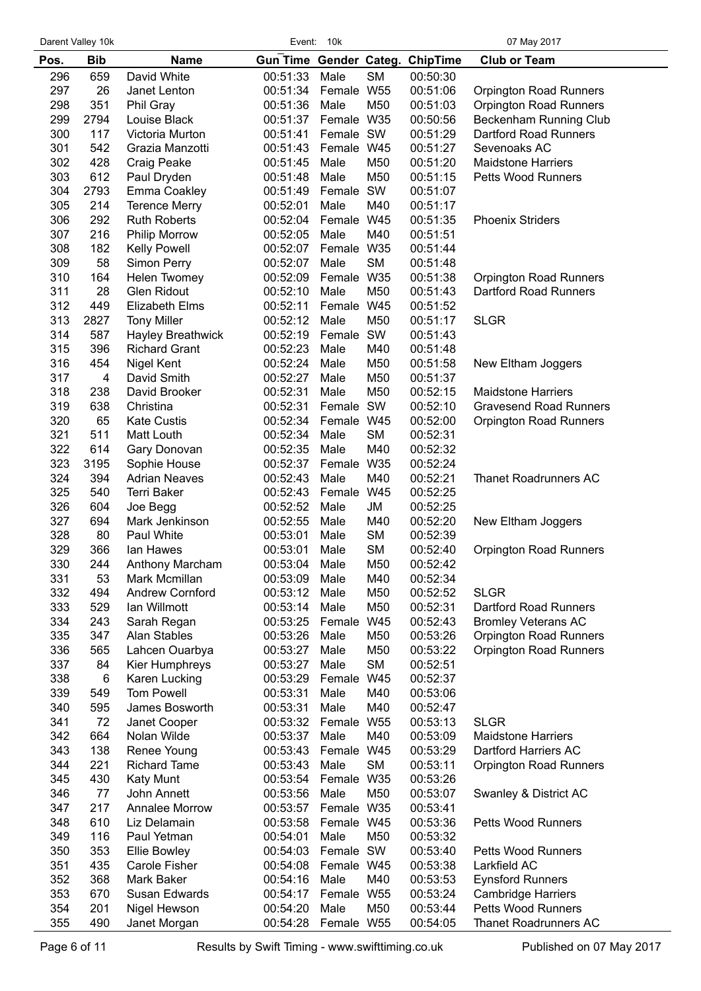Darent Valley 10k **Darent Valley 10k** Event: 10k Event: 10k

| Pos. | <b>Bib</b>     | <b>Name</b>              | Gun Time Gender Categ. ChipTime |            |                 |          | <b>Club or Team</b>           |
|------|----------------|--------------------------|---------------------------------|------------|-----------------|----------|-------------------------------|
| 296  | 659            | David White              | 00:51:33                        | Male       | <b>SM</b>       | 00:50:30 |                               |
| 297  | 26             | Janet Lenton             | 00:51:34                        | Female W55 |                 | 00:51:06 | <b>Orpington Road Runners</b> |
| 298  | 351            | Phil Gray                | 00:51:36                        | Male       | M50             | 00:51:03 | <b>Orpington Road Runners</b> |
| 299  | 2794           | Louise Black             | 00:51:37                        | Female W35 |                 | 00:50:56 | Beckenham Running Club        |
| 300  | 117            | Victoria Murton          | 00:51:41                        | Female SW  |                 | 00:51:29 | Dartford Road Runners         |
| 301  | 542            | Grazia Manzotti          | 00:51:43                        | Female W45 |                 | 00:51:27 | Sevenoaks AC                  |
| 302  | 428            | Craig Peake              | 00:51:45                        | Male       | M50             | 00:51:20 | <b>Maidstone Harriers</b>     |
| 303  | 612            | Paul Dryden              | 00:51:48                        | Male       | M50             | 00:51:15 | <b>Petts Wood Runners</b>     |
| 304  | 2793           | Emma Coakley             | 00:51:49                        | Female     | SW              | 00:51:07 |                               |
| 305  | 214            | <b>Terence Merry</b>     | 00:52:01                        | Male       | M40             | 00:51:17 |                               |
| 306  | 292            | <b>Ruth Roberts</b>      | 00:52:04                        | Female W45 |                 | 00:51:35 | <b>Phoenix Striders</b>       |
| 307  | 216            | <b>Philip Morrow</b>     | 00:52:05                        | Male       | M40             | 00:51:51 |                               |
| 308  | 182            | Kelly Powell             | 00:52:07                        | Female W35 |                 | 00:51:44 |                               |
| 309  | 58             | Simon Perry              | 00:52:07                        | Male       | <b>SM</b>       | 00:51:48 |                               |
| 310  | 164            | Helen Twomey             | 00:52:09                        | Female     | W35             | 00:51:38 | <b>Orpington Road Runners</b> |
| 311  | 28             | <b>Glen Ridout</b>       | 00:52:10                        | Male       | M50             | 00:51:43 | Dartford Road Runners         |
| 312  | 449            | <b>Elizabeth Elms</b>    | 00:52:11                        | Female     | <b>W45</b>      | 00:51:52 |                               |
| 313  | 2827           | <b>Tony Miller</b>       | 00:52:12                        | Male       | M50             | 00:51:17 | <b>SLGR</b>                   |
| 314  | 587            | <b>Hayley Breathwick</b> | 00:52:19                        | Female     | SW              | 00:51:43 |                               |
| 315  | 396            | <b>Richard Grant</b>     | 00:52:23                        | Male       | M40             | 00:51:48 |                               |
| 316  | 454            | Nigel Kent               | 00:52:24                        | Male       | M50             | 00:51:58 | New Eltham Joggers            |
| 317  | $\overline{4}$ | David Smith              | 00:52:27                        | Male       | M50             | 00:51:37 |                               |
| 318  | 238            | David Brooker            | 00:52:31                        | Male       | M50             | 00:52:15 | <b>Maidstone Harriers</b>     |
| 319  | 638            | Christina                | 00:52:31                        | Female     | SW              | 00:52:10 | <b>Gravesend Road Runners</b> |
| 320  | 65             | <b>Kate Custis</b>       | 00:52:34                        | Female W45 |                 | 00:52:00 | <b>Orpington Road Runners</b> |
| 321  | 511            | Matt Louth               | 00:52:34                        | Male       | <b>SM</b>       | 00:52:31 |                               |
| 322  | 614            | Gary Donovan             | 00:52:35                        | Male       | M40             | 00:52:32 |                               |
| 323  | 3195           | Sophie House             | 00:52:37                        | Female     | W35             | 00:52:24 |                               |
| 324  | 394            | <b>Adrian Neaves</b>     | 00:52:43                        | Male       | M40             | 00:52:21 | Thanet Roadrunners AC         |
| 325  | 540            | <b>Terri Baker</b>       | 00:52:43                        | Female     | W45             | 00:52:25 |                               |
| 326  | 604            | Joe Begg                 | 00:52:52                        | Male       | JM              | 00:52:25 |                               |
| 327  | 694            | Mark Jenkinson           | 00:52:55                        | Male       | M40             | 00:52:20 | New Eltham Joggers            |
| 328  | 80             | Paul White               | 00:53:01                        | Male       | <b>SM</b>       | 00:52:39 |                               |
| 329  | 366            | lan Hawes                | 00:53:01                        | Male       | <b>SM</b>       | 00:52:40 | <b>Orpington Road Runners</b> |
| 330  | 244            | Anthony Marcham          | 00:53:04                        | Male       | M50             | 00:52:42 |                               |
| 331  | 53             | Mark Mcmillan            | 00:53:09                        | Male       | M40             | 00:52:34 |                               |
| 332  | 494            | <b>Andrew Cornford</b>   | 00:53:12                        | Male       | M50             | 00:52:52 | <b>SLGR</b>                   |
| 333  | 529            | lan Willmott             | 00:53:14                        | Male       | M50             | 00:52:31 | Dartford Road Runners         |
| 334  | 243            | Sarah Regan              | 00:53:25                        | Female     | W45             | 00:52:43 | <b>Bromley Veterans AC</b>    |
| 335  | 347            | <b>Alan Stables</b>      | 00:53:26                        | Male       | M50             | 00:53:26 | <b>Orpington Road Runners</b> |
| 336  | 565            | Lahcen Ouarbya           | 00:53:27                        | Male       | M50             | 00:53:22 | <b>Orpington Road Runners</b> |
| 337  | 84             | Kier Humphreys           | 00:53:27                        | Male       | <b>SM</b>       | 00:52:51 |                               |
| 338  | 6              | Karen Lucking            | 00:53:29                        | Female     | W45             | 00:52:37 |                               |
| 339  | 549            | <b>Tom Powell</b>        | 00:53:31                        | Male       | M40             | 00:53:06 |                               |
| 340  | 595            | James Bosworth           | 00:53:31                        | Male       | M40             | 00:52:47 |                               |
| 341  | 72             | Janet Cooper             | 00:53:32                        | Female     | W <sub>55</sub> | 00:53:13 | <b>SLGR</b>                   |
| 342  | 664            | Nolan Wilde              | 00:53:37                        | Male       | M40             | 00:53:09 | <b>Maidstone Harriers</b>     |
| 343  | 138            | Renee Young              | 00:53:43                        | Female W45 |                 | 00:53:29 | Dartford Harriers AC          |
| 344  | 221            | <b>Richard Tame</b>      | 00:53:43                        | Male       | <b>SM</b>       | 00:53:11 | <b>Orpington Road Runners</b> |
| 345  | 430            | <b>Katy Munt</b>         | 00:53:54                        | Female W35 |                 | 00:53:26 |                               |
| 346  | 77             | John Annett              | 00:53:56                        | Male       | M50             | 00:53:07 | Swanley & District AC         |
| 347  | 217            | Annalee Morrow           | 00:53:57                        | Female W35 |                 | 00:53:41 |                               |
| 348  | 610            | Liz Delamain             | 00:53:58                        | Female W45 |                 | 00:53:36 | <b>Petts Wood Runners</b>     |
| 349  | 116            | Paul Yetman              | 00:54:01                        | Male       | M50             | 00:53:32 |                               |
| 350  | 353            | <b>Ellie Bowley</b>      | 00:54:03                        | Female SW  |                 | 00:53:40 | <b>Petts Wood Runners</b>     |
| 351  | 435            | Carole Fisher            | 00:54:08                        | Female W45 |                 | 00:53:38 | Larkfield AC                  |
| 352  | 368            | Mark Baker               | 00:54:16                        | Male       | M40             | 00:53:53 | <b>Eynsford Runners</b>       |
| 353  | 670            | Susan Edwards            | 00:54:17                        | Female W55 |                 | 00:53:24 | <b>Cambridge Harriers</b>     |
| 354  | 201            | Nigel Hewson             | 00:54:20                        | Male       | M50             | 00:53:44 | Petts Wood Runners            |
| 355  | 490            | Janet Morgan             | 00:54:28                        | Female W55 |                 | 00:54:05 | Thanet Roadrunners AC         |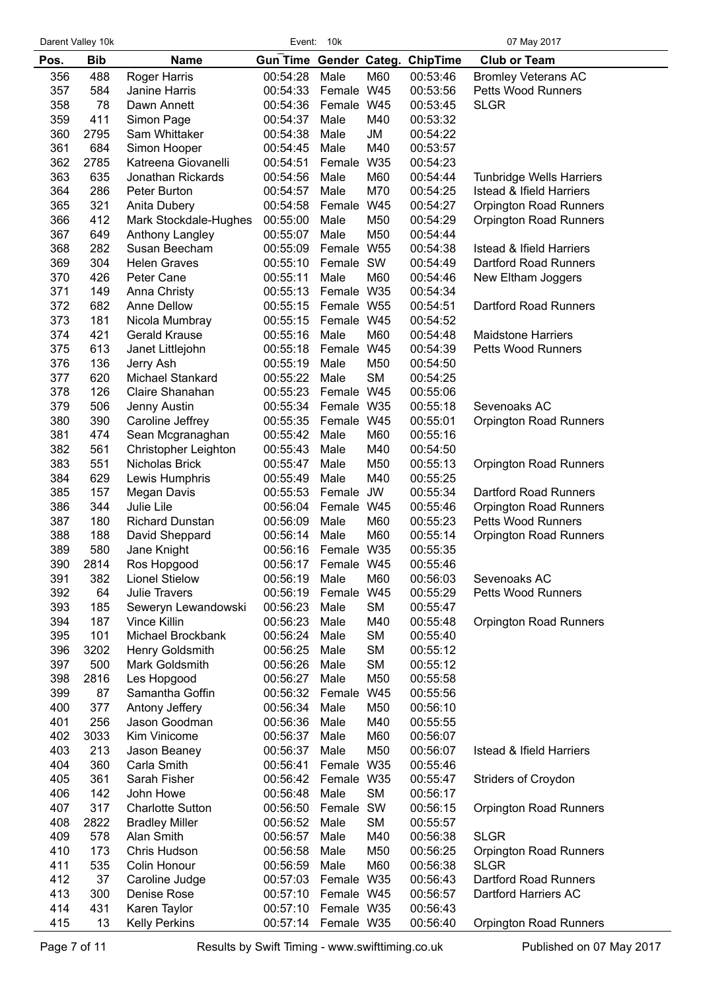Darent Valley 10k **Darent Valley 10k** Event: 10k Event: 10k

| 488<br>M60<br><b>Bromley Veterans AC</b><br>356<br><b>Roger Harris</b><br>00:54:28<br>Male<br>00:53:46<br>357<br>584<br>Female W45<br>Janine Harris<br>00:54:33<br>00:53:56<br><b>Petts Wood Runners</b><br>358<br>78<br>W45<br>Dawn Annett<br>00:54:36<br>00:53:45<br><b>SLGR</b><br>Female<br>359<br>411<br>Simon Page<br>00:54:37<br>Male<br>M40<br>00:53:32<br>360<br>2795<br>Sam Whittaker<br>00:54:38<br>Male<br><b>JM</b><br>00:54:22<br>361<br>M40<br>684<br>Simon Hooper<br>00:54:45<br>Male<br>00:53:57<br>362<br>W35<br>2785<br>Katreena Giovanelli<br>00:54:51<br>Female<br>00:54:23<br>363<br>635<br>M60<br>Jonathan Rickards<br>00:54:56<br>00:54:44<br><b>Tunbridge Wells Harriers</b><br>Male<br>364<br>286<br>M70<br>00:54:57<br>Male<br>00:54:25<br><b>Istead &amp; Ifield Harriers</b><br>Peter Burton<br>365<br>321<br>00:54:58<br>Female<br>W45<br>00:54:27<br><b>Orpington Road Runners</b><br>Anita Dubery<br>366<br>412<br>Mark Stockdale-Hughes<br>M50<br>00:54:29<br>00:55:00<br>Male<br><b>Orpington Road Runners</b><br>367<br>649<br>Anthony Langley<br>00:55:07<br>Male<br>M50<br>00:54:44<br>368<br>282<br>Susan Beecham<br>00:55:09<br>Female W55<br>00:54:38<br><b>Istead &amp; Ifield Harriers</b><br>369<br>304<br><b>Helen Graves</b><br>00:55:10<br>Female SW<br>00:54:49<br><b>Dartford Road Runners</b><br>370<br>426<br>00:55:11<br>Male<br>M60<br>00:54:46<br>Peter Cane<br>New Eltham Joggers<br>371<br>149<br>Female W35<br>00:55:13<br>00:54:34<br>Anna Christy<br>372<br>682<br><b>Dartford Road Runners</b><br>Anne Dellow<br>00:55:15 Female W55<br>00:54:51<br>373<br>181<br>Nicola Mumbray<br>00:55:15<br>Female W45<br>00:54:52<br>374<br>M60<br>421<br><b>Gerald Krause</b><br>00:55:16<br>Male<br><b>Maidstone Harriers</b><br>00:54:48<br>375<br>613<br>00:55:18<br>Female<br>W45<br>00:54:39<br><b>Petts Wood Runners</b><br>Janet Littlejohn<br>376<br>136<br>00:55:19<br>M50<br>00:54:50<br>Jerry Ash<br>Male<br>377<br>620<br><b>SM</b><br>Michael Stankard<br>00:55:22<br>Male<br>00:54:25<br>378<br>126<br>Claire Shanahan<br>00:55:23<br>Female W45<br>00:55:06<br>379<br>506<br>Sevenoaks AC<br>00:55:34<br>Female W35<br>00:55:18<br>Jenny Austin<br>380<br>390<br>Caroline Jeffrey<br>00:55:35<br>Female W45<br>00:55:01<br><b>Orpington Road Runners</b><br>381<br>474<br>M60<br>Sean Mcgranaghan<br>00:55:42<br>Male<br>00:55:16<br>382<br>561<br>Christopher Leighton<br>00:55:43<br>M40<br>00:54:50<br>Male<br>383<br>551<br>M50<br>Nicholas Brick<br>00:55:47<br>Male<br>00:55:13<br><b>Orpington Road Runners</b><br>384<br>629<br>Lewis Humphris<br>00:55:49<br>Male<br>M40<br>00:55:25<br>385<br>157<br>00:55:53<br>Female<br><b>JW</b><br>00:55:34<br><b>Dartford Road Runners</b><br>Megan Davis<br>386<br>344<br>Julie Lile<br>00:56:04<br>Female W45<br>00:55:46<br><b>Orpington Road Runners</b><br>387<br>180<br><b>Richard Dunstan</b><br>00:56:09<br>Male<br>M60<br>00:55:23<br><b>Petts Wood Runners</b><br>388<br>188<br>M60<br>David Sheppard<br>00:56:14<br>Male<br>00:55:14<br><b>Orpington Road Runners</b><br>389<br>580<br>Female W35<br>Jane Knight<br>00:56:16<br>00:55:35<br>390<br>2814<br>Ros Hopgood<br>00:56:17 Female W45<br>00:55:46<br>391<br>382<br><b>Lionel Stielow</b><br>00:56:19<br>Male<br>M60<br>00:56:03<br>Sevenoaks AC<br>392<br>64<br>Julie Travers<br>00:56:19<br>W45<br>00:55:29<br>Petts Wood Runners<br>Female<br>393<br><b>SM</b><br>185<br>Seweryn Lewandowski<br>00:56:23<br>Male<br>00:55:47<br>394<br>187<br>M40<br><b>Vince Killin</b><br>00:56:23<br>Male<br>00:55:48<br><b>Orpington Road Runners</b><br>395<br>101<br><b>SM</b><br>Michael Brockbank<br>00:56:24<br>00:55:40<br>Male<br>396<br><b>SM</b><br>3202<br>Henry Goldsmith<br>00:56:25<br>00:55:12<br>Male<br>397<br><b>SM</b><br>500<br>Mark Goldsmith<br>00:56:26<br>Male<br>00:55:12<br>398<br>M50<br>2816<br>Les Hopgood<br>00:56:27<br>Male<br>00:55:58<br>399<br>87<br>Samantha Goffin<br>00:56:32<br>Female<br>W45<br>00:55:56<br>400<br>377<br>Antony Jeffery<br>00:56:34<br>Male<br>M50<br>00:56:10<br>401<br>256<br>Jason Goodman<br>00:56:36<br>Male<br>M40<br>00:55:55<br>402<br>3033<br>Kim Vinicome<br>00:56:37<br>Male<br>M60<br>00:56:07<br>403<br>213<br>M50<br>00:56:37<br>Male<br>00:56:07<br><b>Istead &amp; Ifield Harriers</b><br>Jason Beaney<br>404<br>360<br>W35<br>Carla Smith<br>00:56:41<br>Female<br>00:55:46<br>405<br>361<br>Sarah Fisher<br>00:56:42<br>Female W35<br>00:55:47<br><b>Striders of Croydon</b><br>406<br>142<br><b>SM</b><br>John Howe<br>00:56:48<br>Male<br>00:56:17<br>407<br>317<br>SW<br><b>Charlotte Sutton</b><br>00:56:50<br>Female<br>00:56:15<br><b>Orpington Road Runners</b><br>408<br><b>SM</b><br>2822<br>00:56:52<br>00:55:57<br><b>Bradley Miller</b><br>Male<br>409<br>578<br>Alan Smith<br><b>SLGR</b><br>00:56:57<br>Male<br>M40<br>00:56:38<br>410<br>173<br>Chris Hudson<br>00:56:58<br>M50<br>00:56:25<br><b>Orpington Road Runners</b><br>Male<br>411<br>535<br>M60<br><b>SLGR</b><br>Colin Honour<br>00:56:59<br>Male<br>00:56:38<br>412<br>37<br>Dartford Road Runners<br>00:57:03<br>Female W35<br>00:56:43<br>Caroline Judge<br>413<br>300<br>Denise Rose<br>00:57:10 Female W45<br>00:56:57<br>Dartford Harriers AC<br>414<br>431<br>Karen Taylor<br>00:57:10<br>Female W35<br>00:56:43<br>13<br>415<br><b>Kelly Perkins</b><br>00:57:14 Female W35<br>00:56:40<br><b>Orpington Road Runners</b> | Pos. | <b>Bib</b> | <b>Name</b> | Gun Time Gender Categ. |  | <b>ChipTime</b> | <b>Club or Team</b> |
|---------------------------------------------------------------------------------------------------------------------------------------------------------------------------------------------------------------------------------------------------------------------------------------------------------------------------------------------------------------------------------------------------------------------------------------------------------------------------------------------------------------------------------------------------------------------------------------------------------------------------------------------------------------------------------------------------------------------------------------------------------------------------------------------------------------------------------------------------------------------------------------------------------------------------------------------------------------------------------------------------------------------------------------------------------------------------------------------------------------------------------------------------------------------------------------------------------------------------------------------------------------------------------------------------------------------------------------------------------------------------------------------------------------------------------------------------------------------------------------------------------------------------------------------------------------------------------------------------------------------------------------------------------------------------------------------------------------------------------------------------------------------------------------------------------------------------------------------------------------------------------------------------------------------------------------------------------------------------------------------------------------------------------------------------------------------------------------------------------------------------------------------------------------------------------------------------------------------------------------------------------------------------------------------------------------------------------------------------------------------------------------------------------------------------------------------------------------------------------------------------------------------------------------------------------------------------------------------------------------------------------------------------------------------------------------------------------------------------------------------------------------------------------------------------------------------------------------------------------------------------------------------------------------------------------------------------------------------------------------------------------------------------------------------------------------------------------------------------------------------------------------------------------------------------------------------------------------------------------------------------------------------------------------------------------------------------------------------------------------------------------------------------------------------------------------------------------------------------------------------------------------------------------------------------------------------------------------------------------------------------------------------------------------------------------------------------------------------------------------------------------------------------------------------------------------------------------------------------------------------------------------------------------------------------------------------------------------------------------------------------------------------------------------------------------------------------------------------------------------------------------------------------------------------------------------------------------------------------------------------------------------------------------------------------------------------------------------------------------------------------------------------------------------------------------------------------------------------------------------------------------------------------------------------------------------------------------------------------------------------------------------------------------------------------------------------------------------------------------------------------------------------------------------------------------------------------------------------------------------------------------------------------------------------------------------------------------------------------------------------------------------------------------------------------------------------------------------------------------------------------------------------------------------------------------------------------------------------------------------------------------------------------------------------------------------------------------------------------------------------------------------------------------------------------------------------------------------|------|------------|-------------|------------------------|--|-----------------|---------------------|
|                                                                                                                                                                                                                                                                                                                                                                                                                                                                                                                                                                                                                                                                                                                                                                                                                                                                                                                                                                                                                                                                                                                                                                                                                                                                                                                                                                                                                                                                                                                                                                                                                                                                                                                                                                                                                                                                                                                                                                                                                                                                                                                                                                                                                                                                                                                                                                                                                                                                                                                                                                                                                                                                                                                                                                                                                                                                                                                                                                                                                                                                                                                                                                                                                                                                                                                                                                                                                                                                                                                                                                                                                                                                                                                                                                                                                                                                                                                                                                                                                                                                                                                                                                                                                                                                                                                                                                                                                                                                                                                                                                                                                                                                                                                                                                                                                                                                                                                                                                                                                                                                                                                                                                                                                                                                                                                                                                                                                                                               |      |            |             |                        |  |                 |                     |
|                                                                                                                                                                                                                                                                                                                                                                                                                                                                                                                                                                                                                                                                                                                                                                                                                                                                                                                                                                                                                                                                                                                                                                                                                                                                                                                                                                                                                                                                                                                                                                                                                                                                                                                                                                                                                                                                                                                                                                                                                                                                                                                                                                                                                                                                                                                                                                                                                                                                                                                                                                                                                                                                                                                                                                                                                                                                                                                                                                                                                                                                                                                                                                                                                                                                                                                                                                                                                                                                                                                                                                                                                                                                                                                                                                                                                                                                                                                                                                                                                                                                                                                                                                                                                                                                                                                                                                                                                                                                                                                                                                                                                                                                                                                                                                                                                                                                                                                                                                                                                                                                                                                                                                                                                                                                                                                                                                                                                                                               |      |            |             |                        |  |                 |                     |
|                                                                                                                                                                                                                                                                                                                                                                                                                                                                                                                                                                                                                                                                                                                                                                                                                                                                                                                                                                                                                                                                                                                                                                                                                                                                                                                                                                                                                                                                                                                                                                                                                                                                                                                                                                                                                                                                                                                                                                                                                                                                                                                                                                                                                                                                                                                                                                                                                                                                                                                                                                                                                                                                                                                                                                                                                                                                                                                                                                                                                                                                                                                                                                                                                                                                                                                                                                                                                                                                                                                                                                                                                                                                                                                                                                                                                                                                                                                                                                                                                                                                                                                                                                                                                                                                                                                                                                                                                                                                                                                                                                                                                                                                                                                                                                                                                                                                                                                                                                                                                                                                                                                                                                                                                                                                                                                                                                                                                                                               |      |            |             |                        |  |                 |                     |
|                                                                                                                                                                                                                                                                                                                                                                                                                                                                                                                                                                                                                                                                                                                                                                                                                                                                                                                                                                                                                                                                                                                                                                                                                                                                                                                                                                                                                                                                                                                                                                                                                                                                                                                                                                                                                                                                                                                                                                                                                                                                                                                                                                                                                                                                                                                                                                                                                                                                                                                                                                                                                                                                                                                                                                                                                                                                                                                                                                                                                                                                                                                                                                                                                                                                                                                                                                                                                                                                                                                                                                                                                                                                                                                                                                                                                                                                                                                                                                                                                                                                                                                                                                                                                                                                                                                                                                                                                                                                                                                                                                                                                                                                                                                                                                                                                                                                                                                                                                                                                                                                                                                                                                                                                                                                                                                                                                                                                                                               |      |            |             |                        |  |                 |                     |
|                                                                                                                                                                                                                                                                                                                                                                                                                                                                                                                                                                                                                                                                                                                                                                                                                                                                                                                                                                                                                                                                                                                                                                                                                                                                                                                                                                                                                                                                                                                                                                                                                                                                                                                                                                                                                                                                                                                                                                                                                                                                                                                                                                                                                                                                                                                                                                                                                                                                                                                                                                                                                                                                                                                                                                                                                                                                                                                                                                                                                                                                                                                                                                                                                                                                                                                                                                                                                                                                                                                                                                                                                                                                                                                                                                                                                                                                                                                                                                                                                                                                                                                                                                                                                                                                                                                                                                                                                                                                                                                                                                                                                                                                                                                                                                                                                                                                                                                                                                                                                                                                                                                                                                                                                                                                                                                                                                                                                                                               |      |            |             |                        |  |                 |                     |
|                                                                                                                                                                                                                                                                                                                                                                                                                                                                                                                                                                                                                                                                                                                                                                                                                                                                                                                                                                                                                                                                                                                                                                                                                                                                                                                                                                                                                                                                                                                                                                                                                                                                                                                                                                                                                                                                                                                                                                                                                                                                                                                                                                                                                                                                                                                                                                                                                                                                                                                                                                                                                                                                                                                                                                                                                                                                                                                                                                                                                                                                                                                                                                                                                                                                                                                                                                                                                                                                                                                                                                                                                                                                                                                                                                                                                                                                                                                                                                                                                                                                                                                                                                                                                                                                                                                                                                                                                                                                                                                                                                                                                                                                                                                                                                                                                                                                                                                                                                                                                                                                                                                                                                                                                                                                                                                                                                                                                                                               |      |            |             |                        |  |                 |                     |
|                                                                                                                                                                                                                                                                                                                                                                                                                                                                                                                                                                                                                                                                                                                                                                                                                                                                                                                                                                                                                                                                                                                                                                                                                                                                                                                                                                                                                                                                                                                                                                                                                                                                                                                                                                                                                                                                                                                                                                                                                                                                                                                                                                                                                                                                                                                                                                                                                                                                                                                                                                                                                                                                                                                                                                                                                                                                                                                                                                                                                                                                                                                                                                                                                                                                                                                                                                                                                                                                                                                                                                                                                                                                                                                                                                                                                                                                                                                                                                                                                                                                                                                                                                                                                                                                                                                                                                                                                                                                                                                                                                                                                                                                                                                                                                                                                                                                                                                                                                                                                                                                                                                                                                                                                                                                                                                                                                                                                                                               |      |            |             |                        |  |                 |                     |
|                                                                                                                                                                                                                                                                                                                                                                                                                                                                                                                                                                                                                                                                                                                                                                                                                                                                                                                                                                                                                                                                                                                                                                                                                                                                                                                                                                                                                                                                                                                                                                                                                                                                                                                                                                                                                                                                                                                                                                                                                                                                                                                                                                                                                                                                                                                                                                                                                                                                                                                                                                                                                                                                                                                                                                                                                                                                                                                                                                                                                                                                                                                                                                                                                                                                                                                                                                                                                                                                                                                                                                                                                                                                                                                                                                                                                                                                                                                                                                                                                                                                                                                                                                                                                                                                                                                                                                                                                                                                                                                                                                                                                                                                                                                                                                                                                                                                                                                                                                                                                                                                                                                                                                                                                                                                                                                                                                                                                                                               |      |            |             |                        |  |                 |                     |
|                                                                                                                                                                                                                                                                                                                                                                                                                                                                                                                                                                                                                                                                                                                                                                                                                                                                                                                                                                                                                                                                                                                                                                                                                                                                                                                                                                                                                                                                                                                                                                                                                                                                                                                                                                                                                                                                                                                                                                                                                                                                                                                                                                                                                                                                                                                                                                                                                                                                                                                                                                                                                                                                                                                                                                                                                                                                                                                                                                                                                                                                                                                                                                                                                                                                                                                                                                                                                                                                                                                                                                                                                                                                                                                                                                                                                                                                                                                                                                                                                                                                                                                                                                                                                                                                                                                                                                                                                                                                                                                                                                                                                                                                                                                                                                                                                                                                                                                                                                                                                                                                                                                                                                                                                                                                                                                                                                                                                                                               |      |            |             |                        |  |                 |                     |
|                                                                                                                                                                                                                                                                                                                                                                                                                                                                                                                                                                                                                                                                                                                                                                                                                                                                                                                                                                                                                                                                                                                                                                                                                                                                                                                                                                                                                                                                                                                                                                                                                                                                                                                                                                                                                                                                                                                                                                                                                                                                                                                                                                                                                                                                                                                                                                                                                                                                                                                                                                                                                                                                                                                                                                                                                                                                                                                                                                                                                                                                                                                                                                                                                                                                                                                                                                                                                                                                                                                                                                                                                                                                                                                                                                                                                                                                                                                                                                                                                                                                                                                                                                                                                                                                                                                                                                                                                                                                                                                                                                                                                                                                                                                                                                                                                                                                                                                                                                                                                                                                                                                                                                                                                                                                                                                                                                                                                                                               |      |            |             |                        |  |                 |                     |
|                                                                                                                                                                                                                                                                                                                                                                                                                                                                                                                                                                                                                                                                                                                                                                                                                                                                                                                                                                                                                                                                                                                                                                                                                                                                                                                                                                                                                                                                                                                                                                                                                                                                                                                                                                                                                                                                                                                                                                                                                                                                                                                                                                                                                                                                                                                                                                                                                                                                                                                                                                                                                                                                                                                                                                                                                                                                                                                                                                                                                                                                                                                                                                                                                                                                                                                                                                                                                                                                                                                                                                                                                                                                                                                                                                                                                                                                                                                                                                                                                                                                                                                                                                                                                                                                                                                                                                                                                                                                                                                                                                                                                                                                                                                                                                                                                                                                                                                                                                                                                                                                                                                                                                                                                                                                                                                                                                                                                                                               |      |            |             |                        |  |                 |                     |
|                                                                                                                                                                                                                                                                                                                                                                                                                                                                                                                                                                                                                                                                                                                                                                                                                                                                                                                                                                                                                                                                                                                                                                                                                                                                                                                                                                                                                                                                                                                                                                                                                                                                                                                                                                                                                                                                                                                                                                                                                                                                                                                                                                                                                                                                                                                                                                                                                                                                                                                                                                                                                                                                                                                                                                                                                                                                                                                                                                                                                                                                                                                                                                                                                                                                                                                                                                                                                                                                                                                                                                                                                                                                                                                                                                                                                                                                                                                                                                                                                                                                                                                                                                                                                                                                                                                                                                                                                                                                                                                                                                                                                                                                                                                                                                                                                                                                                                                                                                                                                                                                                                                                                                                                                                                                                                                                                                                                                                                               |      |            |             |                        |  |                 |                     |
|                                                                                                                                                                                                                                                                                                                                                                                                                                                                                                                                                                                                                                                                                                                                                                                                                                                                                                                                                                                                                                                                                                                                                                                                                                                                                                                                                                                                                                                                                                                                                                                                                                                                                                                                                                                                                                                                                                                                                                                                                                                                                                                                                                                                                                                                                                                                                                                                                                                                                                                                                                                                                                                                                                                                                                                                                                                                                                                                                                                                                                                                                                                                                                                                                                                                                                                                                                                                                                                                                                                                                                                                                                                                                                                                                                                                                                                                                                                                                                                                                                                                                                                                                                                                                                                                                                                                                                                                                                                                                                                                                                                                                                                                                                                                                                                                                                                                                                                                                                                                                                                                                                                                                                                                                                                                                                                                                                                                                                                               |      |            |             |                        |  |                 |                     |
|                                                                                                                                                                                                                                                                                                                                                                                                                                                                                                                                                                                                                                                                                                                                                                                                                                                                                                                                                                                                                                                                                                                                                                                                                                                                                                                                                                                                                                                                                                                                                                                                                                                                                                                                                                                                                                                                                                                                                                                                                                                                                                                                                                                                                                                                                                                                                                                                                                                                                                                                                                                                                                                                                                                                                                                                                                                                                                                                                                                                                                                                                                                                                                                                                                                                                                                                                                                                                                                                                                                                                                                                                                                                                                                                                                                                                                                                                                                                                                                                                                                                                                                                                                                                                                                                                                                                                                                                                                                                                                                                                                                                                                                                                                                                                                                                                                                                                                                                                                                                                                                                                                                                                                                                                                                                                                                                                                                                                                                               |      |            |             |                        |  |                 |                     |
|                                                                                                                                                                                                                                                                                                                                                                                                                                                                                                                                                                                                                                                                                                                                                                                                                                                                                                                                                                                                                                                                                                                                                                                                                                                                                                                                                                                                                                                                                                                                                                                                                                                                                                                                                                                                                                                                                                                                                                                                                                                                                                                                                                                                                                                                                                                                                                                                                                                                                                                                                                                                                                                                                                                                                                                                                                                                                                                                                                                                                                                                                                                                                                                                                                                                                                                                                                                                                                                                                                                                                                                                                                                                                                                                                                                                                                                                                                                                                                                                                                                                                                                                                                                                                                                                                                                                                                                                                                                                                                                                                                                                                                                                                                                                                                                                                                                                                                                                                                                                                                                                                                                                                                                                                                                                                                                                                                                                                                                               |      |            |             |                        |  |                 |                     |
|                                                                                                                                                                                                                                                                                                                                                                                                                                                                                                                                                                                                                                                                                                                                                                                                                                                                                                                                                                                                                                                                                                                                                                                                                                                                                                                                                                                                                                                                                                                                                                                                                                                                                                                                                                                                                                                                                                                                                                                                                                                                                                                                                                                                                                                                                                                                                                                                                                                                                                                                                                                                                                                                                                                                                                                                                                                                                                                                                                                                                                                                                                                                                                                                                                                                                                                                                                                                                                                                                                                                                                                                                                                                                                                                                                                                                                                                                                                                                                                                                                                                                                                                                                                                                                                                                                                                                                                                                                                                                                                                                                                                                                                                                                                                                                                                                                                                                                                                                                                                                                                                                                                                                                                                                                                                                                                                                                                                                                                               |      |            |             |                        |  |                 |                     |
|                                                                                                                                                                                                                                                                                                                                                                                                                                                                                                                                                                                                                                                                                                                                                                                                                                                                                                                                                                                                                                                                                                                                                                                                                                                                                                                                                                                                                                                                                                                                                                                                                                                                                                                                                                                                                                                                                                                                                                                                                                                                                                                                                                                                                                                                                                                                                                                                                                                                                                                                                                                                                                                                                                                                                                                                                                                                                                                                                                                                                                                                                                                                                                                                                                                                                                                                                                                                                                                                                                                                                                                                                                                                                                                                                                                                                                                                                                                                                                                                                                                                                                                                                                                                                                                                                                                                                                                                                                                                                                                                                                                                                                                                                                                                                                                                                                                                                                                                                                                                                                                                                                                                                                                                                                                                                                                                                                                                                                                               |      |            |             |                        |  |                 |                     |
|                                                                                                                                                                                                                                                                                                                                                                                                                                                                                                                                                                                                                                                                                                                                                                                                                                                                                                                                                                                                                                                                                                                                                                                                                                                                                                                                                                                                                                                                                                                                                                                                                                                                                                                                                                                                                                                                                                                                                                                                                                                                                                                                                                                                                                                                                                                                                                                                                                                                                                                                                                                                                                                                                                                                                                                                                                                                                                                                                                                                                                                                                                                                                                                                                                                                                                                                                                                                                                                                                                                                                                                                                                                                                                                                                                                                                                                                                                                                                                                                                                                                                                                                                                                                                                                                                                                                                                                                                                                                                                                                                                                                                                                                                                                                                                                                                                                                                                                                                                                                                                                                                                                                                                                                                                                                                                                                                                                                                                                               |      |            |             |                        |  |                 |                     |
|                                                                                                                                                                                                                                                                                                                                                                                                                                                                                                                                                                                                                                                                                                                                                                                                                                                                                                                                                                                                                                                                                                                                                                                                                                                                                                                                                                                                                                                                                                                                                                                                                                                                                                                                                                                                                                                                                                                                                                                                                                                                                                                                                                                                                                                                                                                                                                                                                                                                                                                                                                                                                                                                                                                                                                                                                                                                                                                                                                                                                                                                                                                                                                                                                                                                                                                                                                                                                                                                                                                                                                                                                                                                                                                                                                                                                                                                                                                                                                                                                                                                                                                                                                                                                                                                                                                                                                                                                                                                                                                                                                                                                                                                                                                                                                                                                                                                                                                                                                                                                                                                                                                                                                                                                                                                                                                                                                                                                                                               |      |            |             |                        |  |                 |                     |
|                                                                                                                                                                                                                                                                                                                                                                                                                                                                                                                                                                                                                                                                                                                                                                                                                                                                                                                                                                                                                                                                                                                                                                                                                                                                                                                                                                                                                                                                                                                                                                                                                                                                                                                                                                                                                                                                                                                                                                                                                                                                                                                                                                                                                                                                                                                                                                                                                                                                                                                                                                                                                                                                                                                                                                                                                                                                                                                                                                                                                                                                                                                                                                                                                                                                                                                                                                                                                                                                                                                                                                                                                                                                                                                                                                                                                                                                                                                                                                                                                                                                                                                                                                                                                                                                                                                                                                                                                                                                                                                                                                                                                                                                                                                                                                                                                                                                                                                                                                                                                                                                                                                                                                                                                                                                                                                                                                                                                                                               |      |            |             |                        |  |                 |                     |
|                                                                                                                                                                                                                                                                                                                                                                                                                                                                                                                                                                                                                                                                                                                                                                                                                                                                                                                                                                                                                                                                                                                                                                                                                                                                                                                                                                                                                                                                                                                                                                                                                                                                                                                                                                                                                                                                                                                                                                                                                                                                                                                                                                                                                                                                                                                                                                                                                                                                                                                                                                                                                                                                                                                                                                                                                                                                                                                                                                                                                                                                                                                                                                                                                                                                                                                                                                                                                                                                                                                                                                                                                                                                                                                                                                                                                                                                                                                                                                                                                                                                                                                                                                                                                                                                                                                                                                                                                                                                                                                                                                                                                                                                                                                                                                                                                                                                                                                                                                                                                                                                                                                                                                                                                                                                                                                                                                                                                                                               |      |            |             |                        |  |                 |                     |
|                                                                                                                                                                                                                                                                                                                                                                                                                                                                                                                                                                                                                                                                                                                                                                                                                                                                                                                                                                                                                                                                                                                                                                                                                                                                                                                                                                                                                                                                                                                                                                                                                                                                                                                                                                                                                                                                                                                                                                                                                                                                                                                                                                                                                                                                                                                                                                                                                                                                                                                                                                                                                                                                                                                                                                                                                                                                                                                                                                                                                                                                                                                                                                                                                                                                                                                                                                                                                                                                                                                                                                                                                                                                                                                                                                                                                                                                                                                                                                                                                                                                                                                                                                                                                                                                                                                                                                                                                                                                                                                                                                                                                                                                                                                                                                                                                                                                                                                                                                                                                                                                                                                                                                                                                                                                                                                                                                                                                                                               |      |            |             |                        |  |                 |                     |
|                                                                                                                                                                                                                                                                                                                                                                                                                                                                                                                                                                                                                                                                                                                                                                                                                                                                                                                                                                                                                                                                                                                                                                                                                                                                                                                                                                                                                                                                                                                                                                                                                                                                                                                                                                                                                                                                                                                                                                                                                                                                                                                                                                                                                                                                                                                                                                                                                                                                                                                                                                                                                                                                                                                                                                                                                                                                                                                                                                                                                                                                                                                                                                                                                                                                                                                                                                                                                                                                                                                                                                                                                                                                                                                                                                                                                                                                                                                                                                                                                                                                                                                                                                                                                                                                                                                                                                                                                                                                                                                                                                                                                                                                                                                                                                                                                                                                                                                                                                                                                                                                                                                                                                                                                                                                                                                                                                                                                                                               |      |            |             |                        |  |                 |                     |
|                                                                                                                                                                                                                                                                                                                                                                                                                                                                                                                                                                                                                                                                                                                                                                                                                                                                                                                                                                                                                                                                                                                                                                                                                                                                                                                                                                                                                                                                                                                                                                                                                                                                                                                                                                                                                                                                                                                                                                                                                                                                                                                                                                                                                                                                                                                                                                                                                                                                                                                                                                                                                                                                                                                                                                                                                                                                                                                                                                                                                                                                                                                                                                                                                                                                                                                                                                                                                                                                                                                                                                                                                                                                                                                                                                                                                                                                                                                                                                                                                                                                                                                                                                                                                                                                                                                                                                                                                                                                                                                                                                                                                                                                                                                                                                                                                                                                                                                                                                                                                                                                                                                                                                                                                                                                                                                                                                                                                                                               |      |            |             |                        |  |                 |                     |
|                                                                                                                                                                                                                                                                                                                                                                                                                                                                                                                                                                                                                                                                                                                                                                                                                                                                                                                                                                                                                                                                                                                                                                                                                                                                                                                                                                                                                                                                                                                                                                                                                                                                                                                                                                                                                                                                                                                                                                                                                                                                                                                                                                                                                                                                                                                                                                                                                                                                                                                                                                                                                                                                                                                                                                                                                                                                                                                                                                                                                                                                                                                                                                                                                                                                                                                                                                                                                                                                                                                                                                                                                                                                                                                                                                                                                                                                                                                                                                                                                                                                                                                                                                                                                                                                                                                                                                                                                                                                                                                                                                                                                                                                                                                                                                                                                                                                                                                                                                                                                                                                                                                                                                                                                                                                                                                                                                                                                                                               |      |            |             |                        |  |                 |                     |
|                                                                                                                                                                                                                                                                                                                                                                                                                                                                                                                                                                                                                                                                                                                                                                                                                                                                                                                                                                                                                                                                                                                                                                                                                                                                                                                                                                                                                                                                                                                                                                                                                                                                                                                                                                                                                                                                                                                                                                                                                                                                                                                                                                                                                                                                                                                                                                                                                                                                                                                                                                                                                                                                                                                                                                                                                                                                                                                                                                                                                                                                                                                                                                                                                                                                                                                                                                                                                                                                                                                                                                                                                                                                                                                                                                                                                                                                                                                                                                                                                                                                                                                                                                                                                                                                                                                                                                                                                                                                                                                                                                                                                                                                                                                                                                                                                                                                                                                                                                                                                                                                                                                                                                                                                                                                                                                                                                                                                                                               |      |            |             |                        |  |                 |                     |
|                                                                                                                                                                                                                                                                                                                                                                                                                                                                                                                                                                                                                                                                                                                                                                                                                                                                                                                                                                                                                                                                                                                                                                                                                                                                                                                                                                                                                                                                                                                                                                                                                                                                                                                                                                                                                                                                                                                                                                                                                                                                                                                                                                                                                                                                                                                                                                                                                                                                                                                                                                                                                                                                                                                                                                                                                                                                                                                                                                                                                                                                                                                                                                                                                                                                                                                                                                                                                                                                                                                                                                                                                                                                                                                                                                                                                                                                                                                                                                                                                                                                                                                                                                                                                                                                                                                                                                                                                                                                                                                                                                                                                                                                                                                                                                                                                                                                                                                                                                                                                                                                                                                                                                                                                                                                                                                                                                                                                                                               |      |            |             |                        |  |                 |                     |
|                                                                                                                                                                                                                                                                                                                                                                                                                                                                                                                                                                                                                                                                                                                                                                                                                                                                                                                                                                                                                                                                                                                                                                                                                                                                                                                                                                                                                                                                                                                                                                                                                                                                                                                                                                                                                                                                                                                                                                                                                                                                                                                                                                                                                                                                                                                                                                                                                                                                                                                                                                                                                                                                                                                                                                                                                                                                                                                                                                                                                                                                                                                                                                                                                                                                                                                                                                                                                                                                                                                                                                                                                                                                                                                                                                                                                                                                                                                                                                                                                                                                                                                                                                                                                                                                                                                                                                                                                                                                                                                                                                                                                                                                                                                                                                                                                                                                                                                                                                                                                                                                                                                                                                                                                                                                                                                                                                                                                                                               |      |            |             |                        |  |                 |                     |
|                                                                                                                                                                                                                                                                                                                                                                                                                                                                                                                                                                                                                                                                                                                                                                                                                                                                                                                                                                                                                                                                                                                                                                                                                                                                                                                                                                                                                                                                                                                                                                                                                                                                                                                                                                                                                                                                                                                                                                                                                                                                                                                                                                                                                                                                                                                                                                                                                                                                                                                                                                                                                                                                                                                                                                                                                                                                                                                                                                                                                                                                                                                                                                                                                                                                                                                                                                                                                                                                                                                                                                                                                                                                                                                                                                                                                                                                                                                                                                                                                                                                                                                                                                                                                                                                                                                                                                                                                                                                                                                                                                                                                                                                                                                                                                                                                                                                                                                                                                                                                                                                                                                                                                                                                                                                                                                                                                                                                                                               |      |            |             |                        |  |                 |                     |
|                                                                                                                                                                                                                                                                                                                                                                                                                                                                                                                                                                                                                                                                                                                                                                                                                                                                                                                                                                                                                                                                                                                                                                                                                                                                                                                                                                                                                                                                                                                                                                                                                                                                                                                                                                                                                                                                                                                                                                                                                                                                                                                                                                                                                                                                                                                                                                                                                                                                                                                                                                                                                                                                                                                                                                                                                                                                                                                                                                                                                                                                                                                                                                                                                                                                                                                                                                                                                                                                                                                                                                                                                                                                                                                                                                                                                                                                                                                                                                                                                                                                                                                                                                                                                                                                                                                                                                                                                                                                                                                                                                                                                                                                                                                                                                                                                                                                                                                                                                                                                                                                                                                                                                                                                                                                                                                                                                                                                                                               |      |            |             |                        |  |                 |                     |
|                                                                                                                                                                                                                                                                                                                                                                                                                                                                                                                                                                                                                                                                                                                                                                                                                                                                                                                                                                                                                                                                                                                                                                                                                                                                                                                                                                                                                                                                                                                                                                                                                                                                                                                                                                                                                                                                                                                                                                                                                                                                                                                                                                                                                                                                                                                                                                                                                                                                                                                                                                                                                                                                                                                                                                                                                                                                                                                                                                                                                                                                                                                                                                                                                                                                                                                                                                                                                                                                                                                                                                                                                                                                                                                                                                                                                                                                                                                                                                                                                                                                                                                                                                                                                                                                                                                                                                                                                                                                                                                                                                                                                                                                                                                                                                                                                                                                                                                                                                                                                                                                                                                                                                                                                                                                                                                                                                                                                                                               |      |            |             |                        |  |                 |                     |
|                                                                                                                                                                                                                                                                                                                                                                                                                                                                                                                                                                                                                                                                                                                                                                                                                                                                                                                                                                                                                                                                                                                                                                                                                                                                                                                                                                                                                                                                                                                                                                                                                                                                                                                                                                                                                                                                                                                                                                                                                                                                                                                                                                                                                                                                                                                                                                                                                                                                                                                                                                                                                                                                                                                                                                                                                                                                                                                                                                                                                                                                                                                                                                                                                                                                                                                                                                                                                                                                                                                                                                                                                                                                                                                                                                                                                                                                                                                                                                                                                                                                                                                                                                                                                                                                                                                                                                                                                                                                                                                                                                                                                                                                                                                                                                                                                                                                                                                                                                                                                                                                                                                                                                                                                                                                                                                                                                                                                                                               |      |            |             |                        |  |                 |                     |
|                                                                                                                                                                                                                                                                                                                                                                                                                                                                                                                                                                                                                                                                                                                                                                                                                                                                                                                                                                                                                                                                                                                                                                                                                                                                                                                                                                                                                                                                                                                                                                                                                                                                                                                                                                                                                                                                                                                                                                                                                                                                                                                                                                                                                                                                                                                                                                                                                                                                                                                                                                                                                                                                                                                                                                                                                                                                                                                                                                                                                                                                                                                                                                                                                                                                                                                                                                                                                                                                                                                                                                                                                                                                                                                                                                                                                                                                                                                                                                                                                                                                                                                                                                                                                                                                                                                                                                                                                                                                                                                                                                                                                                                                                                                                                                                                                                                                                                                                                                                                                                                                                                                                                                                                                                                                                                                                                                                                                                                               |      |            |             |                        |  |                 |                     |
|                                                                                                                                                                                                                                                                                                                                                                                                                                                                                                                                                                                                                                                                                                                                                                                                                                                                                                                                                                                                                                                                                                                                                                                                                                                                                                                                                                                                                                                                                                                                                                                                                                                                                                                                                                                                                                                                                                                                                                                                                                                                                                                                                                                                                                                                                                                                                                                                                                                                                                                                                                                                                                                                                                                                                                                                                                                                                                                                                                                                                                                                                                                                                                                                                                                                                                                                                                                                                                                                                                                                                                                                                                                                                                                                                                                                                                                                                                                                                                                                                                                                                                                                                                                                                                                                                                                                                                                                                                                                                                                                                                                                                                                                                                                                                                                                                                                                                                                                                                                                                                                                                                                                                                                                                                                                                                                                                                                                                                                               |      |            |             |                        |  |                 |                     |
|                                                                                                                                                                                                                                                                                                                                                                                                                                                                                                                                                                                                                                                                                                                                                                                                                                                                                                                                                                                                                                                                                                                                                                                                                                                                                                                                                                                                                                                                                                                                                                                                                                                                                                                                                                                                                                                                                                                                                                                                                                                                                                                                                                                                                                                                                                                                                                                                                                                                                                                                                                                                                                                                                                                                                                                                                                                                                                                                                                                                                                                                                                                                                                                                                                                                                                                                                                                                                                                                                                                                                                                                                                                                                                                                                                                                                                                                                                                                                                                                                                                                                                                                                                                                                                                                                                                                                                                                                                                                                                                                                                                                                                                                                                                                                                                                                                                                                                                                                                                                                                                                                                                                                                                                                                                                                                                                                                                                                                                               |      |            |             |                        |  |                 |                     |
|                                                                                                                                                                                                                                                                                                                                                                                                                                                                                                                                                                                                                                                                                                                                                                                                                                                                                                                                                                                                                                                                                                                                                                                                                                                                                                                                                                                                                                                                                                                                                                                                                                                                                                                                                                                                                                                                                                                                                                                                                                                                                                                                                                                                                                                                                                                                                                                                                                                                                                                                                                                                                                                                                                                                                                                                                                                                                                                                                                                                                                                                                                                                                                                                                                                                                                                                                                                                                                                                                                                                                                                                                                                                                                                                                                                                                                                                                                                                                                                                                                                                                                                                                                                                                                                                                                                                                                                                                                                                                                                                                                                                                                                                                                                                                                                                                                                                                                                                                                                                                                                                                                                                                                                                                                                                                                                                                                                                                                                               |      |            |             |                        |  |                 |                     |
|                                                                                                                                                                                                                                                                                                                                                                                                                                                                                                                                                                                                                                                                                                                                                                                                                                                                                                                                                                                                                                                                                                                                                                                                                                                                                                                                                                                                                                                                                                                                                                                                                                                                                                                                                                                                                                                                                                                                                                                                                                                                                                                                                                                                                                                                                                                                                                                                                                                                                                                                                                                                                                                                                                                                                                                                                                                                                                                                                                                                                                                                                                                                                                                                                                                                                                                                                                                                                                                                                                                                                                                                                                                                                                                                                                                                                                                                                                                                                                                                                                                                                                                                                                                                                                                                                                                                                                                                                                                                                                                                                                                                                                                                                                                                                                                                                                                                                                                                                                                                                                                                                                                                                                                                                                                                                                                                                                                                                                                               |      |            |             |                        |  |                 |                     |
|                                                                                                                                                                                                                                                                                                                                                                                                                                                                                                                                                                                                                                                                                                                                                                                                                                                                                                                                                                                                                                                                                                                                                                                                                                                                                                                                                                                                                                                                                                                                                                                                                                                                                                                                                                                                                                                                                                                                                                                                                                                                                                                                                                                                                                                                                                                                                                                                                                                                                                                                                                                                                                                                                                                                                                                                                                                                                                                                                                                                                                                                                                                                                                                                                                                                                                                                                                                                                                                                                                                                                                                                                                                                                                                                                                                                                                                                                                                                                                                                                                                                                                                                                                                                                                                                                                                                                                                                                                                                                                                                                                                                                                                                                                                                                                                                                                                                                                                                                                                                                                                                                                                                                                                                                                                                                                                                                                                                                                                               |      |            |             |                        |  |                 |                     |
|                                                                                                                                                                                                                                                                                                                                                                                                                                                                                                                                                                                                                                                                                                                                                                                                                                                                                                                                                                                                                                                                                                                                                                                                                                                                                                                                                                                                                                                                                                                                                                                                                                                                                                                                                                                                                                                                                                                                                                                                                                                                                                                                                                                                                                                                                                                                                                                                                                                                                                                                                                                                                                                                                                                                                                                                                                                                                                                                                                                                                                                                                                                                                                                                                                                                                                                                                                                                                                                                                                                                                                                                                                                                                                                                                                                                                                                                                                                                                                                                                                                                                                                                                                                                                                                                                                                                                                                                                                                                                                                                                                                                                                                                                                                                                                                                                                                                                                                                                                                                                                                                                                                                                                                                                                                                                                                                                                                                                                                               |      |            |             |                        |  |                 |                     |
|                                                                                                                                                                                                                                                                                                                                                                                                                                                                                                                                                                                                                                                                                                                                                                                                                                                                                                                                                                                                                                                                                                                                                                                                                                                                                                                                                                                                                                                                                                                                                                                                                                                                                                                                                                                                                                                                                                                                                                                                                                                                                                                                                                                                                                                                                                                                                                                                                                                                                                                                                                                                                                                                                                                                                                                                                                                                                                                                                                                                                                                                                                                                                                                                                                                                                                                                                                                                                                                                                                                                                                                                                                                                                                                                                                                                                                                                                                                                                                                                                                                                                                                                                                                                                                                                                                                                                                                                                                                                                                                                                                                                                                                                                                                                                                                                                                                                                                                                                                                                                                                                                                                                                                                                                                                                                                                                                                                                                                                               |      |            |             |                        |  |                 |                     |
|                                                                                                                                                                                                                                                                                                                                                                                                                                                                                                                                                                                                                                                                                                                                                                                                                                                                                                                                                                                                                                                                                                                                                                                                                                                                                                                                                                                                                                                                                                                                                                                                                                                                                                                                                                                                                                                                                                                                                                                                                                                                                                                                                                                                                                                                                                                                                                                                                                                                                                                                                                                                                                                                                                                                                                                                                                                                                                                                                                                                                                                                                                                                                                                                                                                                                                                                                                                                                                                                                                                                                                                                                                                                                                                                                                                                                                                                                                                                                                                                                                                                                                                                                                                                                                                                                                                                                                                                                                                                                                                                                                                                                                                                                                                                                                                                                                                                                                                                                                                                                                                                                                                                                                                                                                                                                                                                                                                                                                                               |      |            |             |                        |  |                 |                     |
|                                                                                                                                                                                                                                                                                                                                                                                                                                                                                                                                                                                                                                                                                                                                                                                                                                                                                                                                                                                                                                                                                                                                                                                                                                                                                                                                                                                                                                                                                                                                                                                                                                                                                                                                                                                                                                                                                                                                                                                                                                                                                                                                                                                                                                                                                                                                                                                                                                                                                                                                                                                                                                                                                                                                                                                                                                                                                                                                                                                                                                                                                                                                                                                                                                                                                                                                                                                                                                                                                                                                                                                                                                                                                                                                                                                                                                                                                                                                                                                                                                                                                                                                                                                                                                                                                                                                                                                                                                                                                                                                                                                                                                                                                                                                                                                                                                                                                                                                                                                                                                                                                                                                                                                                                                                                                                                                                                                                                                                               |      |            |             |                        |  |                 |                     |
|                                                                                                                                                                                                                                                                                                                                                                                                                                                                                                                                                                                                                                                                                                                                                                                                                                                                                                                                                                                                                                                                                                                                                                                                                                                                                                                                                                                                                                                                                                                                                                                                                                                                                                                                                                                                                                                                                                                                                                                                                                                                                                                                                                                                                                                                                                                                                                                                                                                                                                                                                                                                                                                                                                                                                                                                                                                                                                                                                                                                                                                                                                                                                                                                                                                                                                                                                                                                                                                                                                                                                                                                                                                                                                                                                                                                                                                                                                                                                                                                                                                                                                                                                                                                                                                                                                                                                                                                                                                                                                                                                                                                                                                                                                                                                                                                                                                                                                                                                                                                                                                                                                                                                                                                                                                                                                                                                                                                                                                               |      |            |             |                        |  |                 |                     |
|                                                                                                                                                                                                                                                                                                                                                                                                                                                                                                                                                                                                                                                                                                                                                                                                                                                                                                                                                                                                                                                                                                                                                                                                                                                                                                                                                                                                                                                                                                                                                                                                                                                                                                                                                                                                                                                                                                                                                                                                                                                                                                                                                                                                                                                                                                                                                                                                                                                                                                                                                                                                                                                                                                                                                                                                                                                                                                                                                                                                                                                                                                                                                                                                                                                                                                                                                                                                                                                                                                                                                                                                                                                                                                                                                                                                                                                                                                                                                                                                                                                                                                                                                                                                                                                                                                                                                                                                                                                                                                                                                                                                                                                                                                                                                                                                                                                                                                                                                                                                                                                                                                                                                                                                                                                                                                                                                                                                                                                               |      |            |             |                        |  |                 |                     |
|                                                                                                                                                                                                                                                                                                                                                                                                                                                                                                                                                                                                                                                                                                                                                                                                                                                                                                                                                                                                                                                                                                                                                                                                                                                                                                                                                                                                                                                                                                                                                                                                                                                                                                                                                                                                                                                                                                                                                                                                                                                                                                                                                                                                                                                                                                                                                                                                                                                                                                                                                                                                                                                                                                                                                                                                                                                                                                                                                                                                                                                                                                                                                                                                                                                                                                                                                                                                                                                                                                                                                                                                                                                                                                                                                                                                                                                                                                                                                                                                                                                                                                                                                                                                                                                                                                                                                                                                                                                                                                                                                                                                                                                                                                                                                                                                                                                                                                                                                                                                                                                                                                                                                                                                                                                                                                                                                                                                                                                               |      |            |             |                        |  |                 |                     |
|                                                                                                                                                                                                                                                                                                                                                                                                                                                                                                                                                                                                                                                                                                                                                                                                                                                                                                                                                                                                                                                                                                                                                                                                                                                                                                                                                                                                                                                                                                                                                                                                                                                                                                                                                                                                                                                                                                                                                                                                                                                                                                                                                                                                                                                                                                                                                                                                                                                                                                                                                                                                                                                                                                                                                                                                                                                                                                                                                                                                                                                                                                                                                                                                                                                                                                                                                                                                                                                                                                                                                                                                                                                                                                                                                                                                                                                                                                                                                                                                                                                                                                                                                                                                                                                                                                                                                                                                                                                                                                                                                                                                                                                                                                                                                                                                                                                                                                                                                                                                                                                                                                                                                                                                                                                                                                                                                                                                                                                               |      |            |             |                        |  |                 |                     |
|                                                                                                                                                                                                                                                                                                                                                                                                                                                                                                                                                                                                                                                                                                                                                                                                                                                                                                                                                                                                                                                                                                                                                                                                                                                                                                                                                                                                                                                                                                                                                                                                                                                                                                                                                                                                                                                                                                                                                                                                                                                                                                                                                                                                                                                                                                                                                                                                                                                                                                                                                                                                                                                                                                                                                                                                                                                                                                                                                                                                                                                                                                                                                                                                                                                                                                                                                                                                                                                                                                                                                                                                                                                                                                                                                                                                                                                                                                                                                                                                                                                                                                                                                                                                                                                                                                                                                                                                                                                                                                                                                                                                                                                                                                                                                                                                                                                                                                                                                                                                                                                                                                                                                                                                                                                                                                                                                                                                                                                               |      |            |             |                        |  |                 |                     |
|                                                                                                                                                                                                                                                                                                                                                                                                                                                                                                                                                                                                                                                                                                                                                                                                                                                                                                                                                                                                                                                                                                                                                                                                                                                                                                                                                                                                                                                                                                                                                                                                                                                                                                                                                                                                                                                                                                                                                                                                                                                                                                                                                                                                                                                                                                                                                                                                                                                                                                                                                                                                                                                                                                                                                                                                                                                                                                                                                                                                                                                                                                                                                                                                                                                                                                                                                                                                                                                                                                                                                                                                                                                                                                                                                                                                                                                                                                                                                                                                                                                                                                                                                                                                                                                                                                                                                                                                                                                                                                                                                                                                                                                                                                                                                                                                                                                                                                                                                                                                                                                                                                                                                                                                                                                                                                                                                                                                                                                               |      |            |             |                        |  |                 |                     |
|                                                                                                                                                                                                                                                                                                                                                                                                                                                                                                                                                                                                                                                                                                                                                                                                                                                                                                                                                                                                                                                                                                                                                                                                                                                                                                                                                                                                                                                                                                                                                                                                                                                                                                                                                                                                                                                                                                                                                                                                                                                                                                                                                                                                                                                                                                                                                                                                                                                                                                                                                                                                                                                                                                                                                                                                                                                                                                                                                                                                                                                                                                                                                                                                                                                                                                                                                                                                                                                                                                                                                                                                                                                                                                                                                                                                                                                                                                                                                                                                                                                                                                                                                                                                                                                                                                                                                                                                                                                                                                                                                                                                                                                                                                                                                                                                                                                                                                                                                                                                                                                                                                                                                                                                                                                                                                                                                                                                                                                               |      |            |             |                        |  |                 |                     |
|                                                                                                                                                                                                                                                                                                                                                                                                                                                                                                                                                                                                                                                                                                                                                                                                                                                                                                                                                                                                                                                                                                                                                                                                                                                                                                                                                                                                                                                                                                                                                                                                                                                                                                                                                                                                                                                                                                                                                                                                                                                                                                                                                                                                                                                                                                                                                                                                                                                                                                                                                                                                                                                                                                                                                                                                                                                                                                                                                                                                                                                                                                                                                                                                                                                                                                                                                                                                                                                                                                                                                                                                                                                                                                                                                                                                                                                                                                                                                                                                                                                                                                                                                                                                                                                                                                                                                                                                                                                                                                                                                                                                                                                                                                                                                                                                                                                                                                                                                                                                                                                                                                                                                                                                                                                                                                                                                                                                                                                               |      |            |             |                        |  |                 |                     |
|                                                                                                                                                                                                                                                                                                                                                                                                                                                                                                                                                                                                                                                                                                                                                                                                                                                                                                                                                                                                                                                                                                                                                                                                                                                                                                                                                                                                                                                                                                                                                                                                                                                                                                                                                                                                                                                                                                                                                                                                                                                                                                                                                                                                                                                                                                                                                                                                                                                                                                                                                                                                                                                                                                                                                                                                                                                                                                                                                                                                                                                                                                                                                                                                                                                                                                                                                                                                                                                                                                                                                                                                                                                                                                                                                                                                                                                                                                                                                                                                                                                                                                                                                                                                                                                                                                                                                                                                                                                                                                                                                                                                                                                                                                                                                                                                                                                                                                                                                                                                                                                                                                                                                                                                                                                                                                                                                                                                                                                               |      |            |             |                        |  |                 |                     |
|                                                                                                                                                                                                                                                                                                                                                                                                                                                                                                                                                                                                                                                                                                                                                                                                                                                                                                                                                                                                                                                                                                                                                                                                                                                                                                                                                                                                                                                                                                                                                                                                                                                                                                                                                                                                                                                                                                                                                                                                                                                                                                                                                                                                                                                                                                                                                                                                                                                                                                                                                                                                                                                                                                                                                                                                                                                                                                                                                                                                                                                                                                                                                                                                                                                                                                                                                                                                                                                                                                                                                                                                                                                                                                                                                                                                                                                                                                                                                                                                                                                                                                                                                                                                                                                                                                                                                                                                                                                                                                                                                                                                                                                                                                                                                                                                                                                                                                                                                                                                                                                                                                                                                                                                                                                                                                                                                                                                                                                               |      |            |             |                        |  |                 |                     |
|                                                                                                                                                                                                                                                                                                                                                                                                                                                                                                                                                                                                                                                                                                                                                                                                                                                                                                                                                                                                                                                                                                                                                                                                                                                                                                                                                                                                                                                                                                                                                                                                                                                                                                                                                                                                                                                                                                                                                                                                                                                                                                                                                                                                                                                                                                                                                                                                                                                                                                                                                                                                                                                                                                                                                                                                                                                                                                                                                                                                                                                                                                                                                                                                                                                                                                                                                                                                                                                                                                                                                                                                                                                                                                                                                                                                                                                                                                                                                                                                                                                                                                                                                                                                                                                                                                                                                                                                                                                                                                                                                                                                                                                                                                                                                                                                                                                                                                                                                                                                                                                                                                                                                                                                                                                                                                                                                                                                                                                               |      |            |             |                        |  |                 |                     |
|                                                                                                                                                                                                                                                                                                                                                                                                                                                                                                                                                                                                                                                                                                                                                                                                                                                                                                                                                                                                                                                                                                                                                                                                                                                                                                                                                                                                                                                                                                                                                                                                                                                                                                                                                                                                                                                                                                                                                                                                                                                                                                                                                                                                                                                                                                                                                                                                                                                                                                                                                                                                                                                                                                                                                                                                                                                                                                                                                                                                                                                                                                                                                                                                                                                                                                                                                                                                                                                                                                                                                                                                                                                                                                                                                                                                                                                                                                                                                                                                                                                                                                                                                                                                                                                                                                                                                                                                                                                                                                                                                                                                                                                                                                                                                                                                                                                                                                                                                                                                                                                                                                                                                                                                                                                                                                                                                                                                                                                               |      |            |             |                        |  |                 |                     |
|                                                                                                                                                                                                                                                                                                                                                                                                                                                                                                                                                                                                                                                                                                                                                                                                                                                                                                                                                                                                                                                                                                                                                                                                                                                                                                                                                                                                                                                                                                                                                                                                                                                                                                                                                                                                                                                                                                                                                                                                                                                                                                                                                                                                                                                                                                                                                                                                                                                                                                                                                                                                                                                                                                                                                                                                                                                                                                                                                                                                                                                                                                                                                                                                                                                                                                                                                                                                                                                                                                                                                                                                                                                                                                                                                                                                                                                                                                                                                                                                                                                                                                                                                                                                                                                                                                                                                                                                                                                                                                                                                                                                                                                                                                                                                                                                                                                                                                                                                                                                                                                                                                                                                                                                                                                                                                                                                                                                                                                               |      |            |             |                        |  |                 |                     |
|                                                                                                                                                                                                                                                                                                                                                                                                                                                                                                                                                                                                                                                                                                                                                                                                                                                                                                                                                                                                                                                                                                                                                                                                                                                                                                                                                                                                                                                                                                                                                                                                                                                                                                                                                                                                                                                                                                                                                                                                                                                                                                                                                                                                                                                                                                                                                                                                                                                                                                                                                                                                                                                                                                                                                                                                                                                                                                                                                                                                                                                                                                                                                                                                                                                                                                                                                                                                                                                                                                                                                                                                                                                                                                                                                                                                                                                                                                                                                                                                                                                                                                                                                                                                                                                                                                                                                                                                                                                                                                                                                                                                                                                                                                                                                                                                                                                                                                                                                                                                                                                                                                                                                                                                                                                                                                                                                                                                                                                               |      |            |             |                        |  |                 |                     |
|                                                                                                                                                                                                                                                                                                                                                                                                                                                                                                                                                                                                                                                                                                                                                                                                                                                                                                                                                                                                                                                                                                                                                                                                                                                                                                                                                                                                                                                                                                                                                                                                                                                                                                                                                                                                                                                                                                                                                                                                                                                                                                                                                                                                                                                                                                                                                                                                                                                                                                                                                                                                                                                                                                                                                                                                                                                                                                                                                                                                                                                                                                                                                                                                                                                                                                                                                                                                                                                                                                                                                                                                                                                                                                                                                                                                                                                                                                                                                                                                                                                                                                                                                                                                                                                                                                                                                                                                                                                                                                                                                                                                                                                                                                                                                                                                                                                                                                                                                                                                                                                                                                                                                                                                                                                                                                                                                                                                                                                               |      |            |             |                        |  |                 |                     |
|                                                                                                                                                                                                                                                                                                                                                                                                                                                                                                                                                                                                                                                                                                                                                                                                                                                                                                                                                                                                                                                                                                                                                                                                                                                                                                                                                                                                                                                                                                                                                                                                                                                                                                                                                                                                                                                                                                                                                                                                                                                                                                                                                                                                                                                                                                                                                                                                                                                                                                                                                                                                                                                                                                                                                                                                                                                                                                                                                                                                                                                                                                                                                                                                                                                                                                                                                                                                                                                                                                                                                                                                                                                                                                                                                                                                                                                                                                                                                                                                                                                                                                                                                                                                                                                                                                                                                                                                                                                                                                                                                                                                                                                                                                                                                                                                                                                                                                                                                                                                                                                                                                                                                                                                                                                                                                                                                                                                                                                               |      |            |             |                        |  |                 |                     |
|                                                                                                                                                                                                                                                                                                                                                                                                                                                                                                                                                                                                                                                                                                                                                                                                                                                                                                                                                                                                                                                                                                                                                                                                                                                                                                                                                                                                                                                                                                                                                                                                                                                                                                                                                                                                                                                                                                                                                                                                                                                                                                                                                                                                                                                                                                                                                                                                                                                                                                                                                                                                                                                                                                                                                                                                                                                                                                                                                                                                                                                                                                                                                                                                                                                                                                                                                                                                                                                                                                                                                                                                                                                                                                                                                                                                                                                                                                                                                                                                                                                                                                                                                                                                                                                                                                                                                                                                                                                                                                                                                                                                                                                                                                                                                                                                                                                                                                                                                                                                                                                                                                                                                                                                                                                                                                                                                                                                                                                               |      |            |             |                        |  |                 |                     |
|                                                                                                                                                                                                                                                                                                                                                                                                                                                                                                                                                                                                                                                                                                                                                                                                                                                                                                                                                                                                                                                                                                                                                                                                                                                                                                                                                                                                                                                                                                                                                                                                                                                                                                                                                                                                                                                                                                                                                                                                                                                                                                                                                                                                                                                                                                                                                                                                                                                                                                                                                                                                                                                                                                                                                                                                                                                                                                                                                                                                                                                                                                                                                                                                                                                                                                                                                                                                                                                                                                                                                                                                                                                                                                                                                                                                                                                                                                                                                                                                                                                                                                                                                                                                                                                                                                                                                                                                                                                                                                                                                                                                                                                                                                                                                                                                                                                                                                                                                                                                                                                                                                                                                                                                                                                                                                                                                                                                                                                               |      |            |             |                        |  |                 |                     |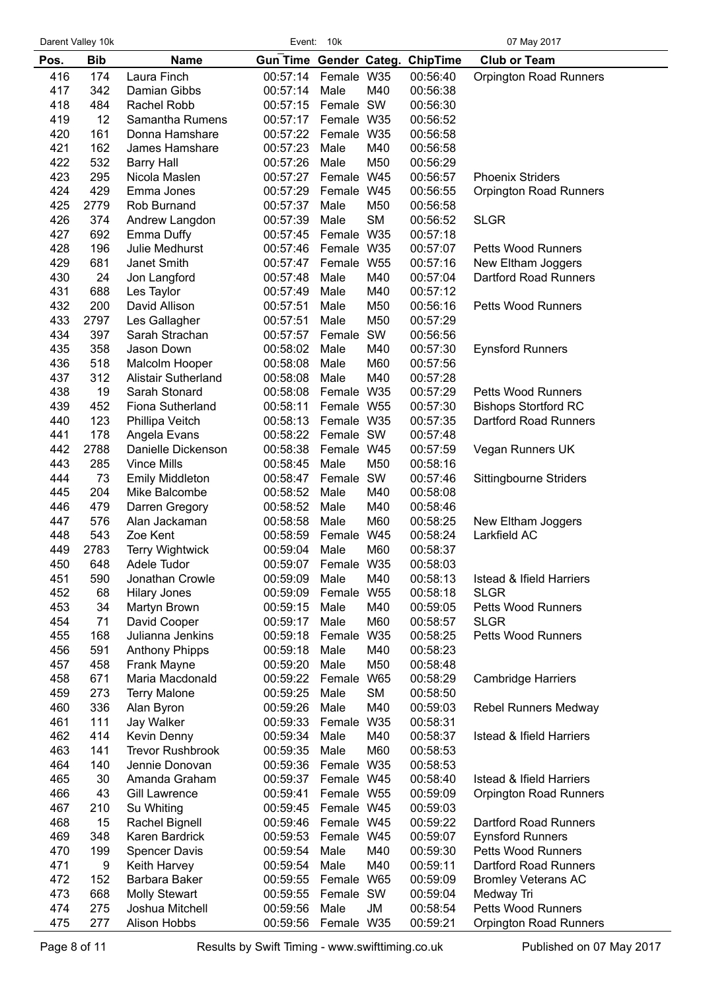| Darent Valley 10k |  |  |
|-------------------|--|--|
|-------------------|--|--|

Event: 10k 07 May 2017

| <b>Gun Time Gender Categ. ChipTime</b><br>Laura Finch<br>00:57:14<br>416<br>174<br>Female W35<br>00:56:40<br><b>Orpington Road Runners</b><br>417<br>342<br>M40<br>Damian Gibbs<br>00:57:14<br>Male<br>00:56:38<br>418<br>Female SW<br>484<br>Rachel Robb<br>00:57:15<br>00:56:30<br>419<br>12<br>Samantha Rumens<br>00:57:17<br>Female W35<br>00:56:52<br>420<br>161<br>Donna Hamshare<br>00:57:22<br>Female W35<br>00:56:58<br>421<br>162<br>James Hamshare<br>00:57:23<br>Male<br>M40<br>00:56:58<br>422<br>532<br>M50<br>00:57:26<br>Male<br>00:56:29<br><b>Barry Hall</b><br>423<br>295<br>Female W45<br>Nicola Maslen<br>00:57:27<br>00:56:57<br><b>Phoenix Striders</b><br>424<br>429<br>Emma Jones<br>00:57:29<br>Female W45<br>00:56:55<br><b>Orpington Road Runners</b><br>425<br>2779<br>00:57:37<br>Rob Burnand<br>Male<br>M50<br>00:56:58<br>426<br>374<br><b>SM</b><br><b>SLGR</b><br>00:57:39<br>Male<br>00:56:52<br>Andrew Langdon<br>427<br>692<br>00:57:45 Female W35<br>Emma Duffy<br>00:57:18<br>428<br>196<br>Julie Medhurst<br>00:57:46 Female W35<br>00:57:07<br>Petts Wood Runners<br>429<br>00:57:16<br>681<br>Janet Smith<br>00:57:47 Female W55<br>New Eltham Joggers<br>430<br>24<br>00:57:48<br>Male<br>M40<br>00:57:04<br>Dartford Road Runners<br>Jon Langford<br>431<br>688<br>Les Taylor<br>00:57:49<br>Male<br>M40<br>00:57:12<br>432<br>200<br>David Allison<br>00:57:51<br>Male<br>M50<br>00:56:16<br>Petts Wood Runners<br>433<br>M50<br>2797<br>Les Gallagher<br>00:57:51<br>Male<br>00:57:29<br>434<br>397<br>Female SW<br>Sarah Strachan<br>00:57:57<br>00:56:56<br>435<br>358<br>00:58:02<br>M40<br>Jason Down<br>Male<br>00:57:30<br><b>Eynsford Runners</b><br>436<br>518<br>M60<br>Malcolm Hooper<br>00:58:08<br>Male<br>00:57:56<br>437<br>312<br>M40<br><b>Alistair Sutherland</b><br>00:58:08<br>Male<br>00:57:28<br>438<br>19<br>Female W35<br>Sarah Stonard<br>00:58:08<br>00:57:29<br><b>Petts Wood Runners</b><br>439<br>00:57:30<br><b>Bishops Stortford RC</b><br>452<br>Fiona Sutherland<br>00:58:11<br>Female W55<br>440<br>123<br>Phillipa Veitch<br>00:58:13<br>Female W35<br>00:57:35<br>Dartford Road Runners<br>441<br>178<br>Angela Evans<br>00:58:22<br>Female SW<br>00:57:48<br>442<br>2788<br>Danielle Dickenson<br>00:58:38<br>Female W45<br>00:57:59<br>Vegan Runners UK<br>443<br>285<br>Vince Mills<br>00:58:45<br>Male<br>M50<br>00:58:16<br>444<br>73<br>Female SW<br><b>Emily Middleton</b><br>00:58:47<br>00:57:46<br>Sittingbourne Striders<br>445<br>204<br>Mike Balcombe<br>00:58:52<br>Male<br>M40<br>00:58:08<br>446<br>479<br>00:58:52<br>Male<br>M40<br>00:58:46<br>Darren Gregory<br>447<br>576<br>Alan Jackaman<br>00:58:58<br>Male<br>M60<br>00:58:25<br>New Eltham Joggers<br>448<br>543<br>00:58:59<br>Female W45<br>00:58:24<br>Larkfield AC<br>Zoe Kent<br>449<br>2783<br><b>Terry Wightwick</b><br>00:59:04<br>Male<br>M60<br>00:58:37<br>450<br>648<br>Adele Tudor<br>00:59:07 Female W35<br>00:58:03<br>451<br>590<br>Jonathan Crowle<br>00:59:09<br>Male<br>M40<br>00:58:13<br><b>Istead &amp; Ifield Harriers</b><br>452<br>68<br>W <sub>55</sub><br>00:58:18<br><b>SLGR</b><br><b>Hilary Jones</b><br>00:59:09<br>Female<br>453<br>34<br>Martyn Brown<br>00:59:15<br>M40<br>00:59:05<br><b>Petts Wood Runners</b><br>Male<br>71<br>M60<br>454<br>David Cooper<br>Male<br><b>SLGR</b><br>00:59:17<br>00:58:57<br>455<br>168<br>Julianna Jenkins<br>00:59:18<br>Female<br>W35<br>00:58:25<br><b>Petts Wood Runners</b><br>456<br>591<br><b>Anthony Phipps</b><br>M40<br>00:58:23<br>00:59:18<br>Male<br>457<br>458<br>Frank Mayne<br>00:59:20<br>Male<br>M50<br>00:58:48<br>458<br>671<br>Maria Macdonald<br>00:59:22<br>Female<br>W65<br>00:58:29<br><b>Cambridge Harriers</b><br><b>SM</b><br>459<br>273<br><b>Terry Malone</b><br>00:59:25<br>Male<br>00:58:50<br>336<br>460<br>00:59:26<br>Male<br>M40<br><b>Rebel Runners Medway</b><br>Alan Byron<br>00:59:03<br>111<br>Jay Walker<br>461<br>00:59:33<br>Female W35<br>00:58:31<br>462<br>414<br>Kevin Denny<br>M40<br><b>Istead &amp; Ifield Harriers</b><br>00:59:34<br>Male<br>00:58:37<br>463<br>141<br><b>Trevor Rushbrook</b><br>00:59:35<br>Male<br>M60<br>00:58:53<br>464<br>140<br>Jennie Donovan<br>00:59:36<br>Female W35<br>00:58:53<br>465<br>30<br>Amanda Graham<br>00:59:37<br>Female W45<br>00:58:40<br><b>Istead &amp; Ifield Harriers</b><br>466<br>43<br>00:59:41<br>Female W55<br>00:59:09<br><b>Gill Lawrence</b><br><b>Orpington Road Runners</b><br>467<br>210<br>Su Whiting<br>Female W45<br>00:59:03<br>00:59:45<br>468<br>15<br>Female W45<br>00:59:22<br>Dartford Road Runners<br>Rachel Bignell<br>00:59:46<br>469<br>348<br>Karen Bardrick<br>00:59:53<br>Female W45<br>00:59:07<br><b>Eynsford Runners</b><br>470<br>199<br>Male<br>M40<br>00:59:30<br><b>Petts Wood Runners</b><br><b>Spencer Davis</b><br>00:59:54<br>471<br>9<br>Keith Harvey<br>00:59:54<br>Male<br>M40<br>00:59:11<br>Dartford Road Runners<br>472<br>152<br>Barbara Baker<br>W65<br>00:59:09<br>00:59:55<br>Female<br><b>Bromley Veterans AC</b><br>473<br>668<br><b>Molly Stewart</b><br>00:59:55<br>Female SW<br>00:59:04<br>Medway Tri<br>474<br>275<br>Joshua Mitchell<br>00:59:56<br>Male<br>JM<br>00:58:54<br><b>Petts Wood Runners</b><br>475<br>277<br>Alison Hobbs<br>00:59:56<br>Female W35<br>00:59:21<br>Orpington Road Runners | Pos. | <b>Bib</b> | <b>Name</b> |  |  | <b>Club or Team</b> |
|-------------------------------------------------------------------------------------------------------------------------------------------------------------------------------------------------------------------------------------------------------------------------------------------------------------------------------------------------------------------------------------------------------------------------------------------------------------------------------------------------------------------------------------------------------------------------------------------------------------------------------------------------------------------------------------------------------------------------------------------------------------------------------------------------------------------------------------------------------------------------------------------------------------------------------------------------------------------------------------------------------------------------------------------------------------------------------------------------------------------------------------------------------------------------------------------------------------------------------------------------------------------------------------------------------------------------------------------------------------------------------------------------------------------------------------------------------------------------------------------------------------------------------------------------------------------------------------------------------------------------------------------------------------------------------------------------------------------------------------------------------------------------------------------------------------------------------------------------------------------------------------------------------------------------------------------------------------------------------------------------------------------------------------------------------------------------------------------------------------------------------------------------------------------------------------------------------------------------------------------------------------------------------------------------------------------------------------------------------------------------------------------------------------------------------------------------------------------------------------------------------------------------------------------------------------------------------------------------------------------------------------------------------------------------------------------------------------------------------------------------------------------------------------------------------------------------------------------------------------------------------------------------------------------------------------------------------------------------------------------------------------------------------------------------------------------------------------------------------------------------------------------------------------------------------------------------------------------------------------------------------------------------------------------------------------------------------------------------------------------------------------------------------------------------------------------------------------------------------------------------------------------------------------------------------------------------------------------------------------------------------------------------------------------------------------------------------------------------------------------------------------------------------------------------------------------------------------------------------------------------------------------------------------------------------------------------------------------------------------------------------------------------------------------------------------------------------------------------------------------------------------------------------------------------------------------------------------------------------------------------------------------------------------------------------------------------------------------------------------------------------------------------------------------------------------------------------------------------------------------------------------------------------------------------------------------------------------------------------------------------------------------------------------------------------------------------------------------------------------------------------------------------------------------------------------------------------------------------------------------------------------------------------------------------------------------------------------------------------------------------------------------------------------------------------------------------------------------------------------------------------------------------------------------------------------------------------------------------------------------------------------------------------------------------------------------------------------------------------------------------------------------------|------|------------|-------------|--|--|---------------------|
|                                                                                                                                                                                                                                                                                                                                                                                                                                                                                                                                                                                                                                                                                                                                                                                                                                                                                                                                                                                                                                                                                                                                                                                                                                                                                                                                                                                                                                                                                                                                                                                                                                                                                                                                                                                                                                                                                                                                                                                                                                                                                                                                                                                                                                                                                                                                                                                                                                                                                                                                                                                                                                                                                                                                                                                                                                                                                                                                                                                                                                                                                                                                                                                                                                                                                                                                                                                                                                                                                                                                                                                                                                                                                                                                                                                                                                                                                                                                                                                                                                                                                                                                                                                                                                                                                                                                                                                                                                                                                                                                                                                                                                                                                                                                                                                                                                                                                                                                                                                                                                                                                                                                                                                                                                                                                                                                                                                                 |      |            |             |  |  |                     |
|                                                                                                                                                                                                                                                                                                                                                                                                                                                                                                                                                                                                                                                                                                                                                                                                                                                                                                                                                                                                                                                                                                                                                                                                                                                                                                                                                                                                                                                                                                                                                                                                                                                                                                                                                                                                                                                                                                                                                                                                                                                                                                                                                                                                                                                                                                                                                                                                                                                                                                                                                                                                                                                                                                                                                                                                                                                                                                                                                                                                                                                                                                                                                                                                                                                                                                                                                                                                                                                                                                                                                                                                                                                                                                                                                                                                                                                                                                                                                                                                                                                                                                                                                                                                                                                                                                                                                                                                                                                                                                                                                                                                                                                                                                                                                                                                                                                                                                                                                                                                                                                                                                                                                                                                                                                                                                                                                                                                 |      |            |             |  |  |                     |
|                                                                                                                                                                                                                                                                                                                                                                                                                                                                                                                                                                                                                                                                                                                                                                                                                                                                                                                                                                                                                                                                                                                                                                                                                                                                                                                                                                                                                                                                                                                                                                                                                                                                                                                                                                                                                                                                                                                                                                                                                                                                                                                                                                                                                                                                                                                                                                                                                                                                                                                                                                                                                                                                                                                                                                                                                                                                                                                                                                                                                                                                                                                                                                                                                                                                                                                                                                                                                                                                                                                                                                                                                                                                                                                                                                                                                                                                                                                                                                                                                                                                                                                                                                                                                                                                                                                                                                                                                                                                                                                                                                                                                                                                                                                                                                                                                                                                                                                                                                                                                                                                                                                                                                                                                                                                                                                                                                                                 |      |            |             |  |  |                     |
|                                                                                                                                                                                                                                                                                                                                                                                                                                                                                                                                                                                                                                                                                                                                                                                                                                                                                                                                                                                                                                                                                                                                                                                                                                                                                                                                                                                                                                                                                                                                                                                                                                                                                                                                                                                                                                                                                                                                                                                                                                                                                                                                                                                                                                                                                                                                                                                                                                                                                                                                                                                                                                                                                                                                                                                                                                                                                                                                                                                                                                                                                                                                                                                                                                                                                                                                                                                                                                                                                                                                                                                                                                                                                                                                                                                                                                                                                                                                                                                                                                                                                                                                                                                                                                                                                                                                                                                                                                                                                                                                                                                                                                                                                                                                                                                                                                                                                                                                                                                                                                                                                                                                                                                                                                                                                                                                                                                                 |      |            |             |  |  |                     |
|                                                                                                                                                                                                                                                                                                                                                                                                                                                                                                                                                                                                                                                                                                                                                                                                                                                                                                                                                                                                                                                                                                                                                                                                                                                                                                                                                                                                                                                                                                                                                                                                                                                                                                                                                                                                                                                                                                                                                                                                                                                                                                                                                                                                                                                                                                                                                                                                                                                                                                                                                                                                                                                                                                                                                                                                                                                                                                                                                                                                                                                                                                                                                                                                                                                                                                                                                                                                                                                                                                                                                                                                                                                                                                                                                                                                                                                                                                                                                                                                                                                                                                                                                                                                                                                                                                                                                                                                                                                                                                                                                                                                                                                                                                                                                                                                                                                                                                                                                                                                                                                                                                                                                                                                                                                                                                                                                                                                 |      |            |             |  |  |                     |
|                                                                                                                                                                                                                                                                                                                                                                                                                                                                                                                                                                                                                                                                                                                                                                                                                                                                                                                                                                                                                                                                                                                                                                                                                                                                                                                                                                                                                                                                                                                                                                                                                                                                                                                                                                                                                                                                                                                                                                                                                                                                                                                                                                                                                                                                                                                                                                                                                                                                                                                                                                                                                                                                                                                                                                                                                                                                                                                                                                                                                                                                                                                                                                                                                                                                                                                                                                                                                                                                                                                                                                                                                                                                                                                                                                                                                                                                                                                                                                                                                                                                                                                                                                                                                                                                                                                                                                                                                                                                                                                                                                                                                                                                                                                                                                                                                                                                                                                                                                                                                                                                                                                                                                                                                                                                                                                                                                                                 |      |            |             |  |  |                     |
|                                                                                                                                                                                                                                                                                                                                                                                                                                                                                                                                                                                                                                                                                                                                                                                                                                                                                                                                                                                                                                                                                                                                                                                                                                                                                                                                                                                                                                                                                                                                                                                                                                                                                                                                                                                                                                                                                                                                                                                                                                                                                                                                                                                                                                                                                                                                                                                                                                                                                                                                                                                                                                                                                                                                                                                                                                                                                                                                                                                                                                                                                                                                                                                                                                                                                                                                                                                                                                                                                                                                                                                                                                                                                                                                                                                                                                                                                                                                                                                                                                                                                                                                                                                                                                                                                                                                                                                                                                                                                                                                                                                                                                                                                                                                                                                                                                                                                                                                                                                                                                                                                                                                                                                                                                                                                                                                                                                                 |      |            |             |  |  |                     |
|                                                                                                                                                                                                                                                                                                                                                                                                                                                                                                                                                                                                                                                                                                                                                                                                                                                                                                                                                                                                                                                                                                                                                                                                                                                                                                                                                                                                                                                                                                                                                                                                                                                                                                                                                                                                                                                                                                                                                                                                                                                                                                                                                                                                                                                                                                                                                                                                                                                                                                                                                                                                                                                                                                                                                                                                                                                                                                                                                                                                                                                                                                                                                                                                                                                                                                                                                                                                                                                                                                                                                                                                                                                                                                                                                                                                                                                                                                                                                                                                                                                                                                                                                                                                                                                                                                                                                                                                                                                                                                                                                                                                                                                                                                                                                                                                                                                                                                                                                                                                                                                                                                                                                                                                                                                                                                                                                                                                 |      |            |             |  |  |                     |
|                                                                                                                                                                                                                                                                                                                                                                                                                                                                                                                                                                                                                                                                                                                                                                                                                                                                                                                                                                                                                                                                                                                                                                                                                                                                                                                                                                                                                                                                                                                                                                                                                                                                                                                                                                                                                                                                                                                                                                                                                                                                                                                                                                                                                                                                                                                                                                                                                                                                                                                                                                                                                                                                                                                                                                                                                                                                                                                                                                                                                                                                                                                                                                                                                                                                                                                                                                                                                                                                                                                                                                                                                                                                                                                                                                                                                                                                                                                                                                                                                                                                                                                                                                                                                                                                                                                                                                                                                                                                                                                                                                                                                                                                                                                                                                                                                                                                                                                                                                                                                                                                                                                                                                                                                                                                                                                                                                                                 |      |            |             |  |  |                     |
|                                                                                                                                                                                                                                                                                                                                                                                                                                                                                                                                                                                                                                                                                                                                                                                                                                                                                                                                                                                                                                                                                                                                                                                                                                                                                                                                                                                                                                                                                                                                                                                                                                                                                                                                                                                                                                                                                                                                                                                                                                                                                                                                                                                                                                                                                                                                                                                                                                                                                                                                                                                                                                                                                                                                                                                                                                                                                                                                                                                                                                                                                                                                                                                                                                                                                                                                                                                                                                                                                                                                                                                                                                                                                                                                                                                                                                                                                                                                                                                                                                                                                                                                                                                                                                                                                                                                                                                                                                                                                                                                                                                                                                                                                                                                                                                                                                                                                                                                                                                                                                                                                                                                                                                                                                                                                                                                                                                                 |      |            |             |  |  |                     |
|                                                                                                                                                                                                                                                                                                                                                                                                                                                                                                                                                                                                                                                                                                                                                                                                                                                                                                                                                                                                                                                                                                                                                                                                                                                                                                                                                                                                                                                                                                                                                                                                                                                                                                                                                                                                                                                                                                                                                                                                                                                                                                                                                                                                                                                                                                                                                                                                                                                                                                                                                                                                                                                                                                                                                                                                                                                                                                                                                                                                                                                                                                                                                                                                                                                                                                                                                                                                                                                                                                                                                                                                                                                                                                                                                                                                                                                                                                                                                                                                                                                                                                                                                                                                                                                                                                                                                                                                                                                                                                                                                                                                                                                                                                                                                                                                                                                                                                                                                                                                                                                                                                                                                                                                                                                                                                                                                                                                 |      |            |             |  |  |                     |
|                                                                                                                                                                                                                                                                                                                                                                                                                                                                                                                                                                                                                                                                                                                                                                                                                                                                                                                                                                                                                                                                                                                                                                                                                                                                                                                                                                                                                                                                                                                                                                                                                                                                                                                                                                                                                                                                                                                                                                                                                                                                                                                                                                                                                                                                                                                                                                                                                                                                                                                                                                                                                                                                                                                                                                                                                                                                                                                                                                                                                                                                                                                                                                                                                                                                                                                                                                                                                                                                                                                                                                                                                                                                                                                                                                                                                                                                                                                                                                                                                                                                                                                                                                                                                                                                                                                                                                                                                                                                                                                                                                                                                                                                                                                                                                                                                                                                                                                                                                                                                                                                                                                                                                                                                                                                                                                                                                                                 |      |            |             |  |  |                     |
|                                                                                                                                                                                                                                                                                                                                                                                                                                                                                                                                                                                                                                                                                                                                                                                                                                                                                                                                                                                                                                                                                                                                                                                                                                                                                                                                                                                                                                                                                                                                                                                                                                                                                                                                                                                                                                                                                                                                                                                                                                                                                                                                                                                                                                                                                                                                                                                                                                                                                                                                                                                                                                                                                                                                                                                                                                                                                                                                                                                                                                                                                                                                                                                                                                                                                                                                                                                                                                                                                                                                                                                                                                                                                                                                                                                                                                                                                                                                                                                                                                                                                                                                                                                                                                                                                                                                                                                                                                                                                                                                                                                                                                                                                                                                                                                                                                                                                                                                                                                                                                                                                                                                                                                                                                                                                                                                                                                                 |      |            |             |  |  |                     |
|                                                                                                                                                                                                                                                                                                                                                                                                                                                                                                                                                                                                                                                                                                                                                                                                                                                                                                                                                                                                                                                                                                                                                                                                                                                                                                                                                                                                                                                                                                                                                                                                                                                                                                                                                                                                                                                                                                                                                                                                                                                                                                                                                                                                                                                                                                                                                                                                                                                                                                                                                                                                                                                                                                                                                                                                                                                                                                                                                                                                                                                                                                                                                                                                                                                                                                                                                                                                                                                                                                                                                                                                                                                                                                                                                                                                                                                                                                                                                                                                                                                                                                                                                                                                                                                                                                                                                                                                                                                                                                                                                                                                                                                                                                                                                                                                                                                                                                                                                                                                                                                                                                                                                                                                                                                                                                                                                                                                 |      |            |             |  |  |                     |
|                                                                                                                                                                                                                                                                                                                                                                                                                                                                                                                                                                                                                                                                                                                                                                                                                                                                                                                                                                                                                                                                                                                                                                                                                                                                                                                                                                                                                                                                                                                                                                                                                                                                                                                                                                                                                                                                                                                                                                                                                                                                                                                                                                                                                                                                                                                                                                                                                                                                                                                                                                                                                                                                                                                                                                                                                                                                                                                                                                                                                                                                                                                                                                                                                                                                                                                                                                                                                                                                                                                                                                                                                                                                                                                                                                                                                                                                                                                                                                                                                                                                                                                                                                                                                                                                                                                                                                                                                                                                                                                                                                                                                                                                                                                                                                                                                                                                                                                                                                                                                                                                                                                                                                                                                                                                                                                                                                                                 |      |            |             |  |  |                     |
|                                                                                                                                                                                                                                                                                                                                                                                                                                                                                                                                                                                                                                                                                                                                                                                                                                                                                                                                                                                                                                                                                                                                                                                                                                                                                                                                                                                                                                                                                                                                                                                                                                                                                                                                                                                                                                                                                                                                                                                                                                                                                                                                                                                                                                                                                                                                                                                                                                                                                                                                                                                                                                                                                                                                                                                                                                                                                                                                                                                                                                                                                                                                                                                                                                                                                                                                                                                                                                                                                                                                                                                                                                                                                                                                                                                                                                                                                                                                                                                                                                                                                                                                                                                                                                                                                                                                                                                                                                                                                                                                                                                                                                                                                                                                                                                                                                                                                                                                                                                                                                                                                                                                                                                                                                                                                                                                                                                                 |      |            |             |  |  |                     |
|                                                                                                                                                                                                                                                                                                                                                                                                                                                                                                                                                                                                                                                                                                                                                                                                                                                                                                                                                                                                                                                                                                                                                                                                                                                                                                                                                                                                                                                                                                                                                                                                                                                                                                                                                                                                                                                                                                                                                                                                                                                                                                                                                                                                                                                                                                                                                                                                                                                                                                                                                                                                                                                                                                                                                                                                                                                                                                                                                                                                                                                                                                                                                                                                                                                                                                                                                                                                                                                                                                                                                                                                                                                                                                                                                                                                                                                                                                                                                                                                                                                                                                                                                                                                                                                                                                                                                                                                                                                                                                                                                                                                                                                                                                                                                                                                                                                                                                                                                                                                                                                                                                                                                                                                                                                                                                                                                                                                 |      |            |             |  |  |                     |
|                                                                                                                                                                                                                                                                                                                                                                                                                                                                                                                                                                                                                                                                                                                                                                                                                                                                                                                                                                                                                                                                                                                                                                                                                                                                                                                                                                                                                                                                                                                                                                                                                                                                                                                                                                                                                                                                                                                                                                                                                                                                                                                                                                                                                                                                                                                                                                                                                                                                                                                                                                                                                                                                                                                                                                                                                                                                                                                                                                                                                                                                                                                                                                                                                                                                                                                                                                                                                                                                                                                                                                                                                                                                                                                                                                                                                                                                                                                                                                                                                                                                                                                                                                                                                                                                                                                                                                                                                                                                                                                                                                                                                                                                                                                                                                                                                                                                                                                                                                                                                                                                                                                                                                                                                                                                                                                                                                                                 |      |            |             |  |  |                     |
|                                                                                                                                                                                                                                                                                                                                                                                                                                                                                                                                                                                                                                                                                                                                                                                                                                                                                                                                                                                                                                                                                                                                                                                                                                                                                                                                                                                                                                                                                                                                                                                                                                                                                                                                                                                                                                                                                                                                                                                                                                                                                                                                                                                                                                                                                                                                                                                                                                                                                                                                                                                                                                                                                                                                                                                                                                                                                                                                                                                                                                                                                                                                                                                                                                                                                                                                                                                                                                                                                                                                                                                                                                                                                                                                                                                                                                                                                                                                                                                                                                                                                                                                                                                                                                                                                                                                                                                                                                                                                                                                                                                                                                                                                                                                                                                                                                                                                                                                                                                                                                                                                                                                                                                                                                                                                                                                                                                                 |      |            |             |  |  |                     |
|                                                                                                                                                                                                                                                                                                                                                                                                                                                                                                                                                                                                                                                                                                                                                                                                                                                                                                                                                                                                                                                                                                                                                                                                                                                                                                                                                                                                                                                                                                                                                                                                                                                                                                                                                                                                                                                                                                                                                                                                                                                                                                                                                                                                                                                                                                                                                                                                                                                                                                                                                                                                                                                                                                                                                                                                                                                                                                                                                                                                                                                                                                                                                                                                                                                                                                                                                                                                                                                                                                                                                                                                                                                                                                                                                                                                                                                                                                                                                                                                                                                                                                                                                                                                                                                                                                                                                                                                                                                                                                                                                                                                                                                                                                                                                                                                                                                                                                                                                                                                                                                                                                                                                                                                                                                                                                                                                                                                 |      |            |             |  |  |                     |
|                                                                                                                                                                                                                                                                                                                                                                                                                                                                                                                                                                                                                                                                                                                                                                                                                                                                                                                                                                                                                                                                                                                                                                                                                                                                                                                                                                                                                                                                                                                                                                                                                                                                                                                                                                                                                                                                                                                                                                                                                                                                                                                                                                                                                                                                                                                                                                                                                                                                                                                                                                                                                                                                                                                                                                                                                                                                                                                                                                                                                                                                                                                                                                                                                                                                                                                                                                                                                                                                                                                                                                                                                                                                                                                                                                                                                                                                                                                                                                                                                                                                                                                                                                                                                                                                                                                                                                                                                                                                                                                                                                                                                                                                                                                                                                                                                                                                                                                                                                                                                                                                                                                                                                                                                                                                                                                                                                                                 |      |            |             |  |  |                     |
|                                                                                                                                                                                                                                                                                                                                                                                                                                                                                                                                                                                                                                                                                                                                                                                                                                                                                                                                                                                                                                                                                                                                                                                                                                                                                                                                                                                                                                                                                                                                                                                                                                                                                                                                                                                                                                                                                                                                                                                                                                                                                                                                                                                                                                                                                                                                                                                                                                                                                                                                                                                                                                                                                                                                                                                                                                                                                                                                                                                                                                                                                                                                                                                                                                                                                                                                                                                                                                                                                                                                                                                                                                                                                                                                                                                                                                                                                                                                                                                                                                                                                                                                                                                                                                                                                                                                                                                                                                                                                                                                                                                                                                                                                                                                                                                                                                                                                                                                                                                                                                                                                                                                                                                                                                                                                                                                                                                                 |      |            |             |  |  |                     |
|                                                                                                                                                                                                                                                                                                                                                                                                                                                                                                                                                                                                                                                                                                                                                                                                                                                                                                                                                                                                                                                                                                                                                                                                                                                                                                                                                                                                                                                                                                                                                                                                                                                                                                                                                                                                                                                                                                                                                                                                                                                                                                                                                                                                                                                                                                                                                                                                                                                                                                                                                                                                                                                                                                                                                                                                                                                                                                                                                                                                                                                                                                                                                                                                                                                                                                                                                                                                                                                                                                                                                                                                                                                                                                                                                                                                                                                                                                                                                                                                                                                                                                                                                                                                                                                                                                                                                                                                                                                                                                                                                                                                                                                                                                                                                                                                                                                                                                                                                                                                                                                                                                                                                                                                                                                                                                                                                                                                 |      |            |             |  |  |                     |
|                                                                                                                                                                                                                                                                                                                                                                                                                                                                                                                                                                                                                                                                                                                                                                                                                                                                                                                                                                                                                                                                                                                                                                                                                                                                                                                                                                                                                                                                                                                                                                                                                                                                                                                                                                                                                                                                                                                                                                                                                                                                                                                                                                                                                                                                                                                                                                                                                                                                                                                                                                                                                                                                                                                                                                                                                                                                                                                                                                                                                                                                                                                                                                                                                                                                                                                                                                                                                                                                                                                                                                                                                                                                                                                                                                                                                                                                                                                                                                                                                                                                                                                                                                                                                                                                                                                                                                                                                                                                                                                                                                                                                                                                                                                                                                                                                                                                                                                                                                                                                                                                                                                                                                                                                                                                                                                                                                                                 |      |            |             |  |  |                     |
|                                                                                                                                                                                                                                                                                                                                                                                                                                                                                                                                                                                                                                                                                                                                                                                                                                                                                                                                                                                                                                                                                                                                                                                                                                                                                                                                                                                                                                                                                                                                                                                                                                                                                                                                                                                                                                                                                                                                                                                                                                                                                                                                                                                                                                                                                                                                                                                                                                                                                                                                                                                                                                                                                                                                                                                                                                                                                                                                                                                                                                                                                                                                                                                                                                                                                                                                                                                                                                                                                                                                                                                                                                                                                                                                                                                                                                                                                                                                                                                                                                                                                                                                                                                                                                                                                                                                                                                                                                                                                                                                                                                                                                                                                                                                                                                                                                                                                                                                                                                                                                                                                                                                                                                                                                                                                                                                                                                                 |      |            |             |  |  |                     |
|                                                                                                                                                                                                                                                                                                                                                                                                                                                                                                                                                                                                                                                                                                                                                                                                                                                                                                                                                                                                                                                                                                                                                                                                                                                                                                                                                                                                                                                                                                                                                                                                                                                                                                                                                                                                                                                                                                                                                                                                                                                                                                                                                                                                                                                                                                                                                                                                                                                                                                                                                                                                                                                                                                                                                                                                                                                                                                                                                                                                                                                                                                                                                                                                                                                                                                                                                                                                                                                                                                                                                                                                                                                                                                                                                                                                                                                                                                                                                                                                                                                                                                                                                                                                                                                                                                                                                                                                                                                                                                                                                                                                                                                                                                                                                                                                                                                                                                                                                                                                                                                                                                                                                                                                                                                                                                                                                                                                 |      |            |             |  |  |                     |
|                                                                                                                                                                                                                                                                                                                                                                                                                                                                                                                                                                                                                                                                                                                                                                                                                                                                                                                                                                                                                                                                                                                                                                                                                                                                                                                                                                                                                                                                                                                                                                                                                                                                                                                                                                                                                                                                                                                                                                                                                                                                                                                                                                                                                                                                                                                                                                                                                                                                                                                                                                                                                                                                                                                                                                                                                                                                                                                                                                                                                                                                                                                                                                                                                                                                                                                                                                                                                                                                                                                                                                                                                                                                                                                                                                                                                                                                                                                                                                                                                                                                                                                                                                                                                                                                                                                                                                                                                                                                                                                                                                                                                                                                                                                                                                                                                                                                                                                                                                                                                                                                                                                                                                                                                                                                                                                                                                                                 |      |            |             |  |  |                     |
|                                                                                                                                                                                                                                                                                                                                                                                                                                                                                                                                                                                                                                                                                                                                                                                                                                                                                                                                                                                                                                                                                                                                                                                                                                                                                                                                                                                                                                                                                                                                                                                                                                                                                                                                                                                                                                                                                                                                                                                                                                                                                                                                                                                                                                                                                                                                                                                                                                                                                                                                                                                                                                                                                                                                                                                                                                                                                                                                                                                                                                                                                                                                                                                                                                                                                                                                                                                                                                                                                                                                                                                                                                                                                                                                                                                                                                                                                                                                                                                                                                                                                                                                                                                                                                                                                                                                                                                                                                                                                                                                                                                                                                                                                                                                                                                                                                                                                                                                                                                                                                                                                                                                                                                                                                                                                                                                                                                                 |      |            |             |  |  |                     |
|                                                                                                                                                                                                                                                                                                                                                                                                                                                                                                                                                                                                                                                                                                                                                                                                                                                                                                                                                                                                                                                                                                                                                                                                                                                                                                                                                                                                                                                                                                                                                                                                                                                                                                                                                                                                                                                                                                                                                                                                                                                                                                                                                                                                                                                                                                                                                                                                                                                                                                                                                                                                                                                                                                                                                                                                                                                                                                                                                                                                                                                                                                                                                                                                                                                                                                                                                                                                                                                                                                                                                                                                                                                                                                                                                                                                                                                                                                                                                                                                                                                                                                                                                                                                                                                                                                                                                                                                                                                                                                                                                                                                                                                                                                                                                                                                                                                                                                                                                                                                                                                                                                                                                                                                                                                                                                                                                                                                 |      |            |             |  |  |                     |
|                                                                                                                                                                                                                                                                                                                                                                                                                                                                                                                                                                                                                                                                                                                                                                                                                                                                                                                                                                                                                                                                                                                                                                                                                                                                                                                                                                                                                                                                                                                                                                                                                                                                                                                                                                                                                                                                                                                                                                                                                                                                                                                                                                                                                                                                                                                                                                                                                                                                                                                                                                                                                                                                                                                                                                                                                                                                                                                                                                                                                                                                                                                                                                                                                                                                                                                                                                                                                                                                                                                                                                                                                                                                                                                                                                                                                                                                                                                                                                                                                                                                                                                                                                                                                                                                                                                                                                                                                                                                                                                                                                                                                                                                                                                                                                                                                                                                                                                                                                                                                                                                                                                                                                                                                                                                                                                                                                                                 |      |            |             |  |  |                     |
|                                                                                                                                                                                                                                                                                                                                                                                                                                                                                                                                                                                                                                                                                                                                                                                                                                                                                                                                                                                                                                                                                                                                                                                                                                                                                                                                                                                                                                                                                                                                                                                                                                                                                                                                                                                                                                                                                                                                                                                                                                                                                                                                                                                                                                                                                                                                                                                                                                                                                                                                                                                                                                                                                                                                                                                                                                                                                                                                                                                                                                                                                                                                                                                                                                                                                                                                                                                                                                                                                                                                                                                                                                                                                                                                                                                                                                                                                                                                                                                                                                                                                                                                                                                                                                                                                                                                                                                                                                                                                                                                                                                                                                                                                                                                                                                                                                                                                                                                                                                                                                                                                                                                                                                                                                                                                                                                                                                                 |      |            |             |  |  |                     |
|                                                                                                                                                                                                                                                                                                                                                                                                                                                                                                                                                                                                                                                                                                                                                                                                                                                                                                                                                                                                                                                                                                                                                                                                                                                                                                                                                                                                                                                                                                                                                                                                                                                                                                                                                                                                                                                                                                                                                                                                                                                                                                                                                                                                                                                                                                                                                                                                                                                                                                                                                                                                                                                                                                                                                                                                                                                                                                                                                                                                                                                                                                                                                                                                                                                                                                                                                                                                                                                                                                                                                                                                                                                                                                                                                                                                                                                                                                                                                                                                                                                                                                                                                                                                                                                                                                                                                                                                                                                                                                                                                                                                                                                                                                                                                                                                                                                                                                                                                                                                                                                                                                                                                                                                                                                                                                                                                                                                 |      |            |             |  |  |                     |
|                                                                                                                                                                                                                                                                                                                                                                                                                                                                                                                                                                                                                                                                                                                                                                                                                                                                                                                                                                                                                                                                                                                                                                                                                                                                                                                                                                                                                                                                                                                                                                                                                                                                                                                                                                                                                                                                                                                                                                                                                                                                                                                                                                                                                                                                                                                                                                                                                                                                                                                                                                                                                                                                                                                                                                                                                                                                                                                                                                                                                                                                                                                                                                                                                                                                                                                                                                                                                                                                                                                                                                                                                                                                                                                                                                                                                                                                                                                                                                                                                                                                                                                                                                                                                                                                                                                                                                                                                                                                                                                                                                                                                                                                                                                                                                                                                                                                                                                                                                                                                                                                                                                                                                                                                                                                                                                                                                                                 |      |            |             |  |  |                     |
|                                                                                                                                                                                                                                                                                                                                                                                                                                                                                                                                                                                                                                                                                                                                                                                                                                                                                                                                                                                                                                                                                                                                                                                                                                                                                                                                                                                                                                                                                                                                                                                                                                                                                                                                                                                                                                                                                                                                                                                                                                                                                                                                                                                                                                                                                                                                                                                                                                                                                                                                                                                                                                                                                                                                                                                                                                                                                                                                                                                                                                                                                                                                                                                                                                                                                                                                                                                                                                                                                                                                                                                                                                                                                                                                                                                                                                                                                                                                                                                                                                                                                                                                                                                                                                                                                                                                                                                                                                                                                                                                                                                                                                                                                                                                                                                                                                                                                                                                                                                                                                                                                                                                                                                                                                                                                                                                                                                                 |      |            |             |  |  |                     |
|                                                                                                                                                                                                                                                                                                                                                                                                                                                                                                                                                                                                                                                                                                                                                                                                                                                                                                                                                                                                                                                                                                                                                                                                                                                                                                                                                                                                                                                                                                                                                                                                                                                                                                                                                                                                                                                                                                                                                                                                                                                                                                                                                                                                                                                                                                                                                                                                                                                                                                                                                                                                                                                                                                                                                                                                                                                                                                                                                                                                                                                                                                                                                                                                                                                                                                                                                                                                                                                                                                                                                                                                                                                                                                                                                                                                                                                                                                                                                                                                                                                                                                                                                                                                                                                                                                                                                                                                                                                                                                                                                                                                                                                                                                                                                                                                                                                                                                                                                                                                                                                                                                                                                                                                                                                                                                                                                                                                 |      |            |             |  |  |                     |
|                                                                                                                                                                                                                                                                                                                                                                                                                                                                                                                                                                                                                                                                                                                                                                                                                                                                                                                                                                                                                                                                                                                                                                                                                                                                                                                                                                                                                                                                                                                                                                                                                                                                                                                                                                                                                                                                                                                                                                                                                                                                                                                                                                                                                                                                                                                                                                                                                                                                                                                                                                                                                                                                                                                                                                                                                                                                                                                                                                                                                                                                                                                                                                                                                                                                                                                                                                                                                                                                                                                                                                                                                                                                                                                                                                                                                                                                                                                                                                                                                                                                                                                                                                                                                                                                                                                                                                                                                                                                                                                                                                                                                                                                                                                                                                                                                                                                                                                                                                                                                                                                                                                                                                                                                                                                                                                                                                                                 |      |            |             |  |  |                     |
|                                                                                                                                                                                                                                                                                                                                                                                                                                                                                                                                                                                                                                                                                                                                                                                                                                                                                                                                                                                                                                                                                                                                                                                                                                                                                                                                                                                                                                                                                                                                                                                                                                                                                                                                                                                                                                                                                                                                                                                                                                                                                                                                                                                                                                                                                                                                                                                                                                                                                                                                                                                                                                                                                                                                                                                                                                                                                                                                                                                                                                                                                                                                                                                                                                                                                                                                                                                                                                                                                                                                                                                                                                                                                                                                                                                                                                                                                                                                                                                                                                                                                                                                                                                                                                                                                                                                                                                                                                                                                                                                                                                                                                                                                                                                                                                                                                                                                                                                                                                                                                                                                                                                                                                                                                                                                                                                                                                                 |      |            |             |  |  |                     |
|                                                                                                                                                                                                                                                                                                                                                                                                                                                                                                                                                                                                                                                                                                                                                                                                                                                                                                                                                                                                                                                                                                                                                                                                                                                                                                                                                                                                                                                                                                                                                                                                                                                                                                                                                                                                                                                                                                                                                                                                                                                                                                                                                                                                                                                                                                                                                                                                                                                                                                                                                                                                                                                                                                                                                                                                                                                                                                                                                                                                                                                                                                                                                                                                                                                                                                                                                                                                                                                                                                                                                                                                                                                                                                                                                                                                                                                                                                                                                                                                                                                                                                                                                                                                                                                                                                                                                                                                                                                                                                                                                                                                                                                                                                                                                                                                                                                                                                                                                                                                                                                                                                                                                                                                                                                                                                                                                                                                 |      |            |             |  |  |                     |
|                                                                                                                                                                                                                                                                                                                                                                                                                                                                                                                                                                                                                                                                                                                                                                                                                                                                                                                                                                                                                                                                                                                                                                                                                                                                                                                                                                                                                                                                                                                                                                                                                                                                                                                                                                                                                                                                                                                                                                                                                                                                                                                                                                                                                                                                                                                                                                                                                                                                                                                                                                                                                                                                                                                                                                                                                                                                                                                                                                                                                                                                                                                                                                                                                                                                                                                                                                                                                                                                                                                                                                                                                                                                                                                                                                                                                                                                                                                                                                                                                                                                                                                                                                                                                                                                                                                                                                                                                                                                                                                                                                                                                                                                                                                                                                                                                                                                                                                                                                                                                                                                                                                                                                                                                                                                                                                                                                                                 |      |            |             |  |  |                     |
|                                                                                                                                                                                                                                                                                                                                                                                                                                                                                                                                                                                                                                                                                                                                                                                                                                                                                                                                                                                                                                                                                                                                                                                                                                                                                                                                                                                                                                                                                                                                                                                                                                                                                                                                                                                                                                                                                                                                                                                                                                                                                                                                                                                                                                                                                                                                                                                                                                                                                                                                                                                                                                                                                                                                                                                                                                                                                                                                                                                                                                                                                                                                                                                                                                                                                                                                                                                                                                                                                                                                                                                                                                                                                                                                                                                                                                                                                                                                                                                                                                                                                                                                                                                                                                                                                                                                                                                                                                                                                                                                                                                                                                                                                                                                                                                                                                                                                                                                                                                                                                                                                                                                                                                                                                                                                                                                                                                                 |      |            |             |  |  |                     |
|                                                                                                                                                                                                                                                                                                                                                                                                                                                                                                                                                                                                                                                                                                                                                                                                                                                                                                                                                                                                                                                                                                                                                                                                                                                                                                                                                                                                                                                                                                                                                                                                                                                                                                                                                                                                                                                                                                                                                                                                                                                                                                                                                                                                                                                                                                                                                                                                                                                                                                                                                                                                                                                                                                                                                                                                                                                                                                                                                                                                                                                                                                                                                                                                                                                                                                                                                                                                                                                                                                                                                                                                                                                                                                                                                                                                                                                                                                                                                                                                                                                                                                                                                                                                                                                                                                                                                                                                                                                                                                                                                                                                                                                                                                                                                                                                                                                                                                                                                                                                                                                                                                                                                                                                                                                                                                                                                                                                 |      |            |             |  |  |                     |
|                                                                                                                                                                                                                                                                                                                                                                                                                                                                                                                                                                                                                                                                                                                                                                                                                                                                                                                                                                                                                                                                                                                                                                                                                                                                                                                                                                                                                                                                                                                                                                                                                                                                                                                                                                                                                                                                                                                                                                                                                                                                                                                                                                                                                                                                                                                                                                                                                                                                                                                                                                                                                                                                                                                                                                                                                                                                                                                                                                                                                                                                                                                                                                                                                                                                                                                                                                                                                                                                                                                                                                                                                                                                                                                                                                                                                                                                                                                                                                                                                                                                                                                                                                                                                                                                                                                                                                                                                                                                                                                                                                                                                                                                                                                                                                                                                                                                                                                                                                                                                                                                                                                                                                                                                                                                                                                                                                                                 |      |            |             |  |  |                     |
|                                                                                                                                                                                                                                                                                                                                                                                                                                                                                                                                                                                                                                                                                                                                                                                                                                                                                                                                                                                                                                                                                                                                                                                                                                                                                                                                                                                                                                                                                                                                                                                                                                                                                                                                                                                                                                                                                                                                                                                                                                                                                                                                                                                                                                                                                                                                                                                                                                                                                                                                                                                                                                                                                                                                                                                                                                                                                                                                                                                                                                                                                                                                                                                                                                                                                                                                                                                                                                                                                                                                                                                                                                                                                                                                                                                                                                                                                                                                                                                                                                                                                                                                                                                                                                                                                                                                                                                                                                                                                                                                                                                                                                                                                                                                                                                                                                                                                                                                                                                                                                                                                                                                                                                                                                                                                                                                                                                                 |      |            |             |  |  |                     |
|                                                                                                                                                                                                                                                                                                                                                                                                                                                                                                                                                                                                                                                                                                                                                                                                                                                                                                                                                                                                                                                                                                                                                                                                                                                                                                                                                                                                                                                                                                                                                                                                                                                                                                                                                                                                                                                                                                                                                                                                                                                                                                                                                                                                                                                                                                                                                                                                                                                                                                                                                                                                                                                                                                                                                                                                                                                                                                                                                                                                                                                                                                                                                                                                                                                                                                                                                                                                                                                                                                                                                                                                                                                                                                                                                                                                                                                                                                                                                                                                                                                                                                                                                                                                                                                                                                                                                                                                                                                                                                                                                                                                                                                                                                                                                                                                                                                                                                                                                                                                                                                                                                                                                                                                                                                                                                                                                                                                 |      |            |             |  |  |                     |
|                                                                                                                                                                                                                                                                                                                                                                                                                                                                                                                                                                                                                                                                                                                                                                                                                                                                                                                                                                                                                                                                                                                                                                                                                                                                                                                                                                                                                                                                                                                                                                                                                                                                                                                                                                                                                                                                                                                                                                                                                                                                                                                                                                                                                                                                                                                                                                                                                                                                                                                                                                                                                                                                                                                                                                                                                                                                                                                                                                                                                                                                                                                                                                                                                                                                                                                                                                                                                                                                                                                                                                                                                                                                                                                                                                                                                                                                                                                                                                                                                                                                                                                                                                                                                                                                                                                                                                                                                                                                                                                                                                                                                                                                                                                                                                                                                                                                                                                                                                                                                                                                                                                                                                                                                                                                                                                                                                                                 |      |            |             |  |  |                     |
|                                                                                                                                                                                                                                                                                                                                                                                                                                                                                                                                                                                                                                                                                                                                                                                                                                                                                                                                                                                                                                                                                                                                                                                                                                                                                                                                                                                                                                                                                                                                                                                                                                                                                                                                                                                                                                                                                                                                                                                                                                                                                                                                                                                                                                                                                                                                                                                                                                                                                                                                                                                                                                                                                                                                                                                                                                                                                                                                                                                                                                                                                                                                                                                                                                                                                                                                                                                                                                                                                                                                                                                                                                                                                                                                                                                                                                                                                                                                                                                                                                                                                                                                                                                                                                                                                                                                                                                                                                                                                                                                                                                                                                                                                                                                                                                                                                                                                                                                                                                                                                                                                                                                                                                                                                                                                                                                                                                                 |      |            |             |  |  |                     |
|                                                                                                                                                                                                                                                                                                                                                                                                                                                                                                                                                                                                                                                                                                                                                                                                                                                                                                                                                                                                                                                                                                                                                                                                                                                                                                                                                                                                                                                                                                                                                                                                                                                                                                                                                                                                                                                                                                                                                                                                                                                                                                                                                                                                                                                                                                                                                                                                                                                                                                                                                                                                                                                                                                                                                                                                                                                                                                                                                                                                                                                                                                                                                                                                                                                                                                                                                                                                                                                                                                                                                                                                                                                                                                                                                                                                                                                                                                                                                                                                                                                                                                                                                                                                                                                                                                                                                                                                                                                                                                                                                                                                                                                                                                                                                                                                                                                                                                                                                                                                                                                                                                                                                                                                                                                                                                                                                                                                 |      |            |             |  |  |                     |
|                                                                                                                                                                                                                                                                                                                                                                                                                                                                                                                                                                                                                                                                                                                                                                                                                                                                                                                                                                                                                                                                                                                                                                                                                                                                                                                                                                                                                                                                                                                                                                                                                                                                                                                                                                                                                                                                                                                                                                                                                                                                                                                                                                                                                                                                                                                                                                                                                                                                                                                                                                                                                                                                                                                                                                                                                                                                                                                                                                                                                                                                                                                                                                                                                                                                                                                                                                                                                                                                                                                                                                                                                                                                                                                                                                                                                                                                                                                                                                                                                                                                                                                                                                                                                                                                                                                                                                                                                                                                                                                                                                                                                                                                                                                                                                                                                                                                                                                                                                                                                                                                                                                                                                                                                                                                                                                                                                                                 |      |            |             |  |  |                     |
|                                                                                                                                                                                                                                                                                                                                                                                                                                                                                                                                                                                                                                                                                                                                                                                                                                                                                                                                                                                                                                                                                                                                                                                                                                                                                                                                                                                                                                                                                                                                                                                                                                                                                                                                                                                                                                                                                                                                                                                                                                                                                                                                                                                                                                                                                                                                                                                                                                                                                                                                                                                                                                                                                                                                                                                                                                                                                                                                                                                                                                                                                                                                                                                                                                                                                                                                                                                                                                                                                                                                                                                                                                                                                                                                                                                                                                                                                                                                                                                                                                                                                                                                                                                                                                                                                                                                                                                                                                                                                                                                                                                                                                                                                                                                                                                                                                                                                                                                                                                                                                                                                                                                                                                                                                                                                                                                                                                                 |      |            |             |  |  |                     |
|                                                                                                                                                                                                                                                                                                                                                                                                                                                                                                                                                                                                                                                                                                                                                                                                                                                                                                                                                                                                                                                                                                                                                                                                                                                                                                                                                                                                                                                                                                                                                                                                                                                                                                                                                                                                                                                                                                                                                                                                                                                                                                                                                                                                                                                                                                                                                                                                                                                                                                                                                                                                                                                                                                                                                                                                                                                                                                                                                                                                                                                                                                                                                                                                                                                                                                                                                                                                                                                                                                                                                                                                                                                                                                                                                                                                                                                                                                                                                                                                                                                                                                                                                                                                                                                                                                                                                                                                                                                                                                                                                                                                                                                                                                                                                                                                                                                                                                                                                                                                                                                                                                                                                                                                                                                                                                                                                                                                 |      |            |             |  |  |                     |
|                                                                                                                                                                                                                                                                                                                                                                                                                                                                                                                                                                                                                                                                                                                                                                                                                                                                                                                                                                                                                                                                                                                                                                                                                                                                                                                                                                                                                                                                                                                                                                                                                                                                                                                                                                                                                                                                                                                                                                                                                                                                                                                                                                                                                                                                                                                                                                                                                                                                                                                                                                                                                                                                                                                                                                                                                                                                                                                                                                                                                                                                                                                                                                                                                                                                                                                                                                                                                                                                                                                                                                                                                                                                                                                                                                                                                                                                                                                                                                                                                                                                                                                                                                                                                                                                                                                                                                                                                                                                                                                                                                                                                                                                                                                                                                                                                                                                                                                                                                                                                                                                                                                                                                                                                                                                                                                                                                                                 |      |            |             |  |  |                     |
|                                                                                                                                                                                                                                                                                                                                                                                                                                                                                                                                                                                                                                                                                                                                                                                                                                                                                                                                                                                                                                                                                                                                                                                                                                                                                                                                                                                                                                                                                                                                                                                                                                                                                                                                                                                                                                                                                                                                                                                                                                                                                                                                                                                                                                                                                                                                                                                                                                                                                                                                                                                                                                                                                                                                                                                                                                                                                                                                                                                                                                                                                                                                                                                                                                                                                                                                                                                                                                                                                                                                                                                                                                                                                                                                                                                                                                                                                                                                                                                                                                                                                                                                                                                                                                                                                                                                                                                                                                                                                                                                                                                                                                                                                                                                                                                                                                                                                                                                                                                                                                                                                                                                                                                                                                                                                                                                                                                                 |      |            |             |  |  |                     |
|                                                                                                                                                                                                                                                                                                                                                                                                                                                                                                                                                                                                                                                                                                                                                                                                                                                                                                                                                                                                                                                                                                                                                                                                                                                                                                                                                                                                                                                                                                                                                                                                                                                                                                                                                                                                                                                                                                                                                                                                                                                                                                                                                                                                                                                                                                                                                                                                                                                                                                                                                                                                                                                                                                                                                                                                                                                                                                                                                                                                                                                                                                                                                                                                                                                                                                                                                                                                                                                                                                                                                                                                                                                                                                                                                                                                                                                                                                                                                                                                                                                                                                                                                                                                                                                                                                                                                                                                                                                                                                                                                                                                                                                                                                                                                                                                                                                                                                                                                                                                                                                                                                                                                                                                                                                                                                                                                                                                 |      |            |             |  |  |                     |
|                                                                                                                                                                                                                                                                                                                                                                                                                                                                                                                                                                                                                                                                                                                                                                                                                                                                                                                                                                                                                                                                                                                                                                                                                                                                                                                                                                                                                                                                                                                                                                                                                                                                                                                                                                                                                                                                                                                                                                                                                                                                                                                                                                                                                                                                                                                                                                                                                                                                                                                                                                                                                                                                                                                                                                                                                                                                                                                                                                                                                                                                                                                                                                                                                                                                                                                                                                                                                                                                                                                                                                                                                                                                                                                                                                                                                                                                                                                                                                                                                                                                                                                                                                                                                                                                                                                                                                                                                                                                                                                                                                                                                                                                                                                                                                                                                                                                                                                                                                                                                                                                                                                                                                                                                                                                                                                                                                                                 |      |            |             |  |  |                     |
|                                                                                                                                                                                                                                                                                                                                                                                                                                                                                                                                                                                                                                                                                                                                                                                                                                                                                                                                                                                                                                                                                                                                                                                                                                                                                                                                                                                                                                                                                                                                                                                                                                                                                                                                                                                                                                                                                                                                                                                                                                                                                                                                                                                                                                                                                                                                                                                                                                                                                                                                                                                                                                                                                                                                                                                                                                                                                                                                                                                                                                                                                                                                                                                                                                                                                                                                                                                                                                                                                                                                                                                                                                                                                                                                                                                                                                                                                                                                                                                                                                                                                                                                                                                                                                                                                                                                                                                                                                                                                                                                                                                                                                                                                                                                                                                                                                                                                                                                                                                                                                                                                                                                                                                                                                                                                                                                                                                                 |      |            |             |  |  |                     |
|                                                                                                                                                                                                                                                                                                                                                                                                                                                                                                                                                                                                                                                                                                                                                                                                                                                                                                                                                                                                                                                                                                                                                                                                                                                                                                                                                                                                                                                                                                                                                                                                                                                                                                                                                                                                                                                                                                                                                                                                                                                                                                                                                                                                                                                                                                                                                                                                                                                                                                                                                                                                                                                                                                                                                                                                                                                                                                                                                                                                                                                                                                                                                                                                                                                                                                                                                                                                                                                                                                                                                                                                                                                                                                                                                                                                                                                                                                                                                                                                                                                                                                                                                                                                                                                                                                                                                                                                                                                                                                                                                                                                                                                                                                                                                                                                                                                                                                                                                                                                                                                                                                                                                                                                                                                                                                                                                                                                 |      |            |             |  |  |                     |
|                                                                                                                                                                                                                                                                                                                                                                                                                                                                                                                                                                                                                                                                                                                                                                                                                                                                                                                                                                                                                                                                                                                                                                                                                                                                                                                                                                                                                                                                                                                                                                                                                                                                                                                                                                                                                                                                                                                                                                                                                                                                                                                                                                                                                                                                                                                                                                                                                                                                                                                                                                                                                                                                                                                                                                                                                                                                                                                                                                                                                                                                                                                                                                                                                                                                                                                                                                                                                                                                                                                                                                                                                                                                                                                                                                                                                                                                                                                                                                                                                                                                                                                                                                                                                                                                                                                                                                                                                                                                                                                                                                                                                                                                                                                                                                                                                                                                                                                                                                                                                                                                                                                                                                                                                                                                                                                                                                                                 |      |            |             |  |  |                     |
|                                                                                                                                                                                                                                                                                                                                                                                                                                                                                                                                                                                                                                                                                                                                                                                                                                                                                                                                                                                                                                                                                                                                                                                                                                                                                                                                                                                                                                                                                                                                                                                                                                                                                                                                                                                                                                                                                                                                                                                                                                                                                                                                                                                                                                                                                                                                                                                                                                                                                                                                                                                                                                                                                                                                                                                                                                                                                                                                                                                                                                                                                                                                                                                                                                                                                                                                                                                                                                                                                                                                                                                                                                                                                                                                                                                                                                                                                                                                                                                                                                                                                                                                                                                                                                                                                                                                                                                                                                                                                                                                                                                                                                                                                                                                                                                                                                                                                                                                                                                                                                                                                                                                                                                                                                                                                                                                                                                                 |      |            |             |  |  |                     |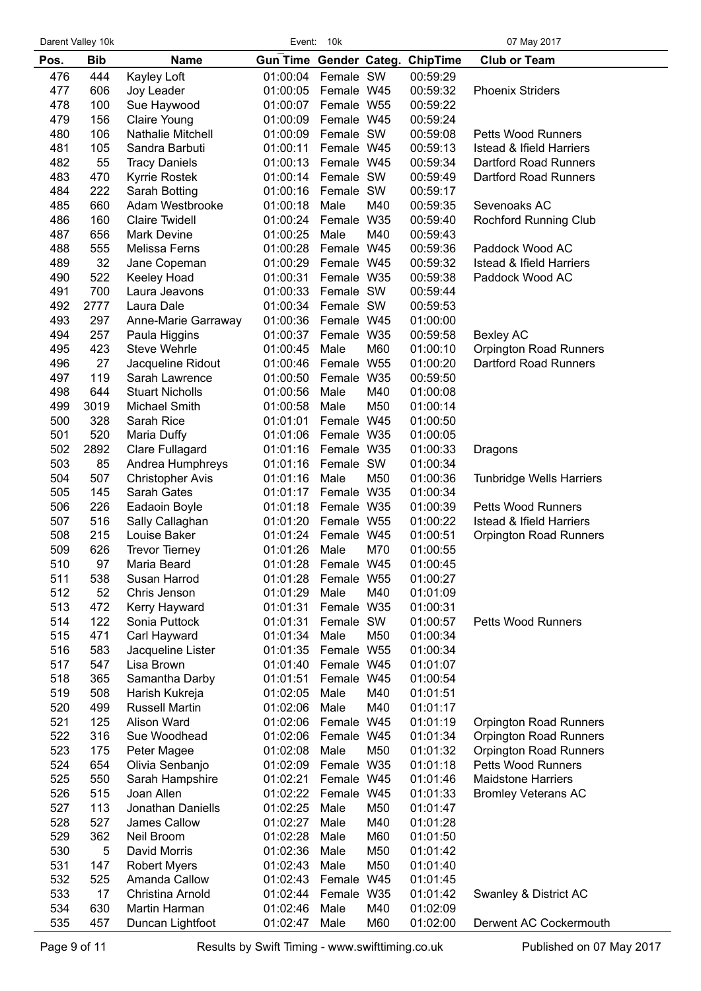|      | Darent Valley 10k | Event:<br>10k           |                        |            | 07 May 2017 |                 |                                     |
|------|-------------------|-------------------------|------------------------|------------|-------------|-----------------|-------------------------------------|
| Pos. | <b>Bib</b>        | <b>Name</b>             | Gun Time Gender Categ. |            |             | <b>ChipTime</b> | <b>Club or Team</b>                 |
| 476  | 444               | Kayley Loft             | 01:00:04               | Female SW  |             | 00:59:29        |                                     |
| 477  | 606               | Joy Leader              | 01:00:05               | Female W45 |             | 00:59:32        | <b>Phoenix Striders</b>             |
| 478  | 100               | Sue Haywood             | 01:00:07               | Female W55 |             | 00:59:22        |                                     |
| 479  | 156               | Claire Young            | 01:00:09               | Female W45 |             | 00:59:24        |                                     |
| 480  | 106               | Nathalie Mitchell       | 01:00:09               | Female SW  |             | 00:59:08        | <b>Petts Wood Runners</b>           |
| 481  | 105               | Sandra Barbuti          | 01:00:11               | Female W45 |             | 00:59:13        | <b>Istead &amp; Ifield Harriers</b> |
| 482  | 55                | <b>Tracy Daniels</b>    | 01:00:13               | Female W45 |             | 00:59:34        | Dartford Road Runners               |
| 483  | 470               |                         | 01:00:14               | Female SW  |             | 00:59:49        | Dartford Road Runners               |
| 484  | 222               | Kyrrie Rostek           | 01:00:16               | Female SW  |             |                 |                                     |
|      |                   | Sarah Botting           |                        |            |             | 00:59:17        | Sevenoaks AC                        |
| 485  | 660               | Adam Westbrooke         | 01:00:18               | Male       | M40         | 00:59:35        |                                     |
| 486  | 160               | <b>Claire Twidell</b>   | 01:00:24               | Female W35 |             | 00:59:40        | Rochford Running Club               |
| 487  | 656               | <b>Mark Devine</b>      | 01:00:25               | Male       | M40         | 00:59:43        |                                     |
| 488  | 555               | Melissa Ferns           | 01:00:28 Female W45    |            |             | 00:59:36        | Paddock Wood AC                     |
| 489  | 32                | Jane Copeman            | 01:00:29 Female W45    |            |             | 00:59:32        | <b>Istead &amp; Ifield Harriers</b> |
| 490  | 522               | Keeley Hoad             | 01:00:31               | Female W35 |             | 00:59:38        | Paddock Wood AC                     |
| 491  | 700               | Laura Jeavons           | 01:00:33 Female SW     |            |             | 00:59:44        |                                     |
| 492  | 2777              | Laura Dale              | 01:00:34 Female SW     |            |             | 00:59:53        |                                     |
| 493  | 297               | Anne-Marie Garraway     | 01:00:36 Female W45    |            |             | 01:00:00        |                                     |
| 494  | 257               | Paula Higgins           | 01:00:37 Female W35    |            |             | 00:59:58        | <b>Bexley AC</b>                    |
| 495  | 423               | <b>Steve Wehrle</b>     | 01:00:45               | Male       | M60         | 01:00:10        | <b>Orpington Road Runners</b>       |
| 496  | 27                | Jacqueline Ridout       | 01:00:46               | Female W55 |             | 01:00:20        | Dartford Road Runners               |
| 497  | 119               | Sarah Lawrence          | 01:00:50               | Female W35 |             | 00:59:50        |                                     |
| 498  | 644               | <b>Stuart Nicholls</b>  | 01:00:56               | Male       | M40         | 01:00:08        |                                     |
| 499  | 3019              | Michael Smith           | 01:00:58               | Male       | M50         | 01:00:14        |                                     |
| 500  | 328               | Sarah Rice              | 01:01:01               | Female W45 |             | 01:00:50        |                                     |
| 501  | 520               | Maria Duffy             | 01:01:06               | Female W35 |             | 01:00:05        |                                     |
| 502  | 2892              | Clare Fullagard         | 01:01:16               | Female W35 |             | 01:00:33        | Dragons                             |
| 503  | 85                | Andrea Humphreys        | 01:01:16               | Female SW  |             | 01:00:34        |                                     |
| 504  | 507               | <b>Christopher Avis</b> | 01:01:16               | Male       | M50         | 01:00:36        | <b>Tunbridge Wells Harriers</b>     |
| 505  | 145               | Sarah Gates             | 01:01:17               | Female W35 |             | 01:00:34        |                                     |
| 506  | 226               | Eadaoin Boyle           | 01:01:18               | Female W35 |             | 01:00:39        | <b>Petts Wood Runners</b>           |
| 507  | 516               | Sally Callaghan         | 01:01:20               | Female W55 |             | 01:00:22        | <b>Istead &amp; Ifield Harriers</b> |
| 508  | 215               | Louise Baker            | 01:01:24               | Female W45 |             | 01:00:51        | Orpington Road Runners              |
| 509  | 626               | <b>Trevor Tierney</b>   | 01:01:26               | Male       | M70         | 01:00:55        |                                     |
| 510  | 97                | Maria Beard             | 01:01:28 Female W45    |            |             | 01:00:45        |                                     |
| 511  | 538               | Susan Harrod            | 01:01:28               | Female W55 |             | 01:00:27        |                                     |
| 512  | 52                | Chris Jenson            | 01:01:29               | Male       | M40         | 01:01:09        |                                     |
| 513  | 472               | Kerry Hayward           | 01:01:31               | Female W35 |             | 01:00:31        |                                     |
| 514  | 122               | Sonia Puttock           | 01:01:31               | Female SW  |             | 01:00:57        | <b>Petts Wood Runners</b>           |
| 515  | 471               | Carl Hayward            | 01:01:34               | Male       | M50         | 01:00:34        |                                     |
| 516  | 583               | Jacqueline Lister       | 01:01:35               | Female W55 |             | 01:00:34        |                                     |
| 517  | 547               | Lisa Brown              | 01:01:40               | Female W45 |             | 01:01:07        |                                     |
| 518  | 365               | Samantha Darby          | 01:01:51               | Female W45 |             | 01:00:54        |                                     |
| 519  | 508               | Harish Kukreja          | 01:02:05               | Male       | M40         | 01:01:51        |                                     |
| 520  | 499               | <b>Russell Martin</b>   | 01:02:06               | Male       | M40         | 01:01:17        |                                     |
| 521  | 125               | Alison Ward             | 01:02:06               | Female W45 |             | 01:01:19        | <b>Orpington Road Runners</b>       |
| 522  | 316               | Sue Woodhead            | 01:02:06               | Female W45 |             | 01:01:34        | <b>Orpington Road Runners</b>       |
| 523  | 175               | Peter Magee             | 01:02:08               | Male       | M50         | 01:01:32        | <b>Orpington Road Runners</b>       |
| 524  | 654               | Olivia Senbanjo         | 01:02:09               | Female W35 |             | 01:01:18        | <b>Petts Wood Runners</b>           |
| 525  | 550               | Sarah Hampshire         | 01:02:21               | Female W45 |             | 01:01:46        | <b>Maidstone Harriers</b>           |
| 526  | 515               | Joan Allen              | 01:02:22               | Female W45 |             | 01:01:33        | <b>Bromley Veterans AC</b>          |
| 527  | 113               | Jonathan Daniells       | 01:02:25               | Male       | M50         | 01:01:47        |                                     |
| 528  | 527               | James Callow            | 01:02:27               | Male       | M40         | 01:01:28        |                                     |
| 529  | 362               | Neil Broom              | 01:02:28               | Male       | M60         | 01:01:50        |                                     |
| 530  | 5                 | David Morris            | 01:02:36               | Male       | M50         | 01:01:42        |                                     |
| 531  | 147               | <b>Robert Myers</b>     | 01:02:43               | Male       | M50         | 01:01:40        |                                     |
| 532  | 525               | Amanda Callow           | 01:02:43               | Female W45 |             | 01:01:45        |                                     |
| 533  | 17                | Christina Arnold        | 01:02:44               | Female W35 |             | 01:01:42        | Swanley & District AC               |
| 534  | 630               | Martin Harman           | 01:02:46               | Male       | M40         | 01:02:09        |                                     |
| 535  | 457               | Duncan Lightfoot        | 01:02:47               | Male       | M60         | 01:02:00        | Derwent AC Cockermouth              |
|      |                   |                         |                        |            |             |                 |                                     |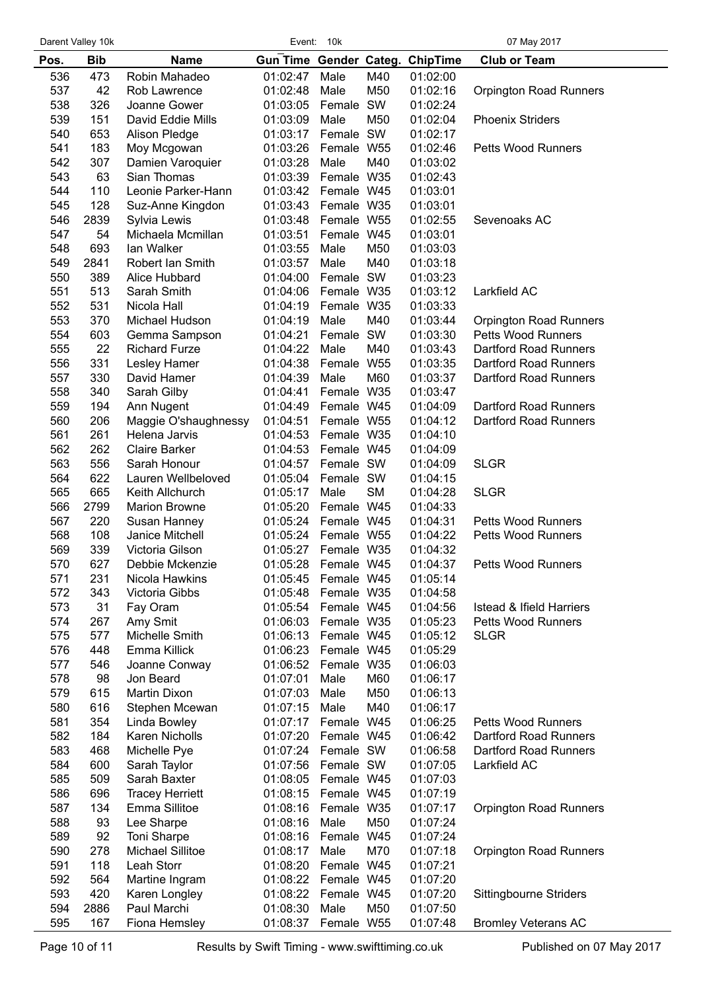|      | Darent Valley 10k<br>Event:<br>10k |                        |                                 |            |           | 07 May 2017 |                                     |
|------|------------------------------------|------------------------|---------------------------------|------------|-----------|-------------|-------------------------------------|
| Pos. | <b>Bib</b>                         | <b>Name</b>            | Gun Time Gender Categ. ChipTime |            |           |             | <b>Club or Team</b>                 |
| 536  | 473                                | Robin Mahadeo          | 01:02:47                        | Male       | M40       | 01:02:00    |                                     |
| 537  | 42                                 | Rob Lawrence           | 01:02:48                        | Male       | M50       | 01:02:16    | <b>Orpington Road Runners</b>       |
| 538  | 326                                | Joanne Gower           | 01:03:05                        | Female SW  |           | 01:02:24    |                                     |
| 539  | 151                                | David Eddie Mills      | 01:03:09                        | Male       | M50       | 01:02:04    | <b>Phoenix Striders</b>             |
| 540  | 653                                |                        | 01:03:17                        | Female SW  |           | 01:02:17    |                                     |
|      |                                    | Alison Pledge          |                                 |            |           |             |                                     |
| 541  | 183                                | Moy Mcgowan            | 01:03:26                        | Female W55 |           | 01:02:46    | <b>Petts Wood Runners</b>           |
| 542  | 307                                | Damien Varoquier       | 01:03:28                        | Male       | M40       | 01:03:02    |                                     |
| 543  | 63                                 | Sian Thomas            | 01:03:39                        | Female W35 |           | 01:02:43    |                                     |
| 544  | 110                                | Leonie Parker-Hann     | 01:03:42                        | Female W45 |           | 01:03:01    |                                     |
| 545  | 128                                | Suz-Anne Kingdon       | 01:03:43                        | Female W35 |           | 01:03:01    |                                     |
| 546  | 2839                               | Sylvia Lewis           | 01:03:48                        | Female W55 |           | 01:02:55    | Sevenoaks AC                        |
| 547  | 54                                 | Michaela Mcmillan      | 01:03:51                        | Female W45 |           | 01:03:01    |                                     |
| 548  | 693                                | lan Walker             | 01:03:55                        | Male       | M50       | 01:03:03    |                                     |
| 549  | 2841                               | Robert Ian Smith       | 01:03:57                        | Male       | M40       | 01:03:18    |                                     |
| 550  | 389                                | Alice Hubbard          | 01:04:00                        | Female SW  |           | 01:03:23    |                                     |
| 551  | 513                                | Sarah Smith            | 01:04:06                        | Female W35 |           | 01:03:12    | Larkfield AC                        |
| 552  | 531                                | Nicola Hall            | 01:04:19                        | Female W35 |           | 01:03:33    |                                     |
| 553  | 370                                | Michael Hudson         | 01:04:19                        | Male       | M40       | 01:03:44    | <b>Orpington Road Runners</b>       |
| 554  | 603                                | Gemma Sampson          | 01:04:21                        | Female SW  |           | 01:03:30    | <b>Petts Wood Runners</b>           |
| 555  | 22                                 | <b>Richard Furze</b>   | 01:04:22                        | Male       | M40       | 01:03:43    | Dartford Road Runners               |
| 556  |                                    |                        |                                 |            |           | 01:03:35    | Dartford Road Runners               |
|      | 331                                | Lesley Hamer           | 01:04:38                        | Female W55 |           |             |                                     |
| 557  | 330                                | David Hamer            | 01:04:39                        | Male       | M60       | 01:03:37    | Dartford Road Runners               |
| 558  | 340                                | Sarah Gilby            | 01:04:41                        | Female W35 |           | 01:03:47    |                                     |
| 559  | 194                                | Ann Nugent             | 01:04:49                        | Female W45 |           | 01:04:09    | Dartford Road Runners               |
| 560  | 206                                | Maggie O'shaughnessy   | 01:04:51                        | Female W55 |           | 01:04:12    | Dartford Road Runners               |
| 561  | 261                                | Helena Jarvis          | 01:04:53                        | Female W35 |           | 01:04:10    |                                     |
| 562  | 262                                | <b>Claire Barker</b>   | 01:04:53                        | Female W45 |           | 01:04:09    |                                     |
| 563  | 556                                | Sarah Honour           | 01:04:57                        | Female SW  |           | 01:04:09    | <b>SLGR</b>                         |
| 564  | 622                                | Lauren Wellbeloved     | 01:05:04                        | Female SW  |           | 01:04:15    |                                     |
| 565  | 665                                | Keith Allchurch        | 01:05:17                        | Male       | <b>SM</b> | 01:04:28    | <b>SLGR</b>                         |
| 566  | 2799                               | <b>Marion Browne</b>   | 01:05:20                        | Female W45 |           | 01:04:33    |                                     |
| 567  | 220                                | Susan Hanney           | 01:05:24                        | Female W45 |           | 01:04:31    | <b>Petts Wood Runners</b>           |
| 568  | 108                                | Janice Mitchell        | 01:05:24                        | Female W55 |           | 01:04:22    | <b>Petts Wood Runners</b>           |
| 569  | 339                                | Victoria Gilson        | 01:05:27                        | Female W35 |           | 01:04:32    |                                     |
| 570  | 627                                | Debbie Mckenzie        | 01:05:28 Female W45             |            |           | 01:04:37    | Petts Wood Runners                  |
| 571  | 231                                | Nicola Hawkins         | 01:05:45                        | Female W45 |           | 01:05:14    |                                     |
| 572  | 343                                | Victoria Gibbs         | 01:05:48                        | Female W35 |           | 01:04:58    |                                     |
| 573  | 31                                 | Fay Oram               | 01:05:54                        | Female W45 |           | 01:04:56    | <b>Istead &amp; Ifield Harriers</b> |
| 574  | 267                                |                        | 01:06:03                        | Female W35 |           | 01:05:23    | <b>Petts Wood Runners</b>           |
|      |                                    | Amy Smit               |                                 |            |           |             |                                     |
| 575  | 577                                | Michelle Smith         | 01:06:13                        | Female W45 |           | 01:05:12    | <b>SLGR</b>                         |
| 576  | 448                                | Emma Killick           | 01:06:23                        | Female W45 |           | 01:05:29    |                                     |
| 577  | 546                                | Joanne Conway          | 01:06:52                        | Female W35 |           | 01:06:03    |                                     |
| 578  | 98                                 | Jon Beard              | 01:07:01                        | Male       | M60       | 01:06:17    |                                     |
| 579  | 615                                | Martin Dixon           | 01:07:03                        | Male       | M50       | 01:06:13    |                                     |
| 580  | 616                                | Stephen Mcewan         | 01:07:15                        | Male       | M40       | 01:06:17    |                                     |
| 581  | 354                                | Linda Bowley           | 01:07:17                        | Female W45 |           | 01:06:25    | <b>Petts Wood Runners</b>           |
| 582  | 184                                | Karen Nicholls         | 01:07:20                        | Female W45 |           | 01:06:42    | Dartford Road Runners               |
| 583  | 468                                | Michelle Pye           | 01:07:24                        | Female SW  |           | 01:06:58    | Dartford Road Runners               |
| 584  | 600                                | Sarah Taylor           | 01:07:56                        | Female SW  |           | 01:07:05    | Larkfield AC                        |
| 585  | 509                                | Sarah Baxter           | 01:08:05                        | Female W45 |           | 01:07:03    |                                     |
| 586  | 696                                | <b>Tracey Herriett</b> | 01:08:15                        | Female W45 |           | 01:07:19    |                                     |
| 587  | 134                                | Emma Sillitoe          | 01:08:16                        | Female W35 |           | 01:07:17    | <b>Orpington Road Runners</b>       |
| 588  | 93                                 | Lee Sharpe             | 01:08:16                        | Male       | M50       | 01:07:24    |                                     |
| 589  | 92                                 | Toni Sharpe            | 01:08:16                        | Female W45 |           | 01:07:24    |                                     |
| 590  | 278                                | Michael Sillitoe       | 01:08:17                        | Male       | M70       | 01:07:18    | <b>Orpington Road Runners</b>       |
| 591  | 118                                | Leah Storr             | 01:08:20                        | Female W45 |           | 01:07:21    |                                     |
| 592  |                                    |                        |                                 | Female W45 |           |             |                                     |
|      | 564                                | Martine Ingram         | 01:08:22                        |            |           | 01:07:20    |                                     |
| 593  | 420                                | Karen Longley          | 01:08:22                        | Female W45 |           | 01:07:20    | Sittingbourne Striders              |
| 594  | 2886                               | Paul Marchi            | 01:08:30                        | Male       | M50       | 01:07:50    |                                     |
| 595  | 167                                | Fiona Hemsley          | 01:08:37                        | Female W55 |           | 01:07:48    | <b>Bromley Veterans AC</b>          |